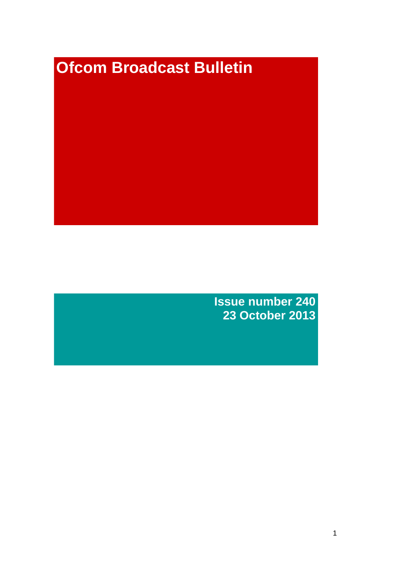# **Ofcom Broadcast Bulletin**

**Issue number 240 23 October 2013**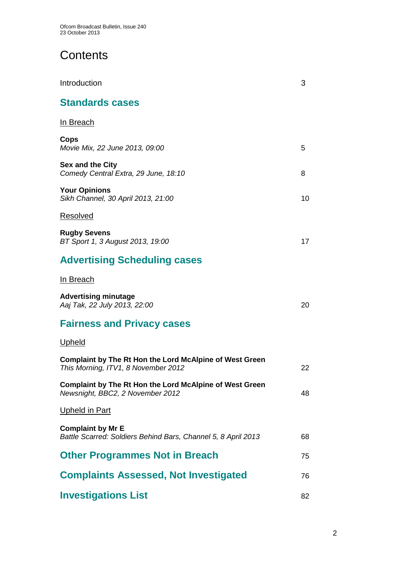# **Contents**

| Introduction                                                                                          | 3  |
|-------------------------------------------------------------------------------------------------------|----|
| <b>Standards cases</b>                                                                                |    |
| In Breach                                                                                             |    |
| Cops<br>Movie Mix, 22 June 2013, 09:00                                                                | 5  |
| <b>Sex and the City</b><br>Comedy Central Extra, 29 June, 18:10                                       | 8  |
| <b>Your Opinions</b><br>Sikh Channel, 30 April 2013, 21:00                                            | 10 |
| Resolved                                                                                              |    |
| <b>Rugby Sevens</b><br>BT Sport 1, 3 August 2013, 19:00                                               | 17 |
| <b>Advertising Scheduling cases</b>                                                                   |    |
| <u>In Breach</u>                                                                                      |    |
| <b>Advertising minutage</b><br>Aaj Tak, 22 July 2013, 22:00                                           | 20 |
| <b>Fairness and Privacy cases</b>                                                                     |    |
| <u>Upheld</u>                                                                                         |    |
| <b>Complaint by The Rt Hon the Lord McAlpine of West Green</b><br>This Morning, ITV1, 8 November 2012 | 22 |
| <b>Complaint by The Rt Hon the Lord McAlpine of West Green</b><br>Newsnight, BBC2, 2 November 2012    | 48 |
| <u>Upheld in Part</u>                                                                                 |    |
| <b>Complaint by Mr E</b><br>Battle Scarred: Soldiers Behind Bars, Channel 5, 8 April 2013             | 68 |
| <b>Other Programmes Not in Breach</b>                                                                 | 75 |
| <b>Complaints Assessed, Not Investigated</b>                                                          | 76 |
| <b>Investigations List</b>                                                                            | 82 |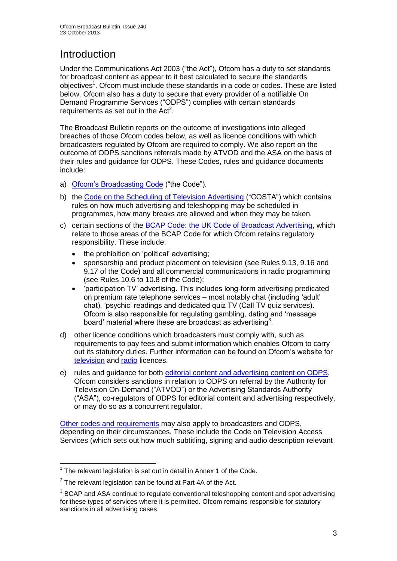# **Introduction**

Under the Communications Act 2003 ("the Act"), Ofcom has a duty to set standards for broadcast content as appear to it best calculated to secure the standards objectives<sup>1</sup>. Ofcom must include these standards in a code or codes. These are listed below. Ofcom also has a duty to secure that every provider of a notifiable On Demand Programme Services ("ODPS") complies with certain standards requirements as set out in the  $Act<sup>2</sup>$ .

The Broadcast Bulletin reports on the outcome of investigations into alleged breaches of those Ofcom codes below, as well as licence conditions with which broadcasters regulated by Ofcom are required to comply. We also report on the outcome of ODPS sanctions referrals made by ATVOD and the ASA on the basis of their rules and guidance for ODPS. These Codes, rules and guidance documents include:

- a) [Ofcom's Broadcasting Code](http://stakeholders.ofcom.org.uk/broadcasting/broadcast-codes/broadcast-code/) ("the Code").
- b) the [Code on the Scheduling of Television Advertising](http://stakeholders.ofcom.org.uk/broadcasting/broadcast-codes/advert-code/) ("COSTA") which contains rules on how much advertising and teleshopping may be scheduled in programmes, how many breaks are allowed and when they may be taken.
- c) certain sections of the [BCAP Code: the UK Code of Broadcast Advertising,](http://www.bcap.org.uk/Advertising-Codes/Broadcast-HTML.aspx) which relate to those areas of the BCAP Code for which Ofcom retains regulatory responsibility. These include:
	- the prohibition on 'political' advertising:
	- sponsorship and product placement on television (see Rules 9.13, 9.16 and 9.17 of the Code) and all commercial communications in radio programming (see Rules 10.6 to 10.8 of the Code);
	- 'participation TV' advertising. This includes long-form advertising predicated on premium rate telephone services – most notably chat (including 'adult' chat), 'psychic' readings and dedicated quiz TV (Call TV quiz services). Ofcom is also responsible for regulating gambling, dating and 'message board' material where these are broadcast as advertising<sup>3</sup>.
- d) other licence conditions which broadcasters must comply with, such as requirements to pay fees and submit information which enables Ofcom to carry out its statutory duties. Further information can be found on Ofcom's website for [television](http://licensing.ofcom.org.uk/tv-broadcast-licences/) and [radio](http://licensing.ofcom.org.uk/radio-broadcast-licensing/) licences.
- e) rules and guidance for both [editorial content and advertising content on ODPS.](http://www.atvod.co.uk/uploads/files/ATVOD_Rules_and_Guidance_Ed_2.0_May_2012.pdf) Ofcom considers sanctions in relation to ODPS on referral by the Authority for Television On-Demand ("ATVOD") or the Advertising Standards Authority ("ASA"), co-regulators of ODPS for editorial content and advertising respectively, or may do so as a concurrent regulator.

[Other codes and requirements](http://stakeholders.ofcom.org.uk/broadcasting/broadcast-codes/) may also apply to broadcasters and ODPS, depending on their circumstances. These include the Code on Television Access Services (which sets out how much subtitling, signing and audio description relevant

<sup>1</sup>  $1$  The relevant legislation is set out in detail in Annex 1 of the Code.

 $2$  The relevant legislation can be found at Part 4A of the Act.

 $3$  BCAP and ASA continue to regulate conventional teleshopping content and spot advertising for these types of services where it is permitted. Ofcom remains responsible for statutory sanctions in all advertising cases.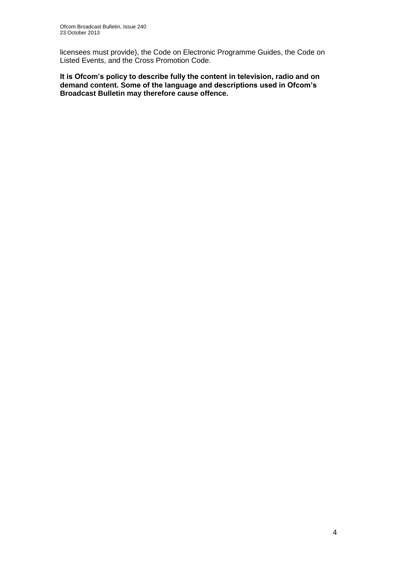licensees must provide), the Code on Electronic Programme Guides, the Code on Listed Events, and the Cross Promotion Code.

**It is Ofcom's policy to describe fully the content in television, radio and on demand content. Some of the language and descriptions used in Ofcom's Broadcast Bulletin may therefore cause offence.**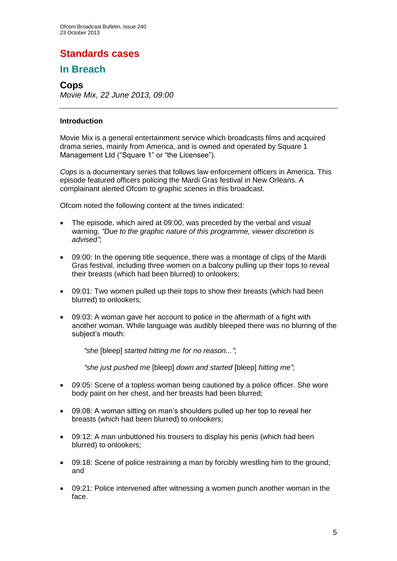## **Standards cases**

## **In Breach**

#### **Cops**

*Movie Mix, 22 June 2013, 09:00*

#### **Introduction**

Movie Mix is a general entertainment service which broadcasts films and acquired drama series, mainly from America, and is owned and operated by Square 1 Management Ltd ("Square 1" or "the Licensee").

*Cops* is a documentary series that follows law enforcement officers in America. This episode featured officers policing the Mardi Gras festival in New Orleans. A complainant alerted Ofcom to graphic scenes in this broadcast.

Ofcom noted the following content at the times indicated:

- The episode, which aired at 09:00, was preceded by the verbal and visual warning, *"Due to the graphic nature of this programme, viewer discretion is advised"*;
- 09:00: In the opening title sequence, there was a montage of clips of the Mardi Gras festival, including three women on a balcony pulling up their tops to reveal their breasts (which had been blurred) to onlookers;
- 09:01: Two women pulled up their tops to show their breasts (which had been blurred) to onlookers;
- 09:03: A woman gave her account to police in the aftermath of a fight with another woman. While language was audibly bleeped there was no blurring of the subject's mouth:

*"she* [bleep] *started hitting me for no reason..."*;

*"she just pushed me* [bleep] *down and started* [bleep] *hitting me"*;

- 09:05: Scene of a topless woman being cautioned by a police officer. She wore body paint on her chest, and her breasts had been blurred;
- 09:08: A woman sitting on man's shoulders pulled up her top to reveal her breasts (which had been blurred) to onlookers;
- 09:12: A man unbuttoned his trousers to display his penis (which had been blurred) to onlookers;
- 09:18: Scene of police restraining a man by forcibly wrestling him to the ground; and
- 09:21: Police intervened after witnessing a women punch another woman in the face.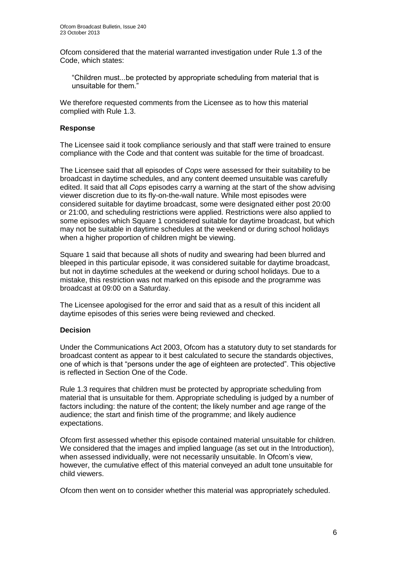Ofcom considered that the material warranted investigation under Rule 1.3 of the Code, which states:

"Children must...be protected by appropriate scheduling from material that is unsuitable for them."

We therefore requested comments from the Licensee as to how this material complied with Rule 1.3.

#### **Response**

The Licensee said it took compliance seriously and that staff were trained to ensure compliance with the Code and that content was suitable for the time of broadcast.

The Licensee said that all episodes of *Cops* were assessed for their suitability to be broadcast in daytime schedules, and any content deemed unsuitable was carefully edited. It said that all *Cops* episodes carry a warning at the start of the show advising viewer discretion due to its fly-on-the-wall nature. While most episodes were considered suitable for daytime broadcast, some were designated either post 20:00 or 21:00, and scheduling restrictions were applied. Restrictions were also applied to some episodes which Square 1 considered suitable for daytime broadcast, but which may not be suitable in daytime schedules at the weekend or during school holidays when a higher proportion of children might be viewing.

Square 1 said that because all shots of nudity and swearing had been blurred and bleeped in this particular episode, it was considered suitable for daytime broadcast, but not in daytime schedules at the weekend or during school holidays. Due to a mistake, this restriction was not marked on this episode and the programme was broadcast at 09:00 on a Saturday.

The Licensee apologised for the error and said that as a result of this incident all daytime episodes of this series were being reviewed and checked.

#### **Decision**

Under the Communications Act 2003, Ofcom has a statutory duty to set standards for broadcast content as appear to it best calculated to secure the standards objectives, one of which is that "persons under the age of eighteen are protected". This objective is reflected in Section One of the Code.

Rule 1.3 requires that children must be protected by appropriate scheduling from material that is unsuitable for them. Appropriate scheduling is judged by a number of factors including: the nature of the content; the likely number and age range of the audience; the start and finish time of the programme; and likely audience expectations.

Ofcom first assessed whether this episode contained material unsuitable for children. We considered that the images and implied language (as set out in the Introduction), when assessed individually, were not necessarily unsuitable. In Ofcom's view, however, the cumulative effect of this material conveyed an adult tone unsuitable for child viewers.

Ofcom then went on to consider whether this material was appropriately scheduled.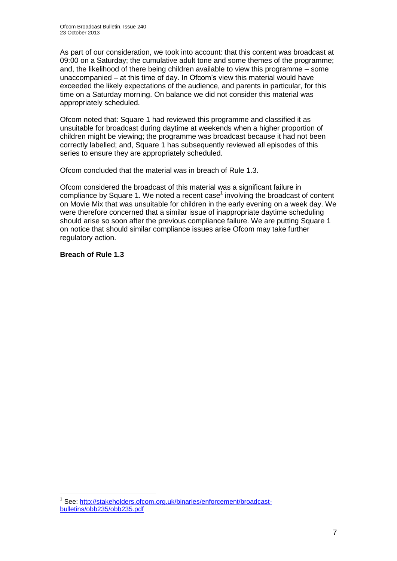As part of our consideration, we took into account: that this content was broadcast at 09:00 on a Saturday; the cumulative adult tone and some themes of the programme; and, the likelihood of there being children available to view this programme – some unaccompanied – at this time of day. In Ofcom's view this material would have exceeded the likely expectations of the audience, and parents in particular, for this time on a Saturday morning. On balance we did not consider this material was appropriately scheduled.

Ofcom noted that: Square 1 had reviewed this programme and classified it as unsuitable for broadcast during daytime at weekends when a higher proportion of children might be viewing; the programme was broadcast because it had not been correctly labelled; and, Square 1 has subsequently reviewed all episodes of this series to ensure they are appropriately scheduled.

Ofcom concluded that the material was in breach of Rule 1.3.

Ofcom considered the broadcast of this material was a significant failure in compliance by Square 1. We noted a recent case $<sup>1</sup>$  involving the broadcast of content</sup> on Movie Mix that was unsuitable for children in the early evening on a week day. We were therefore concerned that a similar issue of inappropriate daytime scheduling should arise so soon after the previous compliance failure. We are putting Square 1 on notice that should similar compliance issues arise Ofcom may take further regulatory action.

**Breach of Rule 1.3**

<sup>&</sup>lt;sup>1</sup> See: [http://stakeholders.ofcom.org.uk/binaries/enforcement/broadcast](http://stakeholders.ofcom.org.uk/binaries/enforcement/broadcast-bulletins/obb235/obb235.pdf)[bulletins/obb235/obb235.pdf](http://stakeholders.ofcom.org.uk/binaries/enforcement/broadcast-bulletins/obb235/obb235.pdf)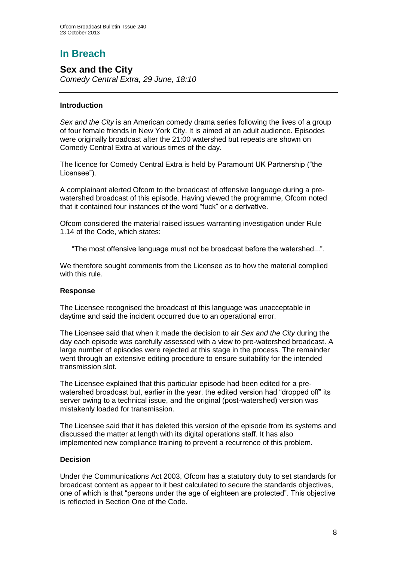# **In Breach**

**Sex and the City** *Comedy Central Extra, 29 June, 18:10*

#### **Introduction**

*Sex and the City* is an American comedy drama series following the lives of a group of four female friends in New York City. It is aimed at an adult audience. Episodes were originally broadcast after the 21:00 watershed but repeats are shown on Comedy Central Extra at various times of the day.

The licence for Comedy Central Extra is held by Paramount UK Partnership ("the Licensee").

A complainant alerted Ofcom to the broadcast of offensive language during a prewatershed broadcast of this episode. Having viewed the programme, Ofcom noted that it contained four instances of the word "fuck" or a derivative.

Ofcom considered the material raised issues warranting investigation under Rule 1.14 of the Code, which states:

"The most offensive language must not be broadcast before the watershed...".

We therefore sought comments from the Licensee as to how the material complied with this rule.

#### **Response**

The Licensee recognised the broadcast of this language was unacceptable in daytime and said the incident occurred due to an operational error.

The Licensee said that when it made the decision to air *Sex and the City* during the day each episode was carefully assessed with a view to pre-watershed broadcast. A large number of episodes were rejected at this stage in the process. The remainder went through an extensive editing procedure to ensure suitability for the intended transmission slot.

The Licensee explained that this particular episode had been edited for a prewatershed broadcast but, earlier in the year, the edited version had "dropped off" its server owing to a technical issue, and the original (post-watershed) version was mistakenly loaded for transmission.

The Licensee said that it has deleted this version of the episode from its systems and discussed the matter at length with its digital operations staff. It has also implemented new compliance training to prevent a recurrence of this problem.

#### **Decision**

Under the Communications Act 2003, Ofcom has a statutory duty to set standards for broadcast content as appear to it best calculated to secure the standards objectives, one of which is that "persons under the age of eighteen are protected". This objective is reflected in Section One of the Code.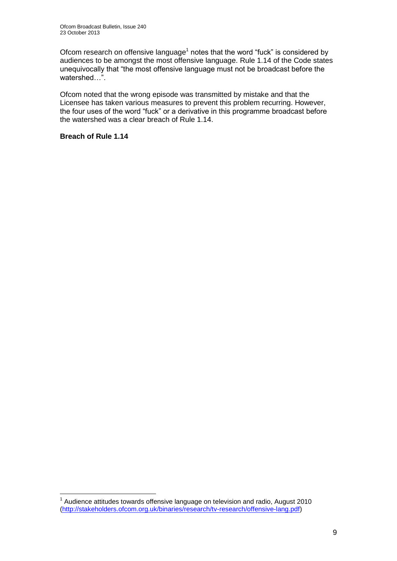Ofcom research on offensive language<sup>1</sup> notes that the word "fuck" is considered by audiences to be amongst the most offensive language. Rule 1.14 of the Code states unequivocally that "the most offensive language must not be broadcast before the watershed…".

Ofcom noted that the wrong episode was transmitted by mistake and that the Licensee has taken various measures to prevent this problem recurring. However, the four uses of the word "fuck" or a derivative in this programme broadcast before the watershed was a clear breach of Rule 1.14.

#### **Breach of Rule 1.14**

 $1$  Audience attitudes towards offensive language on television and radio, August 2010 [\(http://stakeholders.ofcom.org.uk/binaries/research/tv-research/offensive-lang.pdf\)](http://stakeholders.ofcom.org.uk/binaries/research/tv-research/offensive-lang.pdf)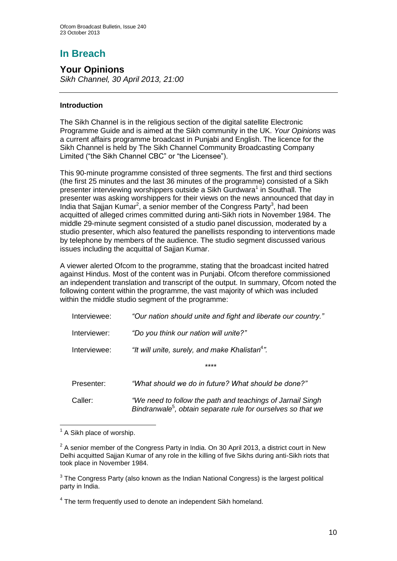# **In Breach**

## **Your Opinions**

*Sikh Channel, 30 April 2013, 21:00*

#### **Introduction**

The Sikh Channel is in the religious section of the digital satellite Electronic Programme Guide and is aimed at the Sikh community in the UK. *Your Opinions* was a current affairs programme broadcast in Punjabi and English. The licence for the Sikh Channel is held by The Sikh Channel Community Broadcasting Company Limited ("the Sikh Channel CBC" or "the Licensee").

This 90-minute programme consisted of three segments. The first and third sections (the first 25 minutes and the last 36 minutes of the programme) consisted of a Sikh presenter interviewing worshippers outside a Sikh Gurdwara<sup>1</sup> in Southall. The presenter was asking worshippers for their views on the news announced that day in India that Sajjan Kumar<sup>2</sup>, a senior member of the Congress Party<sup>3</sup>, had been acquitted of alleged crimes committed during anti-Sikh riots in November 1984. The middle 29-minute segment consisted of a studio panel discussion, moderated by a studio presenter, which also featured the panellists responding to interventions made by telephone by members of the audience. The studio segment discussed various issues including the acquittal of Sajjan Kumar.

A viewer alerted Ofcom to the programme, stating that the broadcast incited hatred against Hindus. Most of the content was in Punjabi. Ofcom therefore commissioned an independent translation and transcript of the output. In summary, Ofcom noted the following content within the programme, the vast majority of which was included within the middle studio segment of the programme:

| Interviewee: | "Our nation should unite and fight and liberate our country."                                                                          |
|--------------|----------------------------------------------------------------------------------------------------------------------------------------|
| Interviewer: | "Do you think our nation will unite?"                                                                                                  |
| Interviewee: | "It will unite, surely, and make Khalistan <sup>4</sup> ".                                                                             |
|              | ****                                                                                                                                   |
| Presenter:   | "What should we do in future? What should be done?"                                                                                    |
| Caller:      | "We need to follow the path and teachings of Jarnail Singh<br>Bindranwale <sup>5</sup> , obtain separate rule for ourselves so that we |

<sup>&</sup>lt;sup>1</sup> A Sikh place of worship.

 $2$  A senior member of the Congress Party in India. On 30 April 2013, a district court in New Delhi acquitted Sajjan Kumar of any role in the killing of five Sikhs during anti-Sikh riots that took place in November 1984.

 $3$  The Congress Party (also known as the Indian National Congress) is the largest political party in India.

<sup>&</sup>lt;sup>4</sup> The term frequently used to denote an independent Sikh homeland.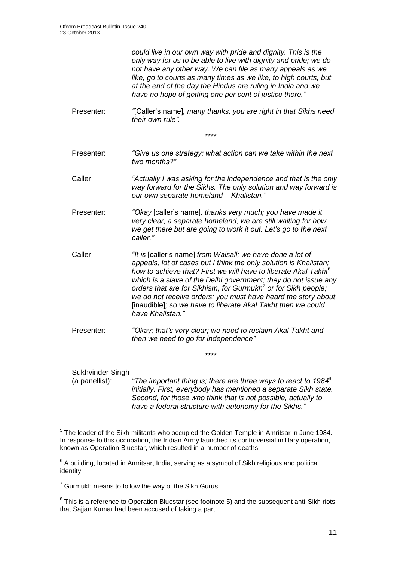*could live in our own way with pride and dignity. This is the only way for us to be able to live with dignity and pride; we do not have any other way. We can file as many appeals as we like, go to courts as many times as we like, to high courts, but at the end of the day the Hindus are ruling in India and we have no hope of getting one per cent of justice there."*

Presenter: *"*[Caller's name]*, many thanks, you are right in that Sikhs need their own rule".*

*\*\*\*\**

- Presenter: *"Give us one strategy; what action can we take within the next two months?"*
- Caller: *"Actually I was asking for the independence and that is the only way forward for the Sikhs. The only solution and way forward is our own separate homeland – Khalistan."*
- Presenter: *"Okay* [caller's name]*, thanks very much; you have made it very clear; a separate homeland; we are still waiting for how we get there but are going to work it out. Let's go to the next caller."*
- Caller: *"It is* [caller's name] *from Walsall; we have done a lot of appeals, lot of cases but I think the only solution is Khalistan; how to achieve that? First we will have to liberate Akal Takht*<sup>6</sup> *which is a slave of the Delhi government; they do not issue any orders that are for Sikhism, for Gurmukh*<sup>7</sup> *or for Sikh people; we do not receive orders; you must have heard the story about*  [inaudible]*; so we have to liberate Akal Takht then we could have Khalistan."*
- Presenter: *"Okay; that's very clear; we need to reclaim Akal Takht and then we need to go for independence".*

Sukhvinder Singh (a panellist): *"The important thing is; there are three ways to react to 1984*<sup>8</sup> *initially. First, everybody has mentioned a separate Sikh state. Second, for those who think that is not possible, actually to have a federal structure with autonomy for the Sikhs."*

*\*\*\*\**

<sup>&</sup>lt;sup>5</sup> The leader of the Sikh militants who occupied the Golden Temple in Amritsar in June 1984. In response to this occupation, the Indian Army launched its controversial military operation, known as Operation Bluestar, which resulted in a number of deaths.

 $6$  A building, located in Amritsar, India, serving as a symbol of Sikh religious and political identity.

 $7$  Gurmukh means to follow the way of the Sikh Gurus.

 $8$  This is a reference to Operation Bluestar (see footnote 5) and the subsequent anti-Sikh riots that Sajjan Kumar had been accused of taking a part.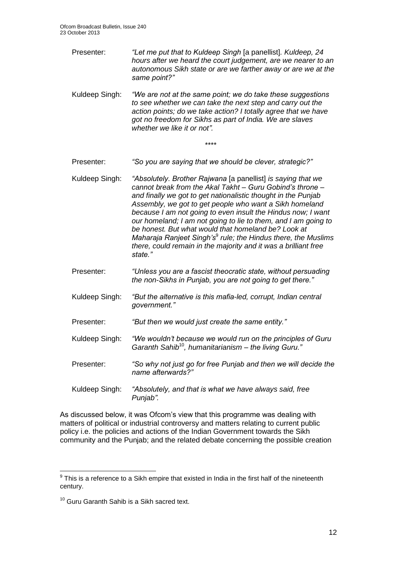Presenter: *"Let me put that to Kuldeep Singh* [a panellist]*. Kuldeep, 24 hours after we heard the court judgement, are we nearer to an autonomous Sikh state or are we farther away or are we at the same point?"*

Kuldeep Singh: *"We are not at the same point; we do take these suggestions to see whether we can take the next step and carry out the action points; do we take action? I totally agree that we have got no freedom for Sikhs as part of India. We are slaves whether we like it or not".*

*\*\*\*\**

- Presenter: *"So you are saying that we should be clever, strategic?"*
- Kuldeep Singh: *"Absolutely. Brother Rajwana* [a panellist] *is saying that we cannot break from the Akal Takht – Guru Gobind's throne – and finally we got to get nationalistic thought in the Punjab Assembly, we got to get people who want a Sikh homeland because I am not going to even insult the Hindus now; I want our homeland; I am not going to lie to them, and I am going to be honest. But what would that homeland be? Look at Maharaja Ranjeet Singh's*<sup>9</sup> *rule; the Hindus there, the Muslims there, could remain in the majority and it was a brilliant free state."*
- Presenter: *"Unless you are a fascist theocratic state, without persuading the non-Sikhs in Punjab, you are not going to get there."*
- Kuldeep Singh: *"But the alternative is this mafia-led, corrupt, Indian central government."*
- Presenter: *"But then we would just create the same entity."*
- Kuldeep Singh: *"We wouldn't because we would run on the principles of Guru Garanth Sahib*<sup>10</sup>*, humanitarianism – the living Guru."*
- Presenter: *"So why not just go for free Punjab and then we will decide the name afterwards?"*
- Kuldeep Singh: *"Absolutely, and that is what we have always said, free Punjab".*

As discussed below, it was Ofcom's view that this programme was dealing with matters of political or industrial controversy and matters relating to current public policy i.e. the policies and actions of the Indian Government towards the Sikh community and the Punjab; and the related debate concerning the possible creation

 9 This is a reference to a Sikh empire that existed in India in the first half of the nineteenth century.

<sup>&</sup>lt;sup>10</sup> Guru Garanth Sahib is a Sikh sacred text.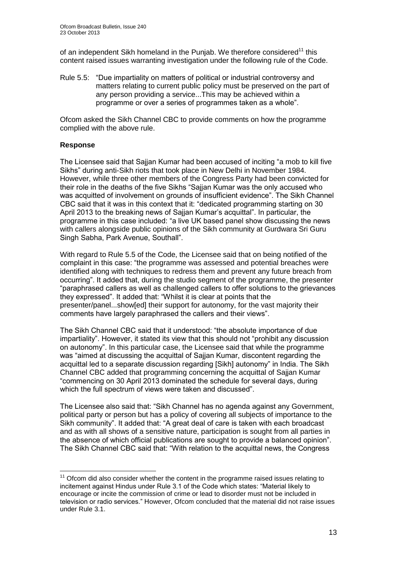of an independent Sikh homeland in the Punjab. We therefore considered<sup>11</sup> this content raised issues warranting investigation under the following rule of the Code.

Rule 5.5: "Due impartiality on matters of political or industrial controversy and matters relating to current public policy must be preserved on the part of any person providing a service...This may be achieved within a programme or over a series of programmes taken as a whole".

Ofcom asked the Sikh Channel CBC to provide comments on how the programme complied with the above rule.

#### **Response**

1

The Licensee said that Sajjan Kumar had been accused of inciting "a mob to kill five Sikhs" during anti-Sikh riots that took place in New Delhi in November 1984. However, while three other members of the Congress Party had been convicted for their role in the deaths of the five Sikhs "Sajjan Kumar was the only accused who was acquitted of involvement on grounds of insufficient evidence". The Sikh Channel CBC said that it was in this context that it: "dedicated programming starting on 30 April 2013 to the breaking news of Sajjan Kumar's acquittal". In particular, the programme in this case included: "a live UK based panel show discussing the news with callers alongside public opinions of the Sikh community at Gurdwara Sri Guru Singh Sabha, Park Avenue, Southall".

With regard to Rule 5.5 of the Code, the Licensee said that on being notified of the complaint in this case: "the programme was assessed and potential breaches were identified along with techniques to redress them and prevent any future breach from occurring". It added that, during the studio segment of the programme, the presenter "paraphrased callers as well as challenged callers to offer solutions to the grievances they expressed". It added that: "Whilst it is clear at points that the presenter/panel...show[ed] their support for autonomy, for the vast majority their comments have largely paraphrased the callers and their views".

The Sikh Channel CBC said that it understood: "the absolute importance of due impartiality". However, it stated its view that this should not "prohibit any discussion on autonomy". In this particular case, the Licensee said that while the programme was "aimed at discussing the acquittal of Sajjan Kumar, discontent regarding the acquittal led to a separate discussion regarding [Sikh] autonomy" in India. The Sikh Channel CBC added that programming concerning the acquittal of Sajjan Kumar "commencing on 30 April 2013 dominated the schedule for several days, during which the full spectrum of views were taken and discussed".

The Licensee also said that: "Sikh Channel has no agenda against any Government, political party or person but has a policy of covering all subjects of importance to the Sikh community". It added that: "A great deal of care is taken with each broadcast and as with all shows of a sensitive nature, participation is sought from all parties in the absence of which official publications are sought to provide a balanced opinion". The Sikh Channel CBC said that: "With relation to the acquittal news, the Congress

 $11$  Ofcom did also consider whether the content in the programme raised issues relating to incitement against Hindus under Rule 3.1 of the Code which states: "Material likely to encourage or incite the commission of crime or lead to disorder must not be included in television or radio services." However, Ofcom concluded that the material did not raise issues under Rule 3.1.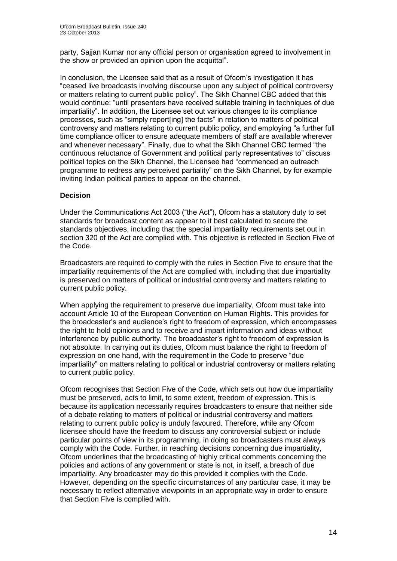party, Sajjan Kumar nor any official person or organisation agreed to involvement in the show or provided an opinion upon the acquittal".

In conclusion, the Licensee said that as a result of Ofcom's investigation it has "ceased live broadcasts involving discourse upon any subject of political controversy or matters relating to current public policy". The Sikh Channel CBC added that this would continue: "until presenters have received suitable training in techniques of due impartiality". In addition, the Licensee set out various changes to its compliance processes, such as "simply report[ing] the facts" in relation to matters of political controversy and matters relating to current public policy, and employing "a further full time compliance officer to ensure adequate members of staff are available wherever and whenever necessary". Finally, due to what the Sikh Channel CBC termed "the continuous reluctance of Government and political party representatives to" discuss political topics on the Sikh Channel, the Licensee had "commenced an outreach programme to redress any perceived partiality" on the Sikh Channel, by for example inviting Indian political parties to appear on the channel.

#### **Decision**

Under the Communications Act 2003 ("the Act"), Ofcom has a statutory duty to set standards for broadcast content as appear to it best calculated to secure the standards objectives, including that the special impartiality requirements set out in section 320 of the Act are complied with. This objective is reflected in Section Five of the Code.

Broadcasters are required to comply with the rules in Section Five to ensure that the impartiality requirements of the Act are complied with, including that due impartiality is preserved on matters of political or industrial controversy and matters relating to current public policy.

When applying the requirement to preserve due impartiality, Ofcom must take into account Article 10 of the European Convention on Human Rights. This provides for the broadcaster's and audience's right to freedom of expression, which encompasses the right to hold opinions and to receive and impart information and ideas without interference by public authority. The broadcaster's right to freedom of expression is not absolute. In carrying out its duties, Ofcom must balance the right to freedom of expression on one hand, with the requirement in the Code to preserve "due impartiality" on matters relating to political or industrial controversy or matters relating to current public policy.

Ofcom recognises that Section Five of the Code, which sets out how due impartiality must be preserved, acts to limit, to some extent, freedom of expression. This is because its application necessarily requires broadcasters to ensure that neither side of a debate relating to matters of political or industrial controversy and matters relating to current public policy is unduly favoured. Therefore, while any Ofcom licensee should have the freedom to discuss any controversial subject or include particular points of view in its programming, in doing so broadcasters must always comply with the Code. Further, in reaching decisions concerning due impartiality, Ofcom underlines that the broadcasting of highly critical comments concerning the policies and actions of any government or state is not, in itself, a breach of due impartiality. Any broadcaster may do this provided it complies with the Code. However, depending on the specific circumstances of any particular case, it may be necessary to reflect alternative viewpoints in an appropriate way in order to ensure that Section Five is complied with.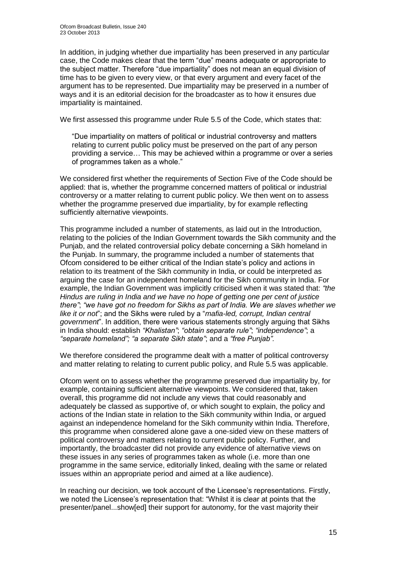In addition, in judging whether due impartiality has been preserved in any particular case, the Code makes clear that the term "due" means adequate or appropriate to the subject matter. Therefore "due impartiality" does not mean an equal division of time has to be given to every view, or that every argument and every facet of the argument has to be represented. Due impartiality may be preserved in a number of ways and it is an editorial decision for the broadcaster as to how it ensures due impartiality is maintained.

We first assessed this programme under Rule 5.5 of the Code, which states that:

"Due impartiality on matters of political or industrial controversy and matters relating to current public policy must be preserved on the part of any person providing a service… This may be achieved within a programme or over a series of programmes taken as a whole."

We considered first whether the requirements of Section Five of the Code should be applied: that is, whether the programme concerned matters of political or industrial controversy or a matter relating to current public policy. We then went on to assess whether the programme preserved due impartiality, by for example reflecting sufficiently alternative viewpoints.

This programme included a number of statements, as laid out in the Introduction, relating to the policies of the Indian Government towards the Sikh community and the Punjab, and the related controversial policy debate concerning a Sikh homeland in the Punjab. In summary, the programme included a number of statements that Ofcom considered to be either critical of the Indian state's policy and actions in relation to its treatment of the Sikh community in India, or could be interpreted as arguing the case for an independent homeland for the Sikh community in India. For example, the Indian Government was implicitly criticised when it was stated that: *"the Hindus are ruling in India and we have no hope of getting one per cent of justice there"*; *"we have got no freedom for Sikhs as part of India. We are slaves whether we like it or not*"; and the Sikhs were ruled by a "*mafia-led, corrupt, Indian central government*". In addition, there were various statements strongly arguing that Sikhs in India should: establish *"Khalistan"*; *"obtain separate rule"*; *"independence"*; a *"separate homeland"; "a separate Sikh state"*; and a *"free Punjab".* 

We therefore considered the programme dealt with a matter of political controversy and matter relating to relating to current public policy, and Rule 5.5 was applicable.

Ofcom went on to assess whether the programme preserved due impartiality by, for example, containing sufficient alternative viewpoints. We considered that, taken overall, this programme did not include any views that could reasonably and adequately be classed as supportive of, or which sought to explain, the policy and actions of the Indian state in relation to the Sikh community within India, or argued against an independence homeland for the Sikh community within India. Therefore, this programme when considered alone gave a one-sided view on these matters of political controversy and matters relating to current public policy. Further, and importantly, the broadcaster did not provide any evidence of alternative views on these issues in any series of programmes taken as whole (i.e. more than one programme in the same service, editorially linked, dealing with the same or related issues within an appropriate period and aimed at a like audience).

In reaching our decision, we took account of the Licensee's representations. Firstly, we noted the Licensee's representation that: "Whilst it is clear at points that the presenter/panel...show[ed] their support for autonomy, for the vast majority their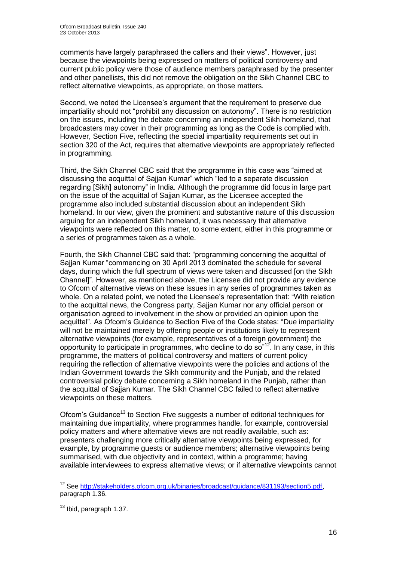comments have largely paraphrased the callers and their views". However, just because the viewpoints being expressed on matters of political controversy and current public policy were those of audience members paraphrased by the presenter and other panellists, this did not remove the obligation on the Sikh Channel CBC to reflect alternative viewpoints, as appropriate, on those matters.

Second, we noted the Licensee's argument that the requirement to preserve due impartiality should not "prohibit any discussion on autonomy". There is no restriction on the issues, including the debate concerning an independent Sikh homeland, that broadcasters may cover in their programming as long as the Code is complied with. However, Section Five, reflecting the special impartiality requirements set out in section 320 of the Act, requires that alternative viewpoints are appropriately reflected in programming.

Third, the Sikh Channel CBC said that the programme in this case was "aimed at discussing the acquittal of Sajjan Kumar" which "led to a separate discussion regarding [Sikh] autonomy" in India. Although the programme did focus in large part on the issue of the acquittal of Sajjan Kumar, as the Licensee accepted the programme also included substantial discussion about an independent Sikh homeland. In our view, given the prominent and substantive nature of this discussion arguing for an independent Sikh homeland, it was necessary that alternative viewpoints were reflected on this matter, to some extent, either in this programme or a series of programmes taken as a whole.

Fourth, the Sikh Channel CBC said that: "programming concerning the acquittal of Sajjan Kumar "commencing on 30 April 2013 dominated the schedule for several days, during which the full spectrum of views were taken and discussed [on the Sikh Channel]". However, as mentioned above, the Licensee did not provide any evidence to Ofcom of alternative views on these issues in any series of programmes taken as whole. On a related point, we noted the Licensee's representation that: "With relation to the acquittal news, the Congress party, Sajjan Kumar nor any official person or organisation agreed to involvement in the show or provided an opinion upon the acquittal". As Ofcom's Guidance to Section Five of the Code states: "Due impartiality will not be maintained merely by offering people or institutions likely to represent alternative viewpoints (for example, representatives of a foreign government) the opportunity to participate in programmes, who decline to do  $\frac{1}{2}$ . In any case, in this programme, the matters of political controversy and matters of current policy requiring the reflection of alternative viewpoints were the policies and actions of the Indian Government towards the Sikh community and the Punjab, and the related controversial policy debate concerning a Sikh homeland in the Punjab, rather than the acquittal of Sajjan Kumar. The Sikh Channel CBC failed to reflect alternative viewpoints on these matters.

Ofcom's Guidance<sup>13</sup> to Section Five suggests a number of editorial techniques for maintaining due impartiality, where programmes handle, for example, controversial policy matters and where alternative views are not readily available, such as: presenters challenging more critically alternative viewpoints being expressed, for example, by programme guests or audience members; alternative viewpoints being summarised, with due objectivity and in context, within a programme; having available interviewees to express alternative views; or if alternative viewpoints cannot

<sup>&</sup>lt;sup>12</sup> See [http://stakeholders.ofcom.org.uk/binaries/broadcast/guidance/831193/section5.pdf,](http://stakeholders.ofcom.org.uk/binaries/broadcast/guidance/831193/section5.pdf) paragraph 1.36.

 $13$  Ibid, paragraph 1.37.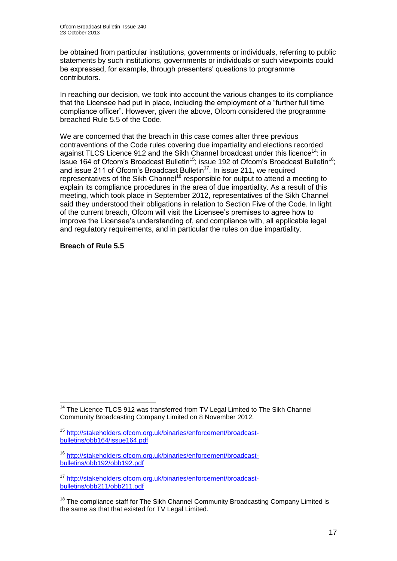be obtained from particular institutions, governments or individuals, referring to public statements by such institutions, governments or individuals or such viewpoints could be expressed, for example, through presenters' questions to programme contributors.

In reaching our decision, we took into account the various changes to its compliance that the Licensee had put in place, including the employment of a "further full time compliance officer". However, given the above, Ofcom considered the programme breached Rule 5.5 of the Code.

We are concerned that the breach in this case comes after three previous contraventions of the Code rules covering due impartiality and elections recorded against TLCS Licence 912 and the Sikh Channel broadcast under this licence<sup>14</sup>: in issue 164 of Ofcom's Broadcast Bulletin<sup>15</sup>; issue 192 of Ofcom's Broadcast Bulletin<sup>16</sup>; and issue 211 of Ofcom's Broadcast Bulletin $17$ . In issue 211, we required representatives of the Sikh Channel<sup>18</sup> responsible for output to attend a meeting to explain its compliance procedures in the area of due impartiality. As a result of this meeting, which took place in September 2012, representatives of the Sikh Channel said they understood their obligations in relation to Section Five of the Code. In light of the current breach, Ofcom will visit the Licensee's premises to agree how to improve the Licensee's understanding of, and compliance with, all applicable legal and regulatory requirements, and in particular the rules on due impartiality.

#### **Breach of Rule 5.5**

<sup>1</sup> <sup>14</sup> The Licence TLCS 912 was transferred from TV Legal Limited to The Sikh Channel Community Broadcasting Company Limited on 8 November 2012.

<sup>&</sup>lt;sup>15</sup> [http://stakeholders.ofcom.org.uk/binaries/enforcement/broadcast](http://stakeholders.ofcom.org.uk/binaries/enforcement/broadcast-bulletins/obb164/issue164.pdf)[bulletins/obb164/issue164.pdf](http://stakeholders.ofcom.org.uk/binaries/enforcement/broadcast-bulletins/obb164/issue164.pdf)

<sup>16</sup> [http://stakeholders.ofcom.org.uk/binaries/enforcement/broadcast](http://stakeholders.ofcom.org.uk/binaries/enforcement/broadcast-bulletins/obb192/obb192.pdf)[bulletins/obb192/obb192.pdf](http://stakeholders.ofcom.org.uk/binaries/enforcement/broadcast-bulletins/obb192/obb192.pdf)

<sup>17</sup> [http://stakeholders.ofcom.org.uk/binaries/enforcement/broadcast](http://stakeholders.ofcom.org.uk/binaries/enforcement/broadcast-bulletins/obb211/obb211.pdf)[bulletins/obb211/obb211.pdf](http://stakeholders.ofcom.org.uk/binaries/enforcement/broadcast-bulletins/obb211/obb211.pdf)

<sup>&</sup>lt;sup>18</sup> The compliance staff for The Sikh Channel Community Broadcasting Company Limited is the same as that that existed for TV Legal Limited.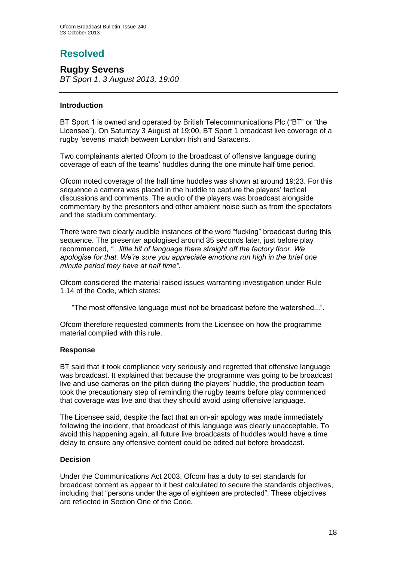# **Resolved**

**Rugby Sevens** *BT Sport 1, 3 August 2013, 19:00*

#### **Introduction**

BT Sport 1 is owned and operated by British Telecommunications Plc ("BT" or "the Licensee"). On Saturday 3 August at 19:00, BT Sport 1 broadcast live coverage of a rugby 'sevens' match between London Irish and Saracens.

Two complainants alerted Ofcom to the broadcast of offensive language during coverage of each of the teams' huddles during the one minute half time period.

Ofcom noted coverage of the half time huddles was shown at around 19:23. For this sequence a camera was placed in the huddle to capture the players' tactical discussions and comments. The audio of the players was broadcast alongside commentary by the presenters and other ambient noise such as from the spectators and the stadium commentary.

There were two clearly audible instances of the word "fucking" broadcast during this sequence. The presenter apologised around 35 seconds later, just before play recommenced, *"...little bit of language there straight off the factory floor. We apologise for that. We're sure you appreciate emotions run high in the brief one minute period they have at half time"*.

Ofcom considered the material raised issues warranting investigation under Rule 1.14 of the Code, which states:

"The most offensive language must not be broadcast before the watershed...".

Ofcom therefore requested comments from the Licensee on how the programme material complied with this rule.

#### **Response**

BT said that it took compliance very seriously and regretted that offensive language was broadcast. It explained that because the programme was going to be broadcast live and use cameras on the pitch during the players' huddle, the production team took the precautionary step of reminding the rugby teams before play commenced that coverage was live and that they should avoid using offensive language.

The Licensee said, despite the fact that an on-air apology was made immediately following the incident, that broadcast of this language was clearly unacceptable. To avoid this happening again, all future live broadcasts of huddles would have a time delay to ensure any offensive content could be edited out before broadcast.

#### **Decision**

Under the Communications Act 2003, Ofcom has a duty to set standards for broadcast content as appear to it best calculated to secure the standards objectives, including that "persons under the age of eighteen are protected". These objectives are reflected in Section One of the Code.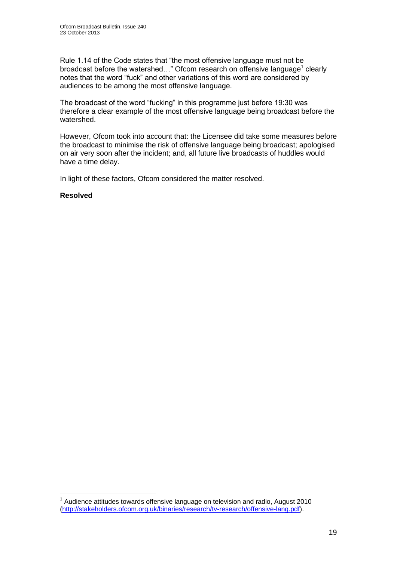Rule 1.14 of the Code states that "the most offensive language must not be broadcast before the watershed..." Ofcom research on offensive language<sup>1</sup> clearly notes that the word "fuck" and other variations of this word are considered by audiences to be among the most offensive language.

The broadcast of the word "fucking" in this programme just before 19:30 was therefore a clear example of the most offensive language being broadcast before the watershed.

However, Ofcom took into account that: the Licensee did take some measures before the broadcast to minimise the risk of offensive language being broadcast; apologised on air very soon after the incident; and, all future live broadcasts of huddles would have a time delay.

In light of these factors, Ofcom considered the matter resolved.

#### **Resolved**

 $1$  Audience attitudes towards offensive language on television and radio, August 2010 [\(http://stakeholders.ofcom.org.uk/binaries/research/tv-research/offensive-lang.pdf\)](http://stakeholders.ofcom.org.uk/binaries/research/tv-research/offensive-lang.pdf).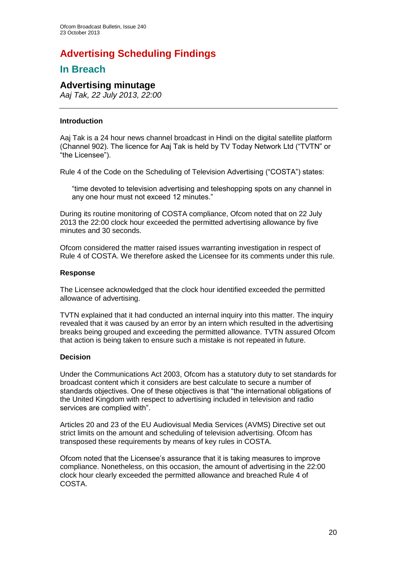# **Advertising Scheduling Findings**

## **In Breach**

### **Advertising minutage**

*Aaj Tak, 22 July 2013, 22:00*

#### **Introduction**

Aaj Tak is a 24 hour news channel broadcast in Hindi on the digital satellite platform (Channel 902). The licence for Aaj Tak is held by TV Today Network Ltd ("TVTN" or "the Licensee").

Rule 4 of the Code on the Scheduling of Television Advertising ("COSTA") states:

"time devoted to television advertising and teleshopping spots on any channel in any one hour must not exceed 12 minutes."

During its routine monitoring of COSTA compliance, Ofcom noted that on 22 July 2013 the 22:00 clock hour exceeded the permitted advertising allowance by five minutes and 30 seconds.

Ofcom considered the matter raised issues warranting investigation in respect of Rule 4 of COSTA. We therefore asked the Licensee for its comments under this rule.

#### **Response**

The Licensee acknowledged that the clock hour identified exceeded the permitted allowance of advertising.

TVTN explained that it had conducted an internal inquiry into this matter. The inquiry revealed that it was caused by an error by an intern which resulted in the advertising breaks being grouped and exceeding the permitted allowance. TVTN assured Ofcom that action is being taken to ensure such a mistake is not repeated in future.

#### **Decision**

Under the Communications Act 2003, Ofcom has a statutory duty to set standards for broadcast content which it considers are best calculate to secure a number of standards objectives. One of these objectives is that "the international obligations of the United Kingdom with respect to advertising included in television and radio services are complied with".

Articles 20 and 23 of the EU Audiovisual Media Services (AVMS) Directive set out strict limits on the amount and scheduling of television advertising. Ofcom has transposed these requirements by means of key rules in COSTA.

Ofcom noted that the Licensee's assurance that it is taking measures to improve compliance. Nonetheless, on this occasion, the amount of advertising in the 22:00 clock hour clearly exceeded the permitted allowance and breached Rule 4 of COSTA.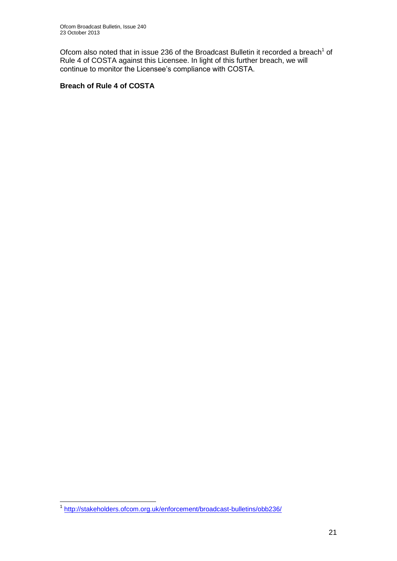Ofcom also noted that in issue 236 of the Broadcast Bulletin it recorded a breach<sup>1</sup> of Rule 4 of COSTA against this Licensee. In light of this further breach, we will continue to monitor the Licensee's compliance with COSTA.

#### **Breach of Rule 4 of COSTA**

 1 <http://stakeholders.ofcom.org.uk/enforcement/broadcast-bulletins/obb236/>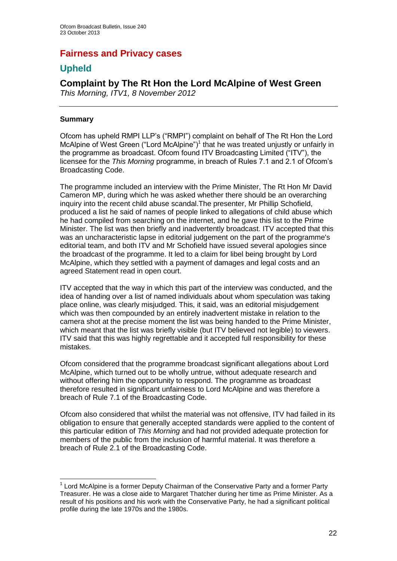## **Fairness and Privacy cases**

## **Upheld**

## **Complaint by The Rt Hon the Lord McAlpine of West Green**

*This Morning, ITV1, 8 November 2012*

#### **Summary**

Ofcom has upheld RMPI LLP's ("RMPI") complaint on behalf of The Rt Hon the Lord McAlpine of West Green ("Lord McAlpine") $<sup>1</sup>$  that he was treated unjustly or unfairly in</sup> the programme as broadcast. Ofcom found ITV Broadcasting Limited ("ITV"), the licensee for the *This Morning* programme, in breach of Rules 7.1 and 2.1 of Ofcom's Broadcasting Code.

The programme included an interview with the Prime Minister, The Rt Hon Mr David Cameron MP, during which he was asked whether there should be an overarching inquiry into the recent child abuse scandal.The presenter, Mr Phillip Schofield, produced a list he said of names of people linked to allegations of child abuse which he had compiled from searching on the internet, and he gave this list to the Prime Minister. The list was then briefly and inadvertently broadcast. ITV accepted that this was an uncharacteristic lapse in editorial judgement on the part of the programme's editorial team, and both ITV and Mr Schofield have issued several apologies since the broadcast of the programme. It led to a claim for libel being brought by Lord McAlpine, which they settled with a payment of damages and legal costs and an agreed Statement read in open court.

ITV accepted that the way in which this part of the interview was conducted, and the idea of handing over a list of named individuals about whom speculation was taking place online, was clearly misjudged. This, it said, was an editorial misjudgement which was then compounded by an entirely inadvertent mistake in relation to the camera shot at the precise moment the list was being handed to the Prime Minister, which meant that the list was briefly visible (but ITV believed not legible) to viewers. ITV said that this was highly regrettable and it accepted full responsibility for these mistakes.

Ofcom considered that the programme broadcast significant allegations about Lord McAlpine, which turned out to be wholly untrue, without adequate research and without offering him the opportunity to respond. The programme as broadcast therefore resulted in significant unfairness to Lord McAlpine and was therefore a breach of Rule 7.1 of the Broadcasting Code.

Ofcom also considered that whilst the material was not offensive, ITV had failed in its obligation to ensure that generally accepted standards were applied to the content of this particular edition of *This Morning* and had not provided adequate protection for members of the public from the inclusion of harmful material. It was therefore a breach of Rule 2.1 of the Broadcasting Code.

<sup>1</sup>  $1$  Lord McAlpine is a former Deputy Chairman of the Conservative Party and a former Party Treasurer. He was a close aide to Margaret Thatcher during her time as Prime Minister. As a result of his positions and his work with the Conservative Party, he had a significant political profile during the late 1970s and the 1980s.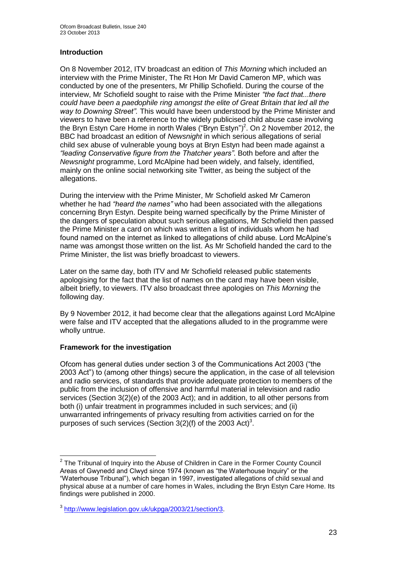#### **Introduction**

On 8 November 2012, ITV broadcast an edition of *This Morning* which included an interview with the Prime Minister, The Rt Hon Mr David Cameron MP, which was conducted by one of the presenters, Mr Phillip Schofield. During the course of the interview, Mr Schofield sought to raise with the Prime Minister *"the fact that...there could have been a paedophile ring amongst the elite of Great Britain that led all the way to Downing Street".* This would have been understood by the Prime Minister and viewers to have been a reference to the widely publicised child abuse case involving the Bryn Estyn Care Home in north Wales ("Bryn Estyn")<sup>2</sup>. On 2 November 2012, the BBC had broadcast an edition of *Newsnight* in which serious allegations of serial child sex abuse of vulnerable young boys at Bryn Estyn had been made against a *"leading Conservative figure from the Thatcher years"*. Both before and after the *Newsnight* programme, Lord McAlpine had been widely, and falsely, identified, mainly on the online social networking site Twitter, as being the subject of the allegations.

During the interview with the Prime Minister, Mr Schofield asked Mr Cameron whether he had *"heard the names"* who had been associated with the allegations concerning Bryn Estyn. Despite being warned specifically by the Prime Minister of the dangers of speculation about such serious allegations, Mr Schofield then passed the Prime Minister a card on which was written a list of individuals whom he had found named on the internet as linked to allegations of child abuse. Lord McAlpine's name was amongst those written on the list. As Mr Schofield handed the card to the Prime Minister, the list was briefly broadcast to viewers.

Later on the same day, both ITV and Mr Schofield released public statements apologising for the fact that the list of names on the card may have been visible, albeit briefly, to viewers. ITV also broadcast three apologies on *This Morning* the following day.

By 9 November 2012, it had become clear that the allegations against Lord McAlpine were false and ITV accepted that the allegations alluded to in the programme were wholly untrue.

#### **Framework for the investigation**

Ofcom has general duties under section 3 of the Communications Act 2003 ("the 2003 Act") to (among other things) secure the application, in the case of all television and radio services, of standards that provide adequate protection to members of the public from the inclusion of offensive and harmful material in television and radio services (Section 3(2)(e) of the 2003 Act); and in addition, to all other persons from both (i) unfair treatment in programmes included in such services; and (ii) unwarranted infringements of privacy resulting from activities carried on for the purposes of such services (Section  $3(2)(f)$  of the 2003 Act)<sup>3</sup>.

 2 The Tribunal of Inquiry into the Abuse of Children in Care in the Former County Council Areas of Gwynedd and Clwyd since 1974 (known as "the Waterhouse Inquiry" or the "Waterhouse Tribunal"), which began in 1997, investigated allegations of child sexual and physical abuse at a number of care homes in Wales, including the Bryn Estyn Care Home. Its findings were published in 2000.

<sup>3</sup> [http://www.legislation.gov.uk/ukpga/2003/21/section/3.](http://www.legislation.gov.uk/ukpga/2003/21/section/3)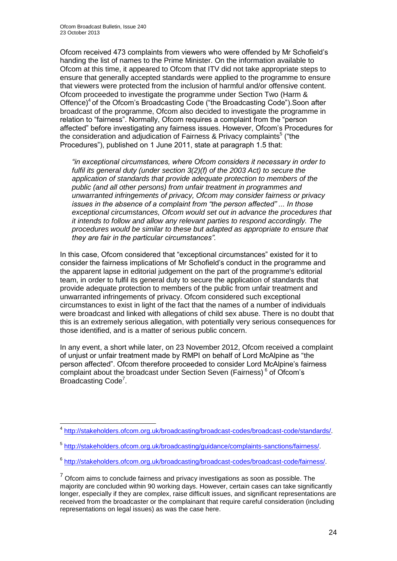1

Ofcom received 473 complaints from viewers who were offended by Mr Schofield's handing the list of names to the Prime Minister. On the information available to Ofcom at this time, it appeared to Ofcom that ITV did not take appropriate steps to ensure that generally accepted standards were applied to the programme to ensure that viewers were protected from the inclusion of harmful and/or offensive content. Ofcom proceeded to investigate the programme under Section Two (Harm & Offence)<sup>4</sup> of the Ofcom's Broadcasting Code ("the Broadcasting Code"). Soon after broadcast of the programme, Ofcom also decided to investigate the programme in relation to "fairness". Normally, Ofcom requires a complaint from the "person affected" before investigating any fairness issues. However, Ofcom's Procedures for the consideration and adjudication of Fairness & Privacy complaints<sup>5</sup> ("the Procedures"), published on 1 June 2011, state at paragraph 1.5 that:

*"in exceptional circumstances, where Ofcom considers it necessary in order to fulfil its general duty (under section 3(2)(f) of the 2003 Act) to secure the application of standards that provide adequate protection to members of the public (and all other persons) from unfair treatment in programmes and unwarranted infringements of privacy, Ofcom may consider fairness or privacy issues in the absence of a complaint from "the person affected" ... In those exceptional circumstances, Ofcom would set out in advance the procedures that it intends to follow and allow any relevant parties to respond accordingly. The procedures would be similar to these but adapted as appropriate to ensure that they are fair in the particular circumstances".*

In this case, Ofcom considered that "exceptional circumstances" existed for it to consider the fairness implications of Mr Schofield's conduct in the programme and the apparent lapse in editorial judgement on the part of the programme's editorial team, in order to fulfil its general duty to secure the application of standards that provide adequate protection to members of the public from unfair treatment and unwarranted infringements of privacy. Ofcom considered such exceptional circumstances to exist in light of the fact that the names of a number of individuals were broadcast and linked with allegations of child sex abuse. There is no doubt that this is an extremely serious allegation, with potentially very serious consequences for those identified, and is a matter of serious public concern.

In any event, a short while later, on 23 November 2012, Ofcom received a complaint of unjust or unfair treatment made by RMPI on behalf of Lord McAlpine as "the person affected". Ofcom therefore proceeded to consider Lord McAlpine's fairness complaint about the broadcast under Section Seven (Fairness)<sup>6</sup> of Ofcom's Broadcasting Code<sup>7</sup>.

<sup>4</sup> [http://stakeholders.ofcom.org.uk/broadcasting/broadcast-codes/broadcast-code/standards/.](http://stakeholders.ofcom.org.uk/broadcasting/broadcast-codes/broadcast-code/standards/)

<sup>&</sup>lt;sup>5</sup> [http://stakeholders.ofcom.org.uk/broadcasting/guidance/complaints-sanctions/fairness/.](http://stakeholders.ofcom.org.uk/broadcasting/guidance/complaints-sanctions/fairness/)

<sup>6</sup> [http://stakeholders.ofcom.org.uk/broadcasting/broadcast-codes/broadcast-code/fairness/.](http://stakeholders.ofcom.org.uk/broadcasting/broadcast-codes/broadcast-code/fairness/)

 $<sup>7</sup>$  Ofcom aims to conclude fairness and privacy investigations as soon as possible. The</sup> majority are concluded within 90 working days. However, certain cases can take significantly longer, especially if they are complex, raise difficult issues, and significant representations are received from the broadcaster or the complainant that require careful consideration (including representations on legal issues) as was the case here.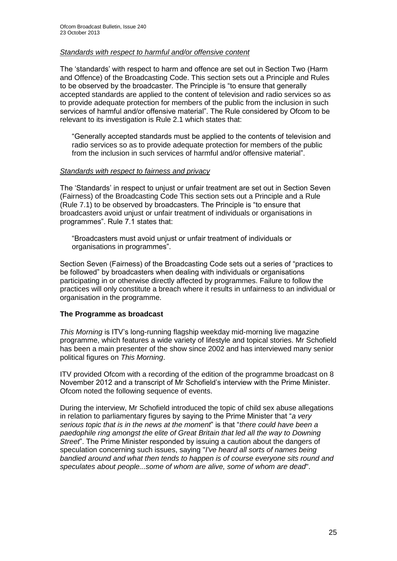#### *Standards with respect to harmful and/or offensive content*

The 'standards' with respect to harm and offence are set out in Section Two (Harm and Offence) of the Broadcasting Code. This section sets out a Principle and Rules to be observed by the broadcaster. The Principle is "to ensure that generally accepted standards are applied to the content of television and radio services so as to provide adequate protection for members of the public from the inclusion in such services of harmful and/or offensive material". The Rule considered by Ofcom to be relevant to its investigation is Rule 2.1 which states that:

"Generally accepted standards must be applied to the contents of television and radio services so as to provide adequate protection for members of the public from the inclusion in such services of harmful and/or offensive material".

#### *Standards with respect to fairness and privacy*

The 'Standards' in respect to unjust or unfair treatment are set out in Section Seven (Fairness) of the Broadcasting Code This section sets out a Principle and a Rule (Rule 7.1) to be observed by broadcasters. The Principle is "to ensure that broadcasters avoid unjust or unfair treatment of individuals or organisations in programmes". Rule 7.1 states that:

"Broadcasters must avoid unjust or unfair treatment of individuals or organisations in programmes".

Section Seven (Fairness) of the Broadcasting Code sets out a series of "practices to be followed" by broadcasters when dealing with individuals or organisations participating in or otherwise directly affected by programmes. Failure to follow the practices will only constitute a breach where it results in unfairness to an individual or organisation in the programme.

#### **The Programme as broadcast**

*This Morning* is ITV's long-running flagship weekday mid-morning live magazine programme, which features a wide variety of lifestyle and topical stories. Mr Schofield has been a main presenter of the show since 2002 and has interviewed many senior political figures on *This Morning*.

ITV provided Ofcom with a recording of the edition of the programme broadcast on 8 November 2012 and a transcript of Mr Schofield's interview with the Prime Minister. Ofcom noted the following sequence of events.

During the interview, Mr Schofield introduced the topic of child sex abuse allegations in relation to parliamentary figures by saying to the Prime Minister that "*a very serious topic that is in the news at the moment*" is that "*there could have been a paedophile ring amongst the elite of Great Britain that led all the way to Downing Street*". The Prime Minister responded by issuing a caution about the dangers of speculation concerning such issues, saying "*I've heard all sorts of names being bandied around and what then tends to happen is of course everyone sits round and speculates about people...some of whom are alive, some of whom are dead*".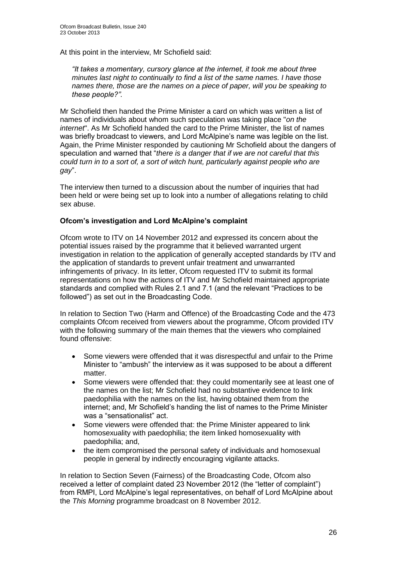At this point in the interview, Mr Schofield said:

*"It takes a momentary, cursory glance at the internet, it took me about three minutes last night to continually to find a list of the same names. I have those names there, those are the names on a piece of paper, will you be speaking to these people?".*

Mr Schofield then handed the Prime Minister a card on which was written a list of names of individuals about whom such speculation was taking place "*on the internet*". As Mr Schofield handed the card to the Prime Minister, the list of names was briefly broadcast to viewers, and Lord McAlpine's name was legible on the list. Again, the Prime Minister responded by cautioning Mr Schofield about the dangers of speculation and warned that "*there is a danger that if we are not careful that this could turn in to a sort of, a sort of witch hunt, particularly against people who are gay*".

The interview then turned to a discussion about the number of inquiries that had been held or were being set up to look into a number of allegations relating to child sex abuse.

#### **Ofcom's investigation and Lord McAlpine's complaint**

Ofcom wrote to ITV on 14 November 2012 and expressed its concern about the potential issues raised by the programme that it believed warranted urgent investigation in relation to the application of generally accepted standards by ITV and the application of standards to prevent unfair treatment and unwarranted infringements of privacy. In its letter, Ofcom requested ITV to submit its formal representations on how the actions of ITV and Mr Schofield maintained appropriate standards and complied with Rules 2.1 and 7.1 (and the relevant "Practices to be followed") as set out in the Broadcasting Code.

In relation to Section Two (Harm and Offence) of the Broadcasting Code and the 473 complaints Ofcom received from viewers about the programme, Ofcom provided ITV with the following summary of the main themes that the viewers who complained found offensive:

- Some viewers were offended that it was disrespectful and unfair to the Prime Minister to "ambush" the interview as it was supposed to be about a different matter.
- Some viewers were offended that: they could momentarily see at least one of the names on the list; Mr Schofield had no substantive evidence to link paedophilia with the names on the list, having obtained them from the internet; and, Mr Schofield's handing the list of names to the Prime Minister was a "sensationalist" act.
- Some viewers were offended that: the Prime Minister appeared to link homosexuality with paedophilia; the item linked homosexuality with paedophilia; and,
- the item compromised the personal safety of individuals and homosexual people in general by indirectly encouraging vigilante attacks.

In relation to Section Seven (Fairness) of the Broadcasting Code, Ofcom also received a letter of complaint dated 23 November 2012 (the "letter of complaint") from RMPI, Lord McAlpine's legal representatives, on behalf of Lord McAlpine about the *This Morning* programme broadcast on 8 November 2012.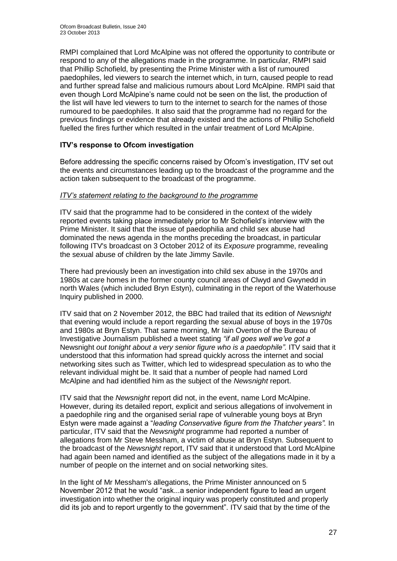RMPI complained that Lord McAlpine was not offered the opportunity to contribute or respond to any of the allegations made in the programme. In particular, RMPI said that Phillip Schofield, by presenting the Prime Minister with a list of rumoured paedophiles, led viewers to search the internet which, in turn, caused people to read and further spread false and malicious rumours about Lord McAlpine. RMPI said that even though Lord McAlpine's name could not be seen on the list, the production of the list will have led viewers to turn to the internet to search for the names of those rumoured to be paedophiles. It also said that the programme had no regard for the previous findings or evidence that already existed and the actions of Phillip Schofield fuelled the fires further which resulted in the unfair treatment of Lord McAlpine.

#### **ITV's response to Ofcom investigation**

Before addressing the specific concerns raised by Ofcom's investigation, ITV set out the events and circumstances leading up to the broadcast of the programme and the action taken subsequent to the broadcast of the programme.

#### *ITV's statement relating to the background to the programme*

ITV said that the programme had to be considered in the context of the widely reported events taking place immediately prior to Mr Schofield's interview with the Prime Minister. It said that the issue of paedophilia and child sex abuse had dominated the news agenda in the months preceding the broadcast, in particular following ITV's broadcast on 3 October 2012 of its *Exposure* programme, revealing the sexual abuse of children by the late Jimmy Savile.

There had previously been an investigation into child sex abuse in the 1970s and 1980s at care homes in the former county council areas of Clwyd and Gwynedd in north Wales (which included Bryn Estyn), culminating in the report of the Waterhouse Inquiry published in 2000.

ITV said that on 2 November 2012, the BBC had trailed that its edition of *Newsnight* that evening would include a report regarding the sexual abuse of boys in the 1970s and 1980s at Bryn Estyn. That same morning, Mr Iain Overton of the Bureau of Investigative Journalism published a tweet stating *"if all goes well we've got a*  Newsnight *out tonight about a very senior figure who is a paedophile*". ITV said that it understood that this information had spread quickly across the internet and social networking sites such as Twitter, which led to widespread speculation as to who the relevant individual might be. It said that a number of people had named Lord McAlpine and had identified him as the subject of the *Newsnight* report.

ITV said that the *Newsnight* report did not, in the event, name Lord McAlpine. However, during its detailed report, explicit and serious allegations of involvement in a paedophile ring and the organised serial rape of vulnerable young boys at Bryn Estyn were made against a "*leading Conservative figure from the Thatcher years".* In particular, ITV said that the *Newsnight* programme had reported a number of allegations from Mr Steve Messham, a victim of abuse at Bryn Estyn. Subsequent to the broadcast of the *Newsnight* report, ITV said that it understood that Lord McAlpine had again been named and identified as the subject of the allegations made in it by a number of people on the internet and on social networking sites.

In the light of Mr Messham's allegations, the Prime Minister announced on 5 November 2012 that he would "ask...a senior independent figure to lead an urgent investigation into whether the original inquiry was properly constituted and properly did its job and to report urgently to the government". ITV said that by the time of the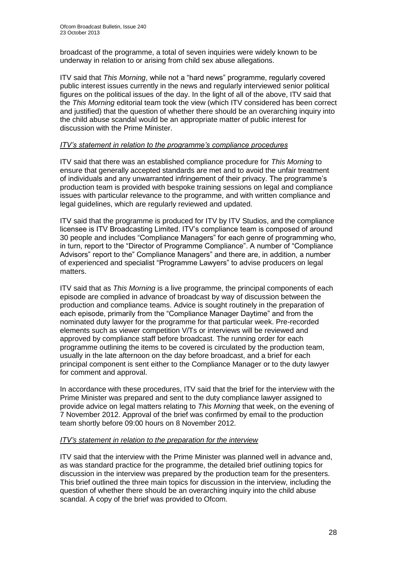broadcast of the programme, a total of seven inquiries were widely known to be underway in relation to or arising from child sex abuse allegations.

ITV said that *This Morning*, while not a "hard news" programme, regularly covered public interest issues currently in the news and regularly interviewed senior political figures on the political issues of the day. In the light of all of the above, ITV said that the *This Morning* editorial team took the view (which ITV considered has been correct and justified) that the question of whether there should be an overarching inquiry into the child abuse scandal would be an appropriate matter of public interest for discussion with the Prime Minister.

#### *ITV's statement in relation to the programme's compliance procedures*

ITV said that there was an established compliance procedure for *This Morning* to ensure that generally accepted standards are met and to avoid the unfair treatment of individuals and any unwarranted infringement of their privacy. The programme's production team is provided with bespoke training sessions on legal and compliance issues with particular relevance to the programme, and with written compliance and legal guidelines, which are regularly reviewed and updated.

ITV said that the programme is produced for ITV by ITV Studios, and the compliance licensee is ITV Broadcasting Limited. ITV's compliance team is composed of around 30 people and includes "Compliance Managers" for each genre of programming who, in turn, report to the "Director of Programme Compliance". A number of "Compliance Advisors" report to the" Compliance Managers" and there are, in addition, a number of experienced and specialist "Programme Lawyers" to advise producers on legal matters.

ITV said that as *This Morning* is a live programme, the principal components of each episode are complied in advance of broadcast by way of discussion between the production and compliance teams. Advice is sought routinely in the preparation of each episode, primarily from the "Compliance Manager Daytime" and from the nominated duty lawyer for the programme for that particular week. Pre-recorded elements such as viewer competition V/Ts or interviews will be reviewed and approved by compliance staff before broadcast. The running order for each programme outlining the items to be covered is circulated by the production team, usually in the late afternoon on the day before broadcast, and a brief for each principal component is sent either to the Compliance Manager or to the duty lawyer for comment and approval.

In accordance with these procedures, ITV said that the brief for the interview with the Prime Minister was prepared and sent to the duty compliance lawyer assigned to provide advice on legal matters relating to *This Morning* that week, on the evening of 7 November 2012. Approval of the brief was confirmed by email to the production team shortly before 09:00 hours on 8 November 2012.

#### *ITV's statement in relation to the preparation for the interview*

ITV said that the interview with the Prime Minister was planned well in advance and, as was standard practice for the programme, the detailed brief outlining topics for discussion in the interview was prepared by the production team for the presenters. This brief outlined the three main topics for discussion in the interview, including the question of whether there should be an overarching inquiry into the child abuse scandal. A copy of the brief was provided to Ofcom.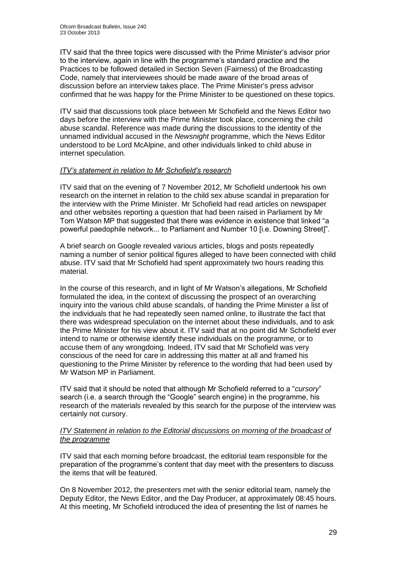ITV said that the three topics were discussed with the Prime Minister's advisor prior to the interview, again in line with the programme's standard practice and the Practices to be followed detailed in Section Seven (Fairness) of the Broadcasting Code, namely that interviewees should be made aware of the broad areas of discussion before an interview takes place. The Prime Minister's press advisor confirmed that he was happy for the Prime Minister to be questioned on these topics.

ITV said that discussions took place between Mr Schofield and the News Editor two days before the interview with the Prime Minister took place, concerning the child abuse scandal. Reference was made during the discussions to the identity of the unnamed individual accused in the *Newsnight* programme, which the News Editor understood to be Lord McAlpine, and other individuals linked to child abuse in internet speculation.

#### *ITV's statement in relation to Mr Schofield's research*

ITV said that on the evening of 7 November 2012, Mr Schofield undertook his own research on the internet in relation to the child sex abuse scandal in preparation for the interview with the Prime Minister. Mr Schofield had read articles on newspaper and other websites reporting a question that had been raised in Parliament by Mr Tom Watson MP that suggested that there was evidence in existence that linked "a powerful paedophile network... to Parliament and Number 10 [i.e. Downing Street]".

A brief search on Google revealed various articles, blogs and posts repeatedly naming a number of senior political figures alleged to have been connected with child abuse. ITV said that Mr Schofield had spent approximately two hours reading this material.

In the course of this research, and in light of Mr Watson's allegations, Mr Schofield formulated the idea, in the context of discussing the prospect of an overarching inquiry into the various child abuse scandals, of handing the Prime Minister a list of the individuals that he had repeatedly seen named online, to illustrate the fact that there was widespread speculation on the internet about these individuals, and to ask the Prime Minister for his view about it. ITV said that at no point did Mr Schofield ever intend to name or otherwise identify these individuals on the programme*,* or to accuse them of any wrongdoing. Indeed, ITV said that Mr Schofield was very conscious of the need for care in addressing this matter at all and framed his questioning to the Prime Minister by reference to the wording that had been used by Mr Watson MP in Parliament.

ITV said that it should be noted that although Mr Schofield referred to a "*cursory*" search (i.e. a search through the "Google" search engine) in the programme, his research of the materials revealed by this search for the purpose of the interview was certainly not cursory.

#### *ITV Statement in relation to the Editorial discussions on morning of the broadcast of the programme*

ITV said that each morning before broadcast, the editorial team responsible for the preparation of the programme's content that day meet with the presenters to discuss the items that will be featured.

On 8 November 2012, the presenters met with the senior editorial team, namely the Deputy Editor, the News Editor, and the Day Producer, at approximately 08:45 hours. At this meeting, Mr Schofield introduced the idea of presenting the list of names he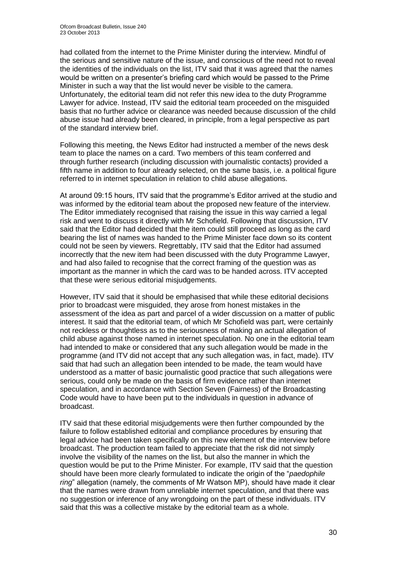had collated from the internet to the Prime Minister during the interview. Mindful of the serious and sensitive nature of the issue, and conscious of the need not to reveal the identities of the individuals on the list, ITV said that it was agreed that the names would be written on a presenter's briefing card which would be passed to the Prime Minister in such a way that the list would never be visible to the camera. Unfortunately, the editorial team did not refer this new idea to the duty Programme Lawyer for advice. Instead, ITV said the editorial team proceeded on the misguided basis that no further advice or clearance was needed because discussion of the child abuse issue had already been cleared, in principle, from a legal perspective as part of the standard interview brief.

Following this meeting, the News Editor had instructed a member of the news desk team to place the names on a card. Two members of this team conferred and through further research (including discussion with journalistic contacts) provided a fifth name in addition to four already selected, on the same basis, i.e. a political figure referred to in internet speculation in relation to child abuse allegations.

At around 09:15 hours, ITV said that the programme's Editor arrived at the studio and was informed by the editorial team about the proposed new feature of the interview. The Editor immediately recognised that raising the issue in this way carried a legal risk and went to discuss it directly with Mr Schofield. Following that discussion, ITV said that the Editor had decided that the item could still proceed as long as the card bearing the list of names was handed to the Prime Minister face down so its content could not be seen by viewers. Regrettably, ITV said that the Editor had assumed incorrectly that the new item had been discussed with the duty Programme Lawyer, and had also failed to recognise that the correct framing of the question was as important as the manner in which the card was to be handed across. ITV accepted that these were serious editorial misjudgements.

However, ITV said that it should be emphasised that while these editorial decisions prior to broadcast were misguided, they arose from honest mistakes in the assessment of the idea as part and parcel of a wider discussion on a matter of public interest. It said that the editorial team, of which Mr Schofield was part, were certainly not reckless or thoughtless as to the seriousness of making an actual allegation of child abuse against those named in internet speculation. No one in the editorial team had intended to make or considered that any such allegation would be made in the programme (and ITV did not accept that any such allegation was, in fact, made). ITV said that had such an allegation been intended to be made, the team would have understood as a matter of basic journalistic good practice that such allegations were serious, could only be made on the basis of firm evidence rather than internet speculation, and in accordance with Section Seven (Fairness) of the Broadcasting Code would have to have been put to the individuals in question in advance of broadcast.

ITV said that these editorial misjudgements were then further compounded by the failure to follow established editorial and compliance procedures by ensuring that legal advice had been taken specifically on this new element of the interview before broadcast. The production team failed to appreciate that the risk did not simply involve the visibility of the names on the list, but also the manner in which the question would be put to the Prime Minister. For example, ITV said that the question should have been more clearly formulated to indicate the origin of the "*paedophile ring*" allegation (namely, the comments of Mr Watson MP), should have made it clear that the names were drawn from unreliable internet speculation, and that there was no suggestion or inference of any wrongdoing on the part of these individuals. ITV said that this was a collective mistake by the editorial team as a whole.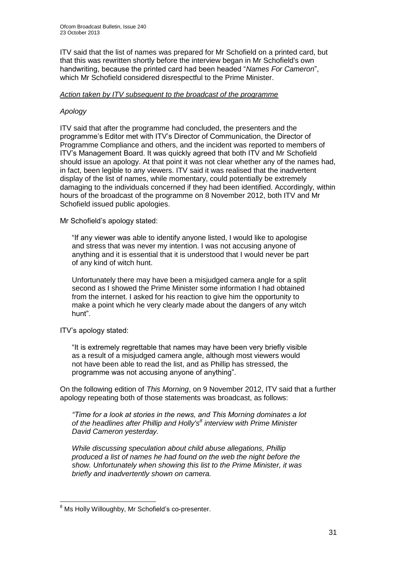ITV said that the list of names was prepared for Mr Schofield on a printed card, but that this was rewritten shortly before the interview began in Mr Schofield's own handwriting, because the printed card had been headed "*Names For Cameron*", which Mr Schofield considered disrespectful to the Prime Minister.

#### *Action taken by ITV subsequent to the broadcast of the programme*

#### *Apology*

ITV said that after the programme had concluded, the presenters and the programme's Editor met with ITV's Director of Communication, the Director of Programme Compliance and others, and the incident was reported to members of ITV's Management Board. It was quickly agreed that both ITV and Mr Schofield should issue an apology. At that point it was not clear whether any of the names had, in fact, been legible to any viewers. ITV said it was realised that the inadvertent display of the list of names, while momentary, could potentially be extremely damaging to the individuals concerned if they had been identified. Accordingly, within hours of the broadcast of the programme on 8 November 2012, both ITV and Mr Schofield issued public apologies.

Mr Schofield's apology stated:

"If any viewer was able to identify anyone listed, I would like to apologise and stress that was never my intention. I was not accusing anyone of anything and it is essential that it is understood that I would never be part of any kind of witch hunt.

Unfortunately there may have been a misjudged camera angle for a split second as I showed the Prime Minister some information I had obtained from the internet. I asked for his reaction to give him the opportunity to make a point which he very clearly made about the dangers of any witch hunt".

ITV's apology stated:

"It is extremely regrettable that names may have been very briefly visible as a result of a misjudged camera angle, although most viewers would not have been able to read the list, and as Phillip has stressed, the programme was not accusing anyone of anything".

On the following edition of *This Morning*, on 9 November 2012, ITV said that a further apology repeating both of those statements was broadcast, as follows:

*"Time for a look at stories in the news, and This Morning dominates a lot of the headlines after Phillip and Holly's<sup>8</sup> interview with Prime Minister David Cameron yesterday.*

*While discussing speculation about child abuse allegations, Phillip produced a list of names he had found on the web the night before the show. Unfortunately when showing this list to the Prime Minister, it was briefly and inadvertently shown on camera.*

<sup>1</sup> <sup>8</sup> Ms Holly Willoughby, Mr Schofield's co-presenter.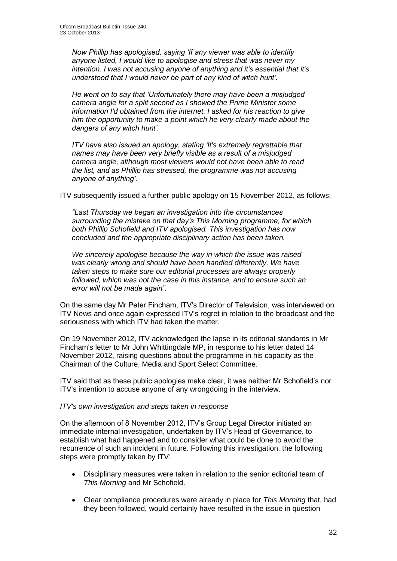*Now Phillip has apologised, saying 'If any viewer was able to identify anyone listed, I would like to apologise and stress that was never my intention. I was not accusing anyone of anything and it's essential that it's understood that I would never be part of any kind of witch hunt'.*

*He went on to say that 'Unfortunately there may have been a misjudged camera angle for a split second as I showed the Prime Minister some information I'd obtained from the internet. I asked for his reaction to give him the opportunity to make a point which he very clearly made about the dangers of any witch hunt'.*

*ITV have also issued an apology, stating 'It's extremely regrettable that names may have been very briefly visible as a result of a misjudged camera angle, although most viewers would not have been able to read the list, and as Phillip has stressed, the programme was not accusing anyone of anything'.*

ITV subsequently issued a further public apology on 15 November 2012, as follows:

*"Last Thursday we began an investigation into the circumstances surrounding the mistake on that day's This Morning programme, for which both Phillip Schofield and ITV apologised. This investigation has now concluded and the appropriate disciplinary action has been taken.* 

*We sincerely apologise because the way in which the issue was raised was clearly wrong and should have been handled differently. We have taken steps to make sure our editorial processes are always properly followed, which was not the case in this instance, and to ensure such an error will not be made again".*

On the same day Mr Peter Fincham, ITV's Director of Television, was interviewed on ITV News and once again expressed ITV's regret in relation to the broadcast and the seriousness with which ITV had taken the matter.

On 19 November 2012, ITV acknowledged the lapse in its editorial standards in Mr Fincham's letter to Mr John Whittingdale MP, in response to his letter dated 14 November 2012, raising questions about the programme in his capacity as the Chairman of the Culture, Media and Sport Select Committee.

ITV said that as these public apologies make clear, it was neither Mr Schofield's nor ITV's intention to accuse anyone of any wrongdoing in the interview.

#### *ITV's own investigation and steps taken in response*

On the afternoon of 8 November 2012, ITV's Group Legal Director initiated an immediate internal investigation, undertaken by ITV's Head of Governance, to establish what had happened and to consider what could be done to avoid the recurrence of such an incident in future. Following this investigation, the following steps were promptly taken by ITV:

- Disciplinary measures were taken in relation to the senior editorial team of *This Morning* and Mr Schofield.
- Clear compliance procedures were already in place for *This Morning* that, had they been followed, would certainly have resulted in the issue in question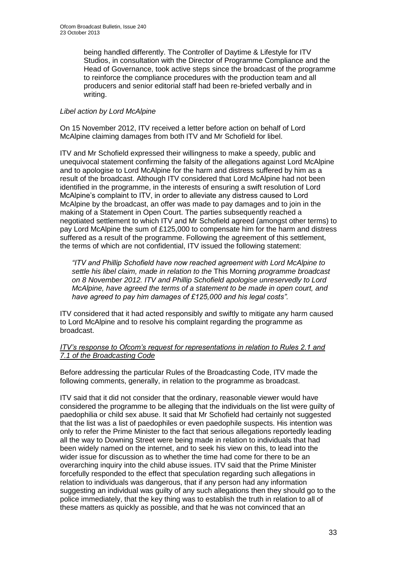being handled differently. The Controller of Daytime & Lifestyle for ITV Studios, in consultation with the Director of Programme Compliance and the Head of Governance, took active steps since the broadcast of the programme to reinforce the compliance procedures with the production team and all producers and senior editorial staff had been re-briefed verbally and in writing.

#### *Libel action by Lord McAlpine*

On 15 November 2012, ITV received a letter before action on behalf of Lord McAlpine claiming damages from both ITV and Mr Schofield for libel.

ITV and Mr Schofield expressed their willingness to make a speedy, public and unequivocal statement confirming the falsity of the allegations against Lord McAlpine and to apologise to Lord McAlpine for the harm and distress suffered by him as a result of the broadcast. Although ITV considered that Lord McAlpine had not been identified in the programme, in the interests of ensuring a swift resolution of Lord McAlpine's complaint to ITV, in order to alleviate any distress caused to Lord McAlpine by the broadcast, an offer was made to pay damages and to join in the making of a Statement in Open Court. The parties subsequently reached a negotiated settlement to which ITV and Mr Schofield agreed (amongst other terms) to pay Lord McAlpine the sum of £125,000 to compensate him for the harm and distress suffered as a result of the programme. Following the agreement of this settlement, the terms of which are not confidential, ITV issued the following statement:

*"ITV and Phillip Schofield have now reached agreement with Lord McAlpine to settle his libel claim, made in relation to the* This Morning *programme broadcast on 8 November 2012. ITV and Phillip Schofield apologise unreservedly to Lord McAlpine, have agreed the terms of a statement to be made in open court, and have agreed to pay him damages of £125,000 and his legal costs".*

ITV considered that it had acted responsibly and swiftly to mitigate any harm caused to Lord McAlpine and to resolve his complaint regarding the programme as broadcast.

#### *ITV's response to Ofcom's request for representations in relation to Rules 2.1 and 7.1 of the Broadcasting Code*

Before addressing the particular Rules of the Broadcasting Code, ITV made the following comments, generally, in relation to the programme as broadcast.

ITV said that it did not consider that the ordinary, reasonable viewer would have considered the programme to be alleging that the individuals on the list were guilty of paedophilia or child sex abuse. It said that Mr Schofield had certainly not suggested that the list was a list of paedophiles or even paedophile suspects. His intention was only to refer the Prime Minister to the fact that serious allegations reportedly leading all the way to Downing Street were being made in relation to individuals that had been widely named on the internet, and to seek his view on this, to lead into the wider issue for discussion as to whether the time had come for there to be an overarching inquiry into the child abuse issues. ITV said that the Prime Minister forcefully responded to the effect that speculation regarding such allegations in relation to individuals was dangerous, that if any person had any information suggesting an individual was guilty of any such allegations then they should go to the police immediately, that the key thing was to establish the truth in relation to all of these matters as quickly as possible, and that he was not convinced that an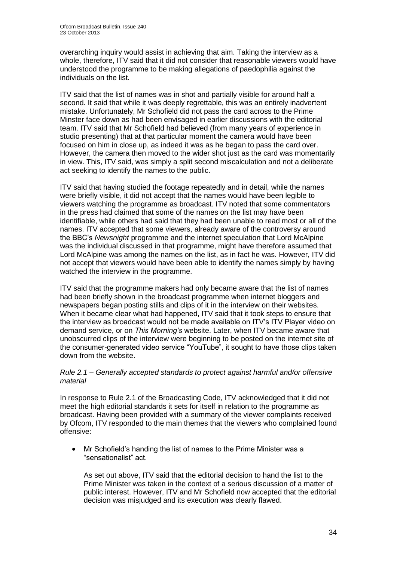overarching inquiry would assist in achieving that aim. Taking the interview as a whole, therefore, ITV said that it did not consider that reasonable viewers would have understood the programme to be making allegations of paedophilia against the individuals on the list.

ITV said that the list of names was in shot and partially visible for around half a second. It said that while it was deeply regrettable, this was an entirely inadvertent mistake. Unfortunately, Mr Schofield did not pass the card across to the Prime Minster face down as had been envisaged in earlier discussions with the editorial team. ITV said that Mr Schofield had believed (from many years of experience in studio presenting) that at that particular moment the camera would have been focused on him in close up, as indeed it was as he began to pass the card over. However, the camera then moved to the wider shot just as the card was momentarily in view. This, ITV said, was simply a split second miscalculation and not a deliberate act seeking to identify the names to the public.

ITV said that having studied the footage repeatedly and in detail, while the names were briefly visible, it did not accept that the names would have been legible to viewers watching the programme as broadcast. ITV noted that some commentators in the press had claimed that some of the names on the list may have been identifiable, while others had said that they had been unable to read most or all of the names. ITV accepted that some viewers, already aware of the controversy around the BBC's *Newsnight* programme and the internet speculation that Lord McAlpine was the individual discussed in that programme, might have therefore assumed that Lord McAlpine was among the names on the list, as in fact he was. However, ITV did not accept that viewers would have been able to identify the names simply by having watched the interview in the programme.

ITV said that the programme makers had only became aware that the list of names had been briefly shown in the broadcast programme when internet bloggers and newspapers began posting stills and clips of it in the interview on their websites. When it became clear what had happened, ITV said that it took steps to ensure that the interview as broadcast would not be made available on ITV's ITV Player video on demand service, or on *This Morning's* website. Later, when ITV became aware that unobscurred clips of the interview were beginning to be posted on the internet site of the consumer-generated video service "YouTube", it sought to have those clips taken down from the website.

#### *Rule 2.1 – Generally accepted standards to protect against harmful and/or offensive material*

In response to Rule 2.1 of the Broadcasting Code, ITV acknowledged that it did not meet the high editorial standards it sets for itself in relation to the programme as broadcast. Having been provided with a summary of the viewer complaints received by Ofcom, ITV responded to the main themes that the viewers who complained found offensive:

 Mr Schofield's handing the list of names to the Prime Minister was a "sensationalist" act.

As set out above, ITV said that the editorial decision to hand the list to the Prime Minister was taken in the context of a serious discussion of a matter of public interest. However, ITV and Mr Schofield now accepted that the editorial decision was misjudged and its execution was clearly flawed.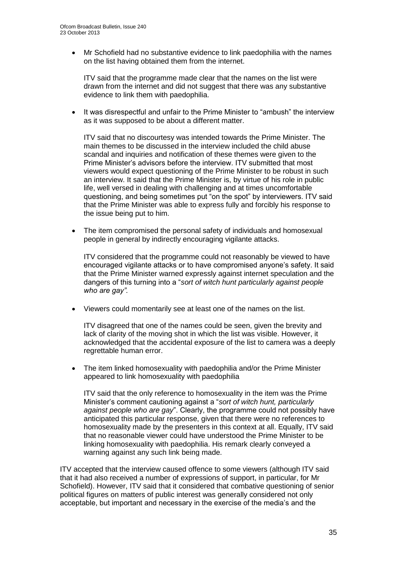Mr Schofield had no substantive evidence to link paedophilia with the names on the list having obtained them from the internet.

ITV said that the programme made clear that the names on the list were drawn from the internet and did not suggest that there was any substantive evidence to link them with paedophilia.

 It was disrespectful and unfair to the Prime Minister to "ambush" the interview as it was supposed to be about a different matter.

ITV said that no discourtesy was intended towards the Prime Minister. The main themes to be discussed in the interview included the child abuse scandal and inquiries and notification of these themes were given to the Prime Minister's advisors before the interview. ITV submitted that most viewers would expect questioning of the Prime Minister to be robust in such an interview. It said that the Prime Minister is, by virtue of his role in public life, well versed in dealing with challenging and at times uncomfortable questioning, and being sometimes put "on the spot" by interviewers. ITV said that the Prime Minister was able to express fully and forcibly his response to the issue being put to him.

• The item compromised the personal safety of individuals and homosexual people in general by indirectly encouraging vigilante attacks.

ITV considered that the programme could not reasonably be viewed to have encouraged vigilante attacks or to have compromised anyone's safety. It said that the Prime Minister warned expressly against internet speculation and the dangers of this turning into a "*sort of witch hunt particularly against people who are gay".*

Viewers could momentarily see at least one of the names on the list.

ITV disagreed that one of the names could be seen, given the brevity and lack of clarity of the moving shot in which the list was visible. However, it acknowledged that the accidental exposure of the list to camera was a deeply regrettable human error.

• The item linked homosexuality with paedophilia and/or the Prime Minister appeared to link homosexuality with paedophilia

ITV said that the only reference to homosexuality in the item was the Prime Minister's comment cautioning against a "*sort of witch hunt, particularly against people who are gay*". Clearly, the programme could not possibly have anticipated this particular response, given that there were no references to homosexuality made by the presenters in this context at all. Equally, ITV said that no reasonable viewer could have understood the Prime Minister to be linking homosexuality with paedophilia. His remark clearly conveyed a warning against any such link being made.

ITV accepted that the interview caused offence to some viewers (although ITV said that it had also received a number of expressions of support, in particular, for Mr Schofield). However, ITV said that it considered that combative questioning of senior political figures on matters of public interest was generally considered not only acceptable, but important and necessary in the exercise of the media's and the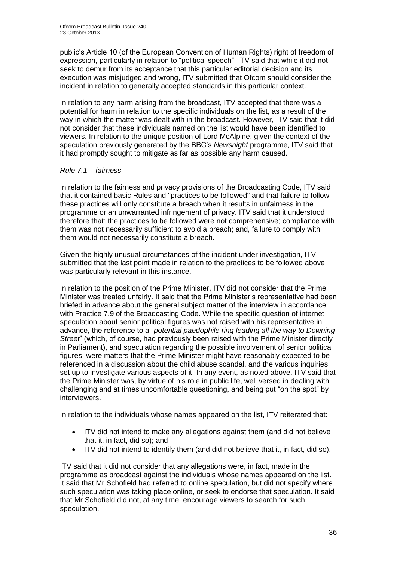public's Article 10 (of the European Convention of Human Rights) right of freedom of expression, particularly in relation to "political speech". ITV said that while it did not seek to demur from its acceptance that this particular editorial decision and its execution was misjudged and wrong, ITV submitted that Ofcom should consider the incident in relation to generally accepted standards in this particular context.

In relation to any harm arising from the broadcast, ITV accepted that there was a potential for harm in relation to the specific individuals on the list, as a result of the way in which the matter was dealt with in the broadcast. However, ITV said that it did not consider that these individuals named on the list would have been identified to viewers. In relation to the unique position of Lord McAlpine, given the context of the speculation previously generated by the BBC's *Newsnight* programme, ITV said that it had promptly sought to mitigate as far as possible any harm caused.

#### *Rule 7.1 – fairness*

In relation to the fairness and privacy provisions of the Broadcasting Code, ITV said that it contained basic Rules and "practices to be followed" and that failure to follow these practices will only constitute a breach when it results in unfairness in the programme or an unwarranted infringement of privacy. ITV said that it understood therefore that: the practices to be followed were not comprehensive; compliance with them was not necessarily sufficient to avoid a breach; and, failure to comply with them would not necessarily constitute a breach.

Given the highly unusual circumstances of the incident under investigation, ITV submitted that the last point made in relation to the practices to be followed above was particularly relevant in this instance.

In relation to the position of the Prime Minister, ITV did not consider that the Prime Minister was treated unfairly. It said that the Prime Minister's representative had been briefed in advance about the general subject matter of the interview in accordance with Practice 7.9 of the Broadcasting Code. While the specific question of internet speculation about senior political figures was not raised with his representative in advance, the reference to a "*potential paedophile ring leading all the way to Downing Street*" (which, of course, had previously been raised with the Prime Minister directly in Parliament), and speculation regarding the possible involvement of senior political figures, were matters that the Prime Minister might have reasonably expected to be referenced in a discussion about the child abuse scandal, and the various inquiries set up to investigate various aspects of it. In any event, as noted above, ITV said that the Prime Minister was, by virtue of his role in public life, well versed in dealing with challenging and at times uncomfortable questioning, and being put "on the spot" by interviewers.

In relation to the individuals whose names appeared on the list, ITV reiterated that:

- ITV did not intend to make any allegations against them (and did not believe that it, in fact, did so); and
- ITV did not intend to identify them (and did not believe that it, in fact, did so).

ITV said that it did not consider that any allegations were, in fact, made in the programme as broadcast against the individuals whose names appeared on the list. It said that Mr Schofield had referred to online speculation, but did not specify where such speculation was taking place online, or seek to endorse that speculation. It said that Mr Schofield did not, at any time, encourage viewers to search for such speculation.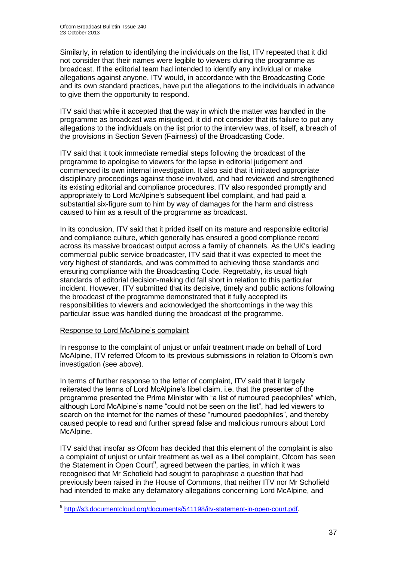Similarly, in relation to identifying the individuals on the list, ITV repeated that it did not consider that their names were legible to viewers during the programme as broadcast. If the editorial team had intended to identify any individual or make allegations against anyone, ITV would, in accordance with the Broadcasting Code and its own standard practices, have put the allegations to the individuals in advance to give them the opportunity to respond.

ITV said that while it accepted that the way in which the matter was handled in the programme as broadcast was misjudged, it did not consider that its failure to put any allegations to the individuals on the list prior to the interview was, of itself, a breach of the provisions in Section Seven (Fairness) of the Broadcasting Code.

ITV said that it took immediate remedial steps following the broadcast of the programme to apologise to viewers for the lapse in editorial judgement and commenced its own internal investigation. It also said that it initiated appropriate disciplinary proceedings against those involved, and had reviewed and strengthened its existing editorial and compliance procedures. ITV also responded promptly and appropriately to Lord McAlpine's subsequent libel complaint, and had paid a substantial six-figure sum to him by way of damages for the harm and distress caused to him as a result of the programme as broadcast.

In its conclusion, ITV said that it prided itself on its mature and responsible editorial and compliance culture, which generally has ensured a good compliance record across its massive broadcast output across a family of channels. As the UK's leading commercial public service broadcaster, ITV said that it was expected to meet the very highest of standards, and was committed to achieving those standards and ensuring compliance with the Broadcasting Code. Regrettably, its usual high standards of editorial decision-making did fall short in relation to this particular incident. However, ITV submitted that its decisive, timely and public actions following the broadcast of the programme demonstrated that it fully accepted its responsibilities to viewers and acknowledged the shortcomings in the way this particular issue was handled during the broadcast of the programme.

# Response to Lord McAlpine's complaint

In response to the complaint of unjust or unfair treatment made on behalf of Lord McAlpine, ITV referred Ofcom to its previous submissions in relation to Ofcom's own investigation (see above).

In terms of further response to the letter of complaint, ITV said that it largely reiterated the terms of Lord McAlpine's libel claim, i.e. that the presenter of the programme presented the Prime Minister with "a list of rumoured paedophiles" which, although Lord McAlpine's name "could not be seen on the list", had led viewers to search on the internet for the names of these "rumoured paedophiles", and thereby caused people to read and further spread false and malicious rumours about Lord McAlpine.

ITV said that insofar as Ofcom has decided that this element of the complaint is also a complaint of unjust or unfair treatment as well as a libel complaint, Ofcom has seen the Statement in Open Court<sup>9</sup>, agreed between the parties, in which it was recognised that Mr Schofield had sought to paraphrase a question that had previously been raised in the House of Commons, that neither ITV nor Mr Schofield had intended to make any defamatory allegations concerning Lord McAlpine, and

 9 [http://s3.documentcloud.org/documents/541198/itv-statement-in-open-court.pdf.](http://s3.documentcloud.org/documents/541198/itv-statement-in-open-court.pdf)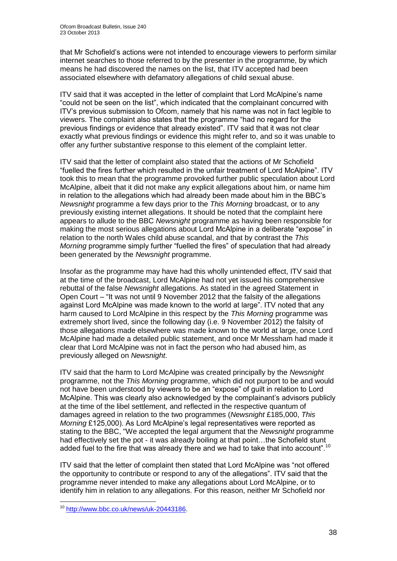that Mr Schofield's actions were not intended to encourage viewers to perform similar internet searches to those referred to by the presenter in the programme, by which means he had discovered the names on the list, that ITV accepted had been associated elsewhere with defamatory allegations of child sexual abuse.

ITV said that it was accepted in the letter of complaint that Lord McAlpine's name "could not be seen on the list", which indicated that the complainant concurred with ITV's previous submission to Ofcom, namely that his name was not in fact legible to viewers. The complaint also states that the programme "had no regard for the previous findings or evidence that already existed". ITV said that it was not clear exactly what previous findings or evidence this might refer to, and so it was unable to offer any further substantive response to this element of the complaint letter.

ITV said that the letter of complaint also stated that the actions of Mr Schofield "fuelled the fires further which resulted in the unfair treatment of Lord McAlpine". ITV took this to mean that the programme provoked further public speculation about Lord McAlpine, albeit that it did not make any explicit allegations about him, or name him in relation to the allegations which had already been made about him in the BBC's *Newsnight* programme a few days prior to the *This Morning* broadcast, or to any previously existing internet allegations. It should be noted that the complaint here appears to allude to the BBC *Newsnight* programme as having been responsible for making the most serious allegations about Lord McAlpine in a deliberate "expose" in relation to the north Wales child abuse scandal, and that by contrast the *This Morning* programme simply further "fuelled the fires" of speculation that had already been generated by the *Newsnight* programme.

Insofar as the programme may have had this wholly unintended effect, ITV said that at the time of the broadcast, Lord McAlpine had not yet issued his comprehensive rebuttal of the false *Newsnight* allegations. As stated in the agreed Statement in Open Court – "It was not until 9 November 2012 that the falsity of the allegations against Lord McAlpine was made known to the world at large". ITV noted that any harm caused to Lord McAlpine in this respect by the *This Morning* programme was extremely short lived, since the following day (i.e. 9 November 2012) the falsity of those allegations made elsewhere was made known to the world at large, once Lord McAlpine had made a detailed public statement, and once Mr Messham had made it clear that Lord McAlpine was not in fact the person who had abused him, as previously alleged on *Newsnight*.

ITV said that the harm to Lord McAlpine was created principally by the *Newsnight* programme, not the *This Morning* programme, which did not purport to be and would not have been understood by viewers to be an "expose" of guilt in relation to Lord McAlpine. This was clearly also acknowledged by the complainant's advisors publicly at the time of the libel settlement, and reflected in the respective quantum of damages agreed in relation to the two programmes (*Newsnight* £185,000, *This Morning* £125,000). As Lord McAlpine's legal representatives were reported as stating to the BBC, "We accepted the legal argument that the *Newsnight* programme had effectively set the pot - it was already boiling at that point...the Schofield stunt added fuel to the fire that was already there and we had to take that into account".<sup>10</sup>

ITV said that the letter of complaint then stated that Lord McAlpine was "not offered the opportunity to contribute or respond to any of the allegations". ITV said that the programme never intended to make any allegations about Lord McAlpine, or to identify him in relation to any allegations. For this reason, neither Mr Schofield nor

1

<sup>&</sup>lt;sup>10</sup> [http://www.bbc.co.uk/news/uk-20443186.](http://www.bbc.co.uk/news/uk-20443186)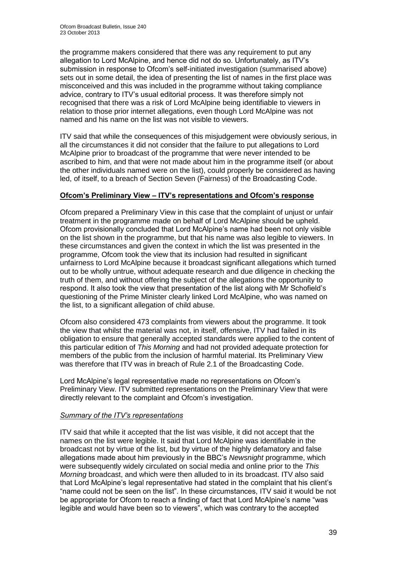the programme makers considered that there was any requirement to put any allegation to Lord McAlpine, and hence did not do so. Unfortunately, as ITV's submission in response to Ofcom's self-initiated investigation (summarised above) sets out in some detail, the idea of presenting the list of names in the first place was misconceived and this was included in the programme without taking compliance advice, contrary to ITV's usual editorial process. It was therefore simply not recognised that there was a risk of Lord McAlpine being identifiable to viewers in relation to those prior internet allegations, even though Lord McAlpine was not named and his name on the list was not visible to viewers.

ITV said that while the consequences of this misjudgement were obviously serious, in all the circumstances it did not consider that the failure to put allegations to Lord McAlpine prior to broadcast of the programme that were never intended to be ascribed to him, and that were not made about him in the programme itself (or about the other individuals named were on the list), could properly be considered as having led, of itself, to a breach of Section Seven (Fairness) of the Broadcasting Code.

# **Ofcom's Preliminary View – ITV's representations and Ofcom's response**

Ofcom prepared a Preliminary View in this case that the complaint of unjust or unfair treatment in the programme made on behalf of Lord McAlpine should be upheld. Ofcom provisionally concluded that Lord McAlpine's name had been not only visible on the list shown in the programme, but that his name was also legible to viewers. In these circumstances and given the context in which the list was presented in the programme, Ofcom took the view that its inclusion had resulted in significant unfairness to Lord McAlpine because it broadcast significant allegations which turned out to be wholly untrue, without adequate research and due diligence in checking the truth of them, and without offering the subject of the allegations the opportunity to respond. It also took the view that presentation of the list along with Mr Schofield's questioning of the Prime Minister clearly linked Lord McAlpine, who was named on the list, to a significant allegation of child abuse.

Ofcom also considered 473 complaints from viewers about the programme. It took the view that whilst the material was not, in itself, offensive, ITV had failed in its obligation to ensure that generally accepted standards were applied to the content of this particular edition of *This Morning* and had not provided adequate protection for members of the public from the inclusion of harmful material. Its Preliminary View was therefore that ITV was in breach of Rule 2.1 of the Broadcasting Code.

Lord McAlpine's legal representative made no representations on Ofcom's Preliminary View. ITV submitted representations on the Preliminary View that were directly relevant to the complaint and Ofcom's investigation.

# *Summary of the ITV's representations*

ITV said that while it accepted that the list was visible, it did not accept that the names on the list were legible. It said that Lord McAlpine was identifiable in the broadcast not by virtue of the list, but by virtue of the highly defamatory and false allegations made about him previously in the BBC's *Newsnight* programme, which were subsequently widely circulated on social media and online prior to the *This Morning* broadcast, and which were then alluded to in its broadcast. ITV also said that Lord McAlpine's legal representative had stated in the complaint that his client's "name could not be seen on the list". In these circumstances, ITV said it would be not be appropriate for Ofcom to reach a finding of fact that Lord McAlpine's name "was legible and would have been so to viewers", which was contrary to the accepted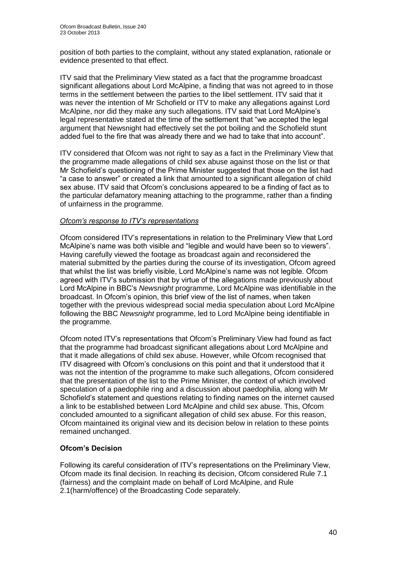position of both parties to the complaint, without any stated explanation, rationale or evidence presented to that effect.

ITV said that the Preliminary View stated as a fact that the programme broadcast significant allegations about Lord McAlpine, a finding that was not agreed to in those terms in the settlement between the parties to the libel settlement. ITV said that it was never the intention of Mr Schofield or ITV to make any allegations against Lord McAlpine, nor did they make any such allegations. ITV said that Lord McAlpine's legal representative stated at the time of the settlement that "we accepted the legal argument that Newsnight had effectively set the pot boiling and the Schofield stunt added fuel to the fire that was already there and we had to take that into account".

ITV considered that Ofcom was not right to say as a fact in the Preliminary View that the programme made allegations of child sex abuse against those on the list or that Mr Schofield's questioning of the Prime Minister suggested that those on the list had "a case to answer" or created a link that amounted to a significant allegation of child sex abuse. ITV said that Ofcom's conclusions appeared to be a finding of fact as to the particular defamatory meaning attaching to the programme, rather than a finding of unfairness in the programme.

# *Ofcom's response to ITV's representations*

Ofcom considered ITV's representations in relation to the Preliminary View that Lord McAlpine's name was both visible and "legible and would have been so to viewers". Having carefully viewed the footage as broadcast again and reconsidered the material submitted by the parties during the course of its investigation, Ofcom agreed that whilst the list was briefly visible, Lord McAlpine's name was not legible. Ofcom agreed with ITV's submission that by virtue of the allegations made previously about Lord McAlpine in BBC's *Newsnight* programme, Lord McAlpine was identifiable in the broadcast. In Ofcom's opinion, this brief view of the list of names, when taken together with the previous widespread social media speculation about Lord McAlpine following the BBC *Newsnight* programme, led to Lord McAlpine being identifiable in the programme.

Ofcom noted ITV's representations that Ofcom's Preliminary View had found as fact that the programme had broadcast significant allegations about Lord McAlpine and that it made allegations of child sex abuse. However, while Ofcom recognised that ITV disagreed with Ofcom's conclusions on this point and that it understood that it was not the intention of the programme to make such allegations, Ofcom considered that the presentation of the list to the Prime Minister, the context of which involved speculation of a paedophile ring and a discussion about paedophilia, along with Mr Schofield's statement and questions relating to finding names on the internet caused a link to be established between Lord McAlpine and child sex abuse. This, Ofcom concluded amounted to a significant allegation of child sex abuse. For this reason, Ofcom maintained its original view and its decision below in relation to these points remained unchanged.

# **Ofcom's Decision**

Following its careful consideration of ITV's representations on the Preliminary View, Ofcom made its final decision. In reaching its decision, Ofcom considered Rule 7.1 (fairness) and the complaint made on behalf of Lord McAlpine, and Rule 2.1(harm/offence) of the Broadcasting Code separately.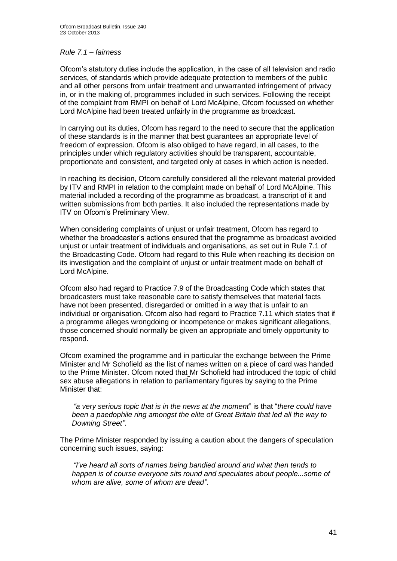#### *Rule 7.1 – fairness*

Ofcom's statutory duties include the application, in the case of all television and radio services, of standards which provide adequate protection to members of the public and all other persons from unfair treatment and unwarranted infringement of privacy in, or in the making of, programmes included in such services. Following the receipt of the complaint from RMPI on behalf of Lord McAlpine, Ofcom focussed on whether Lord McAlpine had been treated unfairly in the programme as broadcast.

In carrying out its duties, Ofcom has regard to the need to secure that the application of these standards is in the manner that best guarantees an appropriate level of freedom of expression. Ofcom is also obliged to have regard, in all cases, to the principles under which regulatory activities should be transparent, accountable, proportionate and consistent, and targeted only at cases in which action is needed.

In reaching its decision, Ofcom carefully considered all the relevant material provided by ITV and RMPI in relation to the complaint made on behalf of Lord McAlpine. This material included a recording of the programme as broadcast, a transcript of it and written submissions from both parties. It also included the representations made by ITV on Ofcom's Preliminary View.

When considering complaints of unjust or unfair treatment, Ofcom has regard to whether the broadcaster's actions ensured that the programme as broadcast avoided unjust or unfair treatment of individuals and organisations, as set out in Rule 7.1 of the Broadcasting Code. Ofcom had regard to this Rule when reaching its decision on its investigation and the complaint of unjust or unfair treatment made on behalf of Lord McAlpine.

Ofcom also had regard to Practice 7.9 of the Broadcasting Code which states that broadcasters must take reasonable care to satisfy themselves that material facts have not been presented, disregarded or omitted in a way that is unfair to an individual or organisation. Ofcom also had regard to Practice 7.11 which states that if a programme alleges wrongdoing or incompetence or makes significant allegations, those concerned should normally be given an appropriate and timely opportunity to respond.

Ofcom examined the programme and in particular the exchange between the Prime Minister and Mr Schofield as the list of names written on a piece of card was handed to the Prime Minister. Ofcom noted that Mr Schofield had introduced the topic of child sex abuse allegations in relation to parliamentary figures by saying to the Prime Minister that:

*"a very serious topic that is in the news at the moment*" is that "*there could have been a paedophile ring amongst the elite of Great Britain that led all the way to Downing Street"*.

The Prime Minister responded by issuing a caution about the dangers of speculation concerning such issues, saying:

*"I've heard all sorts of names being bandied around and what then tends to happen is of course everyone sits round and speculates about people...some of whom are alive, some of whom are dead"*.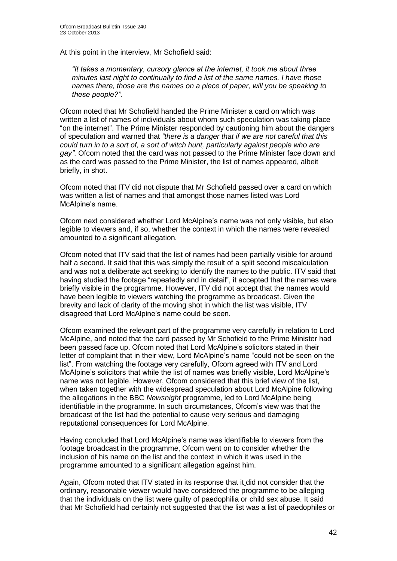At this point in the interview, Mr Schofield said:

*"It takes a momentary, cursory glance at the internet, it took me about three minutes last night to continually to find a list of the same names. I have those names there, those are the names on a piece of paper, will you be speaking to these people?".*

Ofcom noted that Mr Schofield handed the Prime Minister a card on which was written a list of names of individuals about whom such speculation was taking place "on the internet". The Prime Minister responded by cautioning him about the dangers of speculation and warned that *"there is a danger that if we are not careful that this could turn in to a sort of, a sort of witch hunt, particularly against people who are gay"*. Ofcom noted that the card was not passed to the Prime Minister face down and as the card was passed to the Prime Minister, the list of names appeared, albeit briefly, in shot.

Ofcom noted that ITV did not dispute that Mr Schofield passed over a card on which was written a list of names and that amongst those names listed was Lord McAlpine's name.

Ofcom next considered whether Lord McAlpine's name was not only visible, but also legible to viewers and, if so, whether the context in which the names were revealed amounted to a significant allegation.

Ofcom noted that ITV said that the list of names had been partially visible for around half a second. It said that this was simply the result of a split second miscalculation and was not a deliberate act seeking to identify the names to the public. ITV said that having studied the footage "repeatedly and in detail", it accepted that the names were briefly visible in the programme. However, ITV did not accept that the names would have been legible to viewers watching the programme as broadcast. Given the brevity and lack of clarity of the moving shot in which the list was visible, ITV disagreed that Lord McAlpine's name could be seen.

Ofcom examined the relevant part of the programme very carefully in relation to Lord McAlpine, and noted that the card passed by Mr Schofield to the Prime Minister had been passed face up. Ofcom noted that Lord McAlpine's solicitors stated in their letter of complaint that in their view, Lord McAlpine's name "could not be seen on the list". From watching the footage very carefully, Ofcom agreed with ITV and Lord McAlpine's solicitors that while the list of names was briefly visible, Lord McAlpine's name was not legible. However, Ofcom considered that this brief view of the list, when taken together with the widespread speculation about Lord McAlpine following the allegations in the BBC *Newsnight* programme, led to Lord McAlpine being identifiable in the programme. In such circumstances, Ofcom's view was that the broadcast of the list had the potential to cause very serious and damaging reputational consequences for Lord McAlpine.

Having concluded that Lord McAlpine's name was identifiable to viewers from the footage broadcast in the programme, Ofcom went on to consider whether the inclusion of his name on the list and the context in which it was used in the programme amounted to a significant allegation against him.

Again, Ofcom noted that ITV stated in its response that it did not consider that the ordinary, reasonable viewer would have considered the programme to be alleging that the individuals on the list were guilty of paedophilia or child sex abuse. It said that Mr Schofield had certainly not suggested that the list was a list of paedophiles or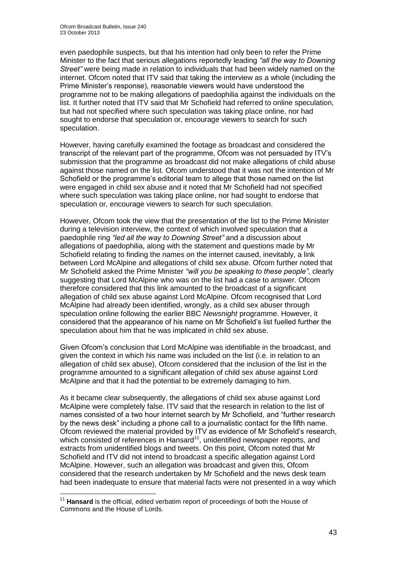even paedophile suspects, but that his intention had only been to refer the Prime Minister to the fact that serious allegations reportedly leading *"all the way to Downing Street"* were being made in relation to individuals that had been widely named on the internet. Ofcom noted that ITV said that taking the interview as a whole (including the Prime Minister's response), reasonable viewers would have understood the programme not to be making allegations of paedophilia against the individuals on the list. It further noted that ITV said that Mr Schofield had referred to online speculation, but had not specified where such speculation was taking place online, nor had sought to endorse that speculation or, encourage viewers to search for such speculation.

However, having carefully examined the footage as broadcast and considered the transcript of the relevant part of the programme, Ofcom was not persuaded by ITV's submission that the programme as broadcast did not make allegations of child abuse against those named on the list. Ofcom understood that it was not the intention of Mr Schofield or the programme's editorial team to allege that those named on the list were engaged in child sex abuse and it noted that Mr Schofield had not specified where such speculation was taking place online, nor had sought to endorse that speculation or, encourage viewers to search for such speculation.

However, Ofcom took the view that the presentation of the list to the Prime Minister during a television interview, the context of which involved speculation that a paedophile ring *"led all the way to Downing Street"* and a discussion about allegations of paedophilia, along with the statement and questions made by Mr Schofield relating to finding the names on the internet caused, inevitably, a link between Lord McAlpine and allegations of child sex abuse. Ofcom further noted that Mr Schofield asked the Prime Minister *"will you be speaking to these people"*, clearly suggesting that Lord McAlpine who was on the list had a case to answer. Ofcom therefore considered that this link amounted to the broadcast of a significant allegation of child sex abuse against Lord McAlpine. Ofcom recognised that Lord McAlpine had already been identified, wrongly, as a child sex abuser through speculation online following the earlier BBC *Newsnight* programme. However, it considered that the appearance of his name on Mr Schofield's list fuelled further the speculation about him that he was implicated in child sex abuse.

Given Ofcom's conclusion that Lord McAlpine was identifiable in the broadcast, and given the context in which his name was included on the list (i.e. in relation to an allegation of child sex abuse), Ofcom considered that the inclusion of the list in the programme amounted to a significant allegation of child sex abuse against Lord McAlpine and that it had the potential to be extremely damaging to him.

As it became clear subsequently, the allegations of child sex abuse against Lord McAlpine were completely false. ITV said that the research in relation to the list of names consisted of a two hour internet search by Mr Schofield, and "further research by the news desk" including a phone call to a journalistic contact for the fifth name. Ofcom reviewed the material provided by ITV as evidence of Mr Schofield's research, which consisted of references in Hansard<sup>11</sup>, unidentified newspaper reports, and extracts from unidentified blogs and tweets. On this point, Ofcom noted that Mr Schofield and ITV did not intend to broadcast a specific allegation against Lord McAlpine. However, such an allegation was broadcast and given this, Ofcom considered that the research undertaken by Mr Schofield and the news desk team had been inadequate to ensure that material facts were not presented in a way which

1

<sup>&</sup>lt;sup>11</sup> Hansard is the official, edited verbatim report of proceedings of both the House of Commons and the House of Lords.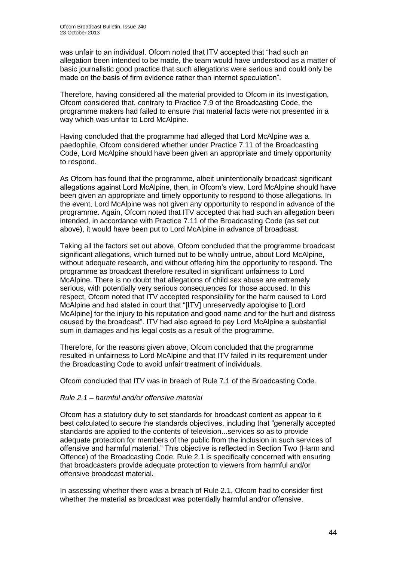was unfair to an individual. Ofcom noted that ITV accepted that "had such an allegation been intended to be made, the team would have understood as a matter of basic journalistic good practice that such allegations were serious and could only be made on the basis of firm evidence rather than internet speculation"*.* 

Therefore, having considered all the material provided to Ofcom in its investigation, Ofcom considered that, contrary to Practice 7.9 of the Broadcasting Code, the programme makers had failed to ensure that material facts were not presented in a way which was unfair to Lord McAlpine.

Having concluded that the programme had alleged that Lord McAlpine was a paedophile, Ofcom considered whether under Practice 7.11 of the Broadcasting Code, Lord McAlpine should have been given an appropriate and timely opportunity to respond.

As Ofcom has found that the programme, albeit unintentionally broadcast significant allegations against Lord McAlpine, then, in Ofcom's view, Lord McAlpine should have been given an appropriate and timely opportunity to respond to those allegations. In the event, Lord McAlpine was not given any opportunity to respond in advance of the programme. Again, Ofcom noted that ITV accepted that had such an allegation been intended, in accordance with Practice 7.11 of the Broadcasting Code (as set out above), it would have been put to Lord McAlpine in advance of broadcast.

Taking all the factors set out above, Ofcom concluded that the programme broadcast significant allegations, which turned out to be wholly untrue, about Lord McAlpine, without adequate research, and without offering him the opportunity to respond. The programme as broadcast therefore resulted in significant unfairness to Lord McAlpine. There is no doubt that allegations of child sex abuse are extremely serious, with potentially very serious consequences for those accused. In this respect, Ofcom noted that ITV accepted responsibility for the harm caused to Lord McAlpine and had stated in court that "[ITV] unreservedly apologise to [Lord McAlpine] for the injury to his reputation and good name and for the hurt and distress caused by the broadcast". ITV had also agreed to pay Lord McAlpine a substantial sum in damages and his legal costs as a result of the programme.

Therefore, for the reasons given above, Ofcom concluded that the programme resulted in unfairness to Lord McAlpine and that ITV failed in its requirement under the Broadcasting Code to avoid unfair treatment of individuals.

Ofcom concluded that ITV was in breach of Rule 7.1 of the Broadcasting Code.

# *Rule 2.1 – harmful and/or offensive material*

Ofcom has a statutory duty to set standards for broadcast content as appear to it best calculated to secure the standards objectives, including that "generally accepted standards are applied to the contents of television...services so as to provide adequate protection for members of the public from the inclusion in such services of offensive and harmful material." This objective is reflected in Section Two (Harm and Offence) of the Broadcasting Code. Rule 2.1 is specifically concerned with ensuring that broadcasters provide adequate protection to viewers from harmful and/or offensive broadcast material.

In assessing whether there was a breach of Rule 2.1, Ofcom had to consider first whether the material as broadcast was potentially harmful and/or offensive.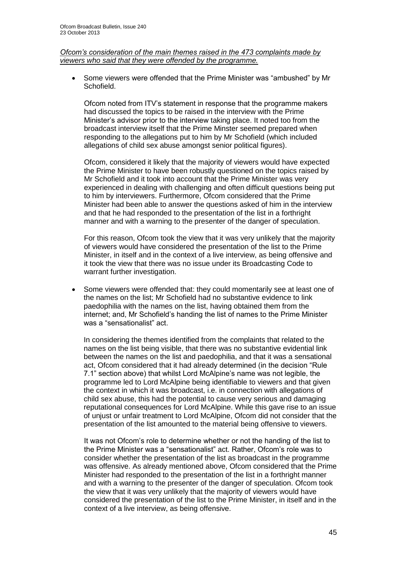#### *Ofcom's consideration of the main themes raised in the 473 complaints made by viewers who said that they were offended by the programme.*

 Some viewers were offended that the Prime Minister was "ambushed" by Mr Schofield.

Ofcom noted from ITV's statement in response that the programme makers had discussed the topics to be raised in the interview with the Prime Minister's advisor prior to the interview taking place. It noted too from the broadcast interview itself that the Prime Minster seemed prepared when responding to the allegations put to him by Mr Schofield (which included allegations of child sex abuse amongst senior political figures).

Ofcom, considered it likely that the majority of viewers would have expected the Prime Minister to have been robustly questioned on the topics raised by Mr Schofield and it took into account that the Prime Minister was very experienced in dealing with challenging and often difficult questions being put to him by interviewers. Furthermore, Ofcom considered that the Prime Minister had been able to answer the questions asked of him in the interview and that he had responded to the presentation of the list in a forthright manner and with a warning to the presenter of the danger of speculation.

For this reason, Ofcom took the view that it was very unlikely that the majority of viewers would have considered the presentation of the list to the Prime Minister, in itself and in the context of a live interview, as being offensive and it took the view that there was no issue under its Broadcasting Code to warrant further investigation.

 Some viewers were offended that: they could momentarily see at least one of the names on the list; Mr Schofield had no substantive evidence to link paedophilia with the names on the list, having obtained them from the internet; and, Mr Schofield's handing the list of names to the Prime Minister was a "sensationalist" act.

In considering the themes identified from the complaints that related to the names on the list being visible, that there was no substantive evidential link between the names on the list and paedophilia, and that it was a sensational act, Ofcom considered that it had already determined (in the decision "Rule 7.1" section above) that whilst Lord McAlpine's name was not legible, the programme led to Lord McAlpine being identifiable to viewers and that given the context in which it was broadcast, i.e. in connection with allegations of child sex abuse, this had the potential to cause very serious and damaging reputational consequences for Lord McAlpine. While this gave rise to an issue of unjust or unfair treatment to Lord McAlpine, Ofcom did not consider that the presentation of the list amounted to the material being offensive to viewers.

It was not Ofcom's role to determine whether or not the handing of the list to the Prime Minister was a "sensationalist" act. Rather, Ofcom's role was to consider whether the presentation of the list as broadcast in the programme was offensive. As already mentioned above, Ofcom considered that the Prime Minister had responded to the presentation of the list in a forthright manner and with a warning to the presenter of the danger of speculation. Ofcom took the view that it was very unlikely that the majority of viewers would have considered the presentation of the list to the Prime Minister, in itself and in the context of a live interview, as being offensive.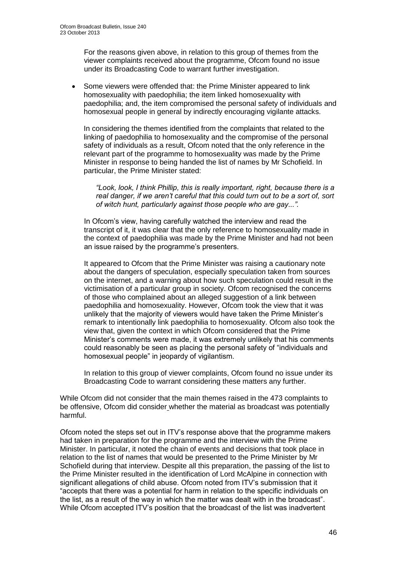For the reasons given above, in relation to this group of themes from the viewer complaints received about the programme, Ofcom found no issue under its Broadcasting Code to warrant further investigation.

• Some viewers were offended that: the Prime Minister appeared to link homosexuality with paedophilia; the item linked homosexuality with paedophilia; and, the item compromised the personal safety of individuals and homosexual people in general by indirectly encouraging vigilante attacks.

In considering the themes identified from the complaints that related to the linking of paedophilia to homosexuality and the compromise of the personal safety of individuals as a result, Ofcom noted that the only reference in the relevant part of the programme to homosexuality was made by the Prime Minister in response to being handed the list of names by Mr Schofield. In particular, the Prime Minister stated:

*"Look, look, I think Phillip, this is really important, right, because there is a real danger, if we aren't careful that this could turn out to be a sort of, sort of witch hunt, particularly against those people who are gay...".*

In Ofcom's view, having carefully watched the interview and read the transcript of it, it was clear that the only reference to homosexuality made in the context of paedophilia was made by the Prime Minister and had not been an issue raised by the programme's presenters.

It appeared to Ofcom that the Prime Minister was raising a cautionary note about the dangers of speculation, especially speculation taken from sources on the internet, and a warning about how such speculation could result in the victimisation of a particular group in society. Ofcom recognised the concerns of those who complained about an alleged suggestion of a link between paedophilia and homosexuality. However, Ofcom took the view that it was unlikely that the majority of viewers would have taken the Prime Minister's remark to intentionally link paedophilia to homosexuality. Ofcom also took the view that, given the context in which Ofcom considered that the Prime Minister's comments were made, it was extremely unlikely that his comments could reasonably be seen as placing the personal safety of "individuals and homosexual people" in jeopardy of vigilantism.

In relation to this group of viewer complaints, Ofcom found no issue under its Broadcasting Code to warrant considering these matters any further.

While Ofcom did not consider that the main themes raised in the 473 complaints to be offensive, Ofcom did consider whether the material as broadcast was potentially harmful.

Ofcom noted the steps set out in ITV's response above that the programme makers had taken in preparation for the programme and the interview with the Prime Minister. In particular, it noted the chain of events and decisions that took place in relation to the list of names that would be presented to the Prime Minister by Mr Schofield during that interview. Despite all this preparation, the passing of the list to the Prime Minister resulted in the identification of Lord McAlpine in connection with significant allegations of child abuse. Ofcom noted from ITV's submission that it "accepts that there was a potential for harm in relation to the specific individuals on the list, as a result of the way in which the matter was dealt with in the broadcast". While Ofcom accepted ITV's position that the broadcast of the list was inadvertent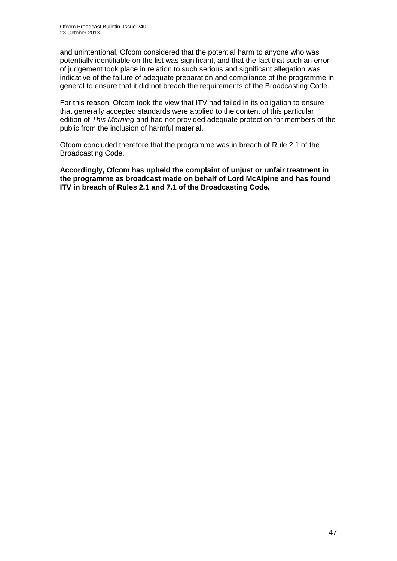and unintentional, Ofcom considered that the potential harm to anyone who was potentially identifiable on the list was significant, and that the fact that such an error of judgement took place in relation to such serious and significant allegation was indicative of the failure of adequate preparation and compliance of the programme in general to ensure that it did not breach the requirements of the Broadcasting Code.

For this reason, Ofcom took the view that ITV had failed in its obligation to ensure that generally accepted standards were applied to the content of this particular edition of *This Morning* and had not provided adequate protection for members of the public from the inclusion of harmful material.

Ofcom concluded therefore that the programme was in breach of Rule 2.1 of the Broadcasting Code.

**Accordingly, Ofcom has upheld the complaint of unjust or unfair treatment in the programme as broadcast made on behalf of Lord McAlpine and has found ITV in breach of Rules 2.1 and 7.1 of the Broadcasting Code.**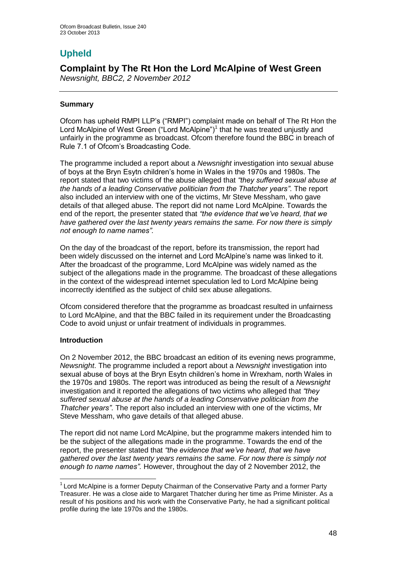# **Upheld**

# **Complaint by The Rt Hon the Lord McAlpine of West Green**  *Newsnight, BBC2, 2 November 2012*

# **Summary**

Ofcom has upheld RMPI LLP's ("RMPI") complaint made on behalf of The Rt Hon the Lord McAlpine of West Green ("Lord McAlpine")<sup>1</sup> that he was treated unjustly and unfairly in the programme as broadcast. Ofcom therefore found the BBC in breach of Rule 7.1 of Ofcom's Broadcasting Code.

The programme included a report about a *Newsnight* investigation into sexual abuse of boys at the Bryn Esytn children's home in Wales in the 1970s and 1980s. The report stated that two victims of the abuse alleged that *"they suffered sexual abuse at the hands of a leading Conservative politician from the Thatcher years"*. The report also included an interview with one of the victims, Mr Steve Messham, who gave details of that alleged abuse. The report did not name Lord McAlpine. Towards the end of the report, the presenter stated that *"the evidence that we've heard, that we have gathered over the last twenty years remains the same. For now there is simply not enough to name names".* 

On the day of the broadcast of the report, before its transmission, the report had been widely discussed on the internet and Lord McAlpine's name was linked to it. After the broadcast of the programme, Lord McAlpine was widely named as the subject of the allegations made in the programme*.* The broadcast of these allegations in the context of the widespread internet speculation led to Lord McAlpine being incorrectly identified as the subject of child sex abuse allegations.

Ofcom considered therefore that the programme as broadcast resulted in unfairness to Lord McAlpine, and that the BBC failed in its requirement under the Broadcasting Code to avoid unjust or unfair treatment of individuals in programmes.

# **Introduction**

1

On 2 November 2012, the BBC broadcast an edition of its evening news programme, *Newsnight*. The programme included a report about a *Newsnight* investigation into sexual abuse of boys at the Bryn Esytn children's home in Wrexham, north Wales in the 1970s and 1980s. The report was introduced as being the result of a *Newsnight* investigation and it reported the allegations of two victims who alleged that *"they suffered sexual abuse at the hands of a leading Conservative politician from the Thatcher years"*. The report also included an interview with one of the victims, Mr Steve Messham, who gave details of that alleged abuse.

The report did not name Lord McAlpine, but the programme makers intended him to be the subject of the allegations made in the programme. Towards the end of the report, the presenter stated that *"the evidence that we've heard, that we have gathered over the last twenty years remains the same. For now there is simply not enough to name names".* However, throughout the day of 2 November 2012, the

 $1$  Lord McAlpine is a former Deputy Chairman of the Conservative Party and a former Party Treasurer. He was a close aide to Margaret Thatcher during her time as Prime Minister. As a result of his positions and his work with the Conservative Party, he had a significant political profile during the late 1970s and the 1980s.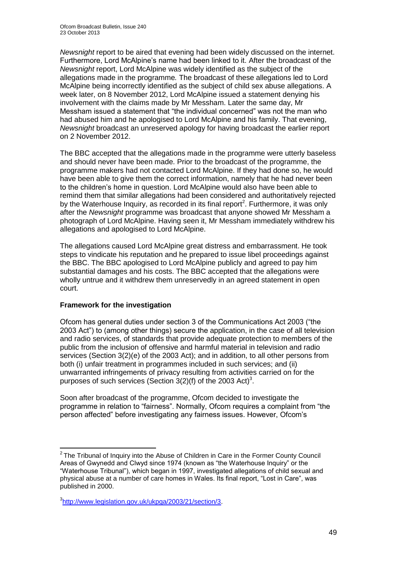*Newsnight* report to be aired that evening had been widely discussed on the internet. Furthermore, Lord McAlpine's name had been linked to it. After the broadcast of the *Newsnight* report, Lord McAlpine was widely identified as the subject of the allegations made in the programme*.* The broadcast of these allegations led to Lord McAlpine being incorrectly identified as the subject of child sex abuse allegations. A week later, on 8 November 2012, Lord McAlpine issued a statement denying his involvement with the claims made by Mr Messham. Later the same day, Mr Messham issued a statement that "the individual concerned" was not the man who had abused him and he apologised to Lord McAlpine and his family. That evening, *Newsnight* broadcast an unreserved apology for having broadcast the earlier report on 2 November 2012.

The BBC accepted that the allegations made in the programme were utterly baseless and should never have been made. Prior to the broadcast of the programme, the programme makers had not contacted Lord McAlpine. If they had done so, he would have been able to give them the correct information, namely that he had never been to the children's home in question. Lord McAlpine would also have been able to remind them that similar allegations had been considered and authoritatively rejected by the Waterhouse Inquiry, as recorded in its final report<sup>2</sup>. Furthermore, it was only after the *Newsnight* programme was broadcast that anyone showed Mr Messham a photograph of Lord McAlpine. Having seen it, Mr Messham immediately withdrew his allegations and apologised to Lord McAlpine.

The allegations caused Lord McAlpine great distress and embarrassment. He took steps to vindicate his reputation and he prepared to issue libel proceedings against the BBC. The BBC apologised to Lord McAlpine publicly and agreed to pay him substantial damages and his costs. The BBC accepted that the allegations were wholly untrue and it withdrew them unreservedly in an agreed statement in open court.

# **Framework for the investigation**

1

Ofcom has general duties under section 3 of the Communications Act 2003 ("the 2003 Act") to (among other things) secure the application, in the case of all television and radio services, of standards that provide adequate protection to members of the public from the inclusion of offensive and harmful material in television and radio services (Section 3(2)(e) of the 2003 Act); and in addition, to all other persons from both (i) unfair treatment in programmes included in such services; and (ii) unwarranted infringements of privacy resulting from activities carried on for the purposes of such services (Section  $3(2)(f)$  of the 2003 Act)<sup>3</sup>.

Soon after broadcast of the programme, Ofcom decided to investigate the programme in relation to "fairness". Normally, Ofcom requires a complaint from "the person affected" before investigating any fairness issues. However, Ofcom's

 $2$  The Tribunal of Inquiry into the Abuse of Children in Care in the Former County Council Areas of Gwynedd and Clwyd since 1974 (known as "the Waterhouse Inquiry" or the "Waterhouse Tribunal"), which began in 1997, investigated allegations of child sexual and physical abuse at a number of care homes in Wales. Its final report, "Lost in Care", was published in 2000.

<sup>&</sup>lt;sup>3</sup>[http://www.legislation.gov.uk/ukpga/2003/21/section/3.](http://www.legislation.gov.uk/ukpga/2003/21/section/3)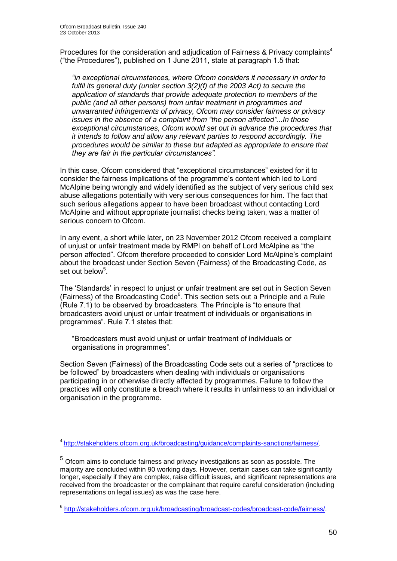Procedures for the consideration and adjudication of Fairness & Privacy complaints<sup>4</sup> ("the Procedures"), published on 1 June 2011, state at paragraph 1.5 that:

*"in exceptional circumstances, where Ofcom considers it necessary in order to fulfil its general duty (under section 3(2)(f) of the 2003 Act) to secure the application of standards that provide adequate protection to members of the public (and all other persons) from unfair treatment in programmes and unwarranted infringements of privacy, Ofcom may consider fairness or privacy issues in the absence of a complaint from "the person affected"...In those exceptional circumstances, Ofcom would set out in advance the procedures that it intends to follow and allow any relevant parties to respond accordingly. The procedures would be similar to these but adapted as appropriate to ensure that they are fair in the particular circumstances".*

In this case, Ofcom considered that "exceptional circumstances" existed for it to consider the fairness implications of the programme's content which led to Lord McAlpine being wrongly and widely identified as the subject of very serious child sex abuse allegations potentially with very serious consequences for him. The fact that such serious allegations appear to have been broadcast without contacting Lord McAlpine and without appropriate journalist checks being taken, was a matter of serious concern to Ofcom.

In any event, a short while later, on 23 November 2012 Ofcom received a complaint of unjust or unfair treatment made by RMPI on behalf of Lord McAlpine as "the person affected". Ofcom therefore proceeded to consider Lord McAlpine's complaint about the broadcast under Section Seven (Fairness) of the Broadcasting Code, as set out below<sup>5</sup>.

The 'Standards' in respect to unjust or unfair treatment are set out in Section Seven (Fairness) of the Broadcasting Code<sup>6</sup>. This section sets out a Principle and a Rule (Rule 7.1) to be observed by broadcasters. The Principle is "to ensure that broadcasters avoid unjust or unfair treatment of individuals or organisations in programmes". Rule 7.1 states that:

"Broadcasters must avoid unjust or unfair treatment of individuals or organisations in programmes".

Section Seven (Fairness) of the Broadcasting Code sets out a series of "practices to be followed" by broadcasters when dealing with individuals or organisations participating in or otherwise directly affected by programmes. Failure to follow the practices will only constitute a breach where it results in unfairness to an individual or organisation in the programme.

 4 [http://stakeholders.ofcom.org.uk/broadcasting/guidance/complaints-sanctions/fairness/.](http://stakeholders.ofcom.org.uk/broadcasting/guidance/complaints-sanctions/fairness/)

<sup>5</sup> Ofcom aims to conclude fairness and privacy investigations as soon as possible. The majority are concluded within 90 working days. However, certain cases can take significantly longer, especially if they are complex, raise difficult issues, and significant representations are received from the broadcaster or the complainant that require careful consideration (including representations on legal issues) as was the case here.

<sup>6</sup> [http://stakeholders.ofcom.org.uk/broadcasting/broadcast-codes/broadcast-code/fairness/.](http://stakeholders.ofcom.org.uk/broadcasting/broadcast-codes/broadcast-code/fairness/)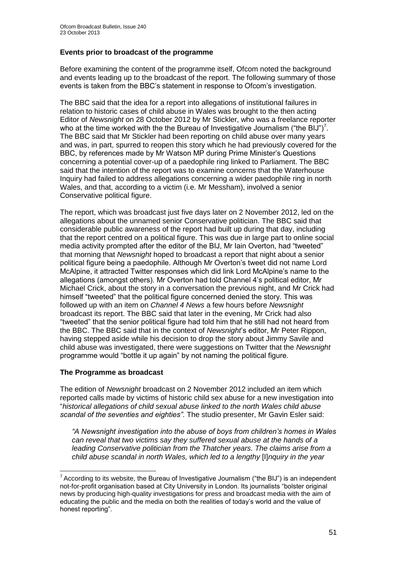# **Events prior to broadcast of the programme**

Before examining the content of the programme itself, Ofcom noted the background and events leading up to the broadcast of the report. The following summary of those events is taken from the BBC's statement in response to Ofcom's investigation.

The BBC said that the idea for a report into allegations of institutional failures in relation to historic cases of child abuse in Wales was brought to the then acting Editor of *Newsnight* on 28 October 2012 by Mr Stickler, who was a freelance reporter who at the time worked with the the Bureau of Investigative Journalism ("the BIJ")<sup>7</sup>. The BBC said that Mr Stickler had been reporting on child abuse over many years and was, in part, spurred to reopen this story which he had previously covered for the BBC, by references made by Mr Watson MP during Prime Minister's Questions concerning a potential cover-up of a paedophile ring linked to Parliament. The BBC said that the intention of the report was to examine concerns that the Waterhouse Inquiry had failed to address allegations concerning a wider paedophile ring in north Wales, and that, according to a victim (i.e. Mr Messham), involved a senior Conservative political figure.

The report, which was broadcast just five days later on 2 November 2012, led on the allegations about the unnamed senior Conservative politician. The BBC said that considerable public awareness of the report had built up during that day, including that the report centred on a political figure. This was due in large part to online social media activity prompted after the editor of the BIJ, Mr Iain Overton, had "tweeted" that morning that *Newsnight* hoped to broadcast a report that night about a senior political figure being a paedophile. Although Mr Overton's tweet did not name Lord McAlpine, it attracted Twitter responses which did link Lord McAlpine's name to the allegations (amongst others). Mr Overton had told Channel 4's political editor, Mr Michael Crick, about the story in a conversation the previous night, and Mr Crick had himself "tweeted" that the political figure concerned denied the story. This was followed up with an item on *Channel 4 News* a few hours before *Newsnight*  broadcast its report. The BBC said that later in the evening, Mr Crick had also "tweeted" that the senior political figure had told him that he still had not heard from the BBC. The BBC said that in the context of *Newsnight*'s editor, Mr Peter Rippon, having stepped aside while his decision to drop the story about Jimmy Savile and child abuse was investigated, there were suggestions on Twitter that the *Newsnight* programme would "bottle it up again" by not naming the political figure.

# **The Programme as broadcast**

1

The edition of *Newsnight* broadcast on 2 November 2012 included an item which reported calls made by victims of historic child sex abuse for a new investigation into "*historical allegations of child sexual abuse linked to the north Wales child abuse scandal of the seventies and eighties"*. The studio presenter, Mr Gavin Esler said:

*"A Newsnight investigation into the abuse of boys from children's homes in Wales can reveal that two victims say they suffered sexual abuse at the hands of a leading Conservative politician from the Thatcher years. The claims arise from a child abuse scandal in north Wales, which led to a lengthy* [I]*nquiry in the year* 

<sup>&</sup>lt;sup>7</sup> According to its website, the Bureau of Investigative Journalism ("the BIJ") is an independent not-for-profit organisation based at City University in London. Its journalists "bolster original news by producing high-quality investigations for press and broadcast media with the aim of educating the public and the media on both the realities of today's world and the value of honest reporting".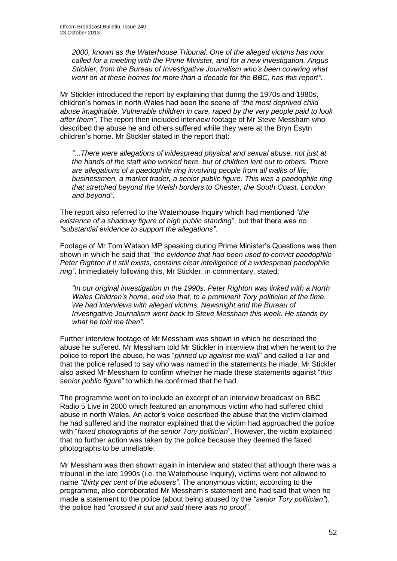*2000, known as the Waterhouse Tribunal. One of the alleged victims has now called for a meeting with the Prime Minister, and for a new investigation. Angus Stickler, from the Bureau of Investigative Journalism who's been covering what went on at these homes for more than a decade for the BBC, has this report"*.

Mr Stickler introduced the report by explaining that during the 1970s and 1980s, children's homes in north Wales had been the scene of *"the most deprived child abuse imaginable. Vulnerable children in care, raped by the very people paid to look after them"*. The report then included interview footage of Mr Steve Messham who described the abuse he and others suffered while they were at the Bryn Esytn children's home. Mr Stickler stated in the report that:

*"*...*There were allegations of widespread physical and sexual abuse, not just at the hands of the staff who worked here, but of children lent out to others. There are allegations of a paedophile ring involving people from all walks of life; businessmen, a market trader, a senior public figure. This was a paedophile ring that stretched beyond the Welsh borders to Chester, the South Coast, London and beyond"*.

The report also referred to the Waterhouse Inquiry which had mentioned "*the existence of a shadowy figure of high public standing*", but that there was no *"substantial evidence to support the allegations"*.

Footage of Mr Tom Watson MP speaking during Prime Minister's Questions was then shown in which he said that *"the evidence that had been used to convict paedophile Peter Righton if it still exists, contains clear intelligence of a widespread paedophile ring"*. Immediately following this, Mr Stickler, in commentary, stated:

*"In our original investigation in the 1990s, Peter Righton was linked with a North Wales Children's home, and via that, to a prominent Tory politician at the time. We had interviews with alleged victims. Newsnight and the Bureau of Investigative Journalism went back to Steve Messham this week. He stands by what he told me then"*.

Further interview footage of Mr Messham was shown in which he described the abuse he suffered. Mr Messham told Mr Stickler in interview that when he went to the police to report the abuse, he was "*pinned up against the wall*" and called a liar and that the police refused to say who was named in the statements he made. Mr Stickler also asked Mr Messham to confirm whether he made these statements against "*this senior public figure*" to which he confirmed that he had.

The programme went on to include an excerpt of an interview broadcast on BBC Radio 5 Live in 2000 which featured an anonymous victim who had suffered child abuse in north Wales. An actor's voice described the abuse that the victim claimed he had suffered and the narrator explained that the victim had approached the police with "*faxed photographs of the senior Tory politician*". However, the victim explained that no further action was taken by the police because they deemed the faxed photographs to be unreliable.

Mr Messham was then shown again in interview and stated that although there was a tribunal in the late 1990s (i.e. the Waterhouse Inquiry), victims were not allowed to name *"thirty per cent of the abusers"*. The anonymous victim, according to the programme, also corroborated Mr Messham's statement and had said that when he made a statement to the police (about being abused by the *"senior Tory politician"*), the police had "*crossed it out and said there was no proof*".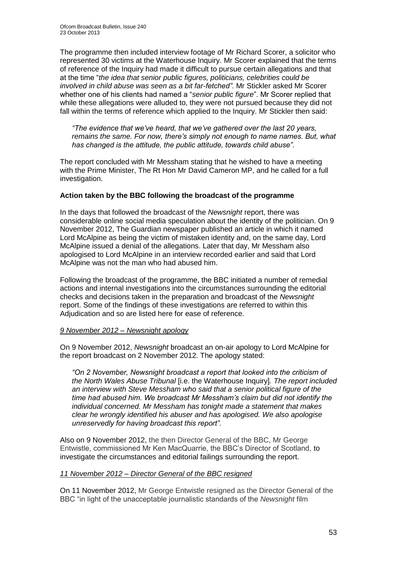The programme then included interview footage of Mr Richard Scorer, a solicitor who represented 30 victims at the Waterhouse Inquiry. Mr Scorer explained that the terms of reference of the Inquiry had made it difficult to pursue certain allegations and that at the time "*the idea that senior public figures, politicians, celebrities could be involved in child abuse was seen as a bit far-fetched"*. Mr Stickler asked Mr Scorer whether one of his clients had named a "*senior public figure*". Mr Scorer replied that while these allegations were alluded to, they were not pursued because they did not fall within the terms of reference which applied to the Inquiry. Mr Stickler then said:

*"The evidence that we've heard, that we've gathered over the last 20 years, remains the same. For now, there's simply not enough to name names. But, what has changed is the attitude, the public attitude, towards child abuse"*.

The report concluded with Mr Messham stating that he wished to have a meeting with the Prime Minister, The Rt Hon Mr David Cameron MP, and he called for a full investigation.

# **Action taken by the BBC following the broadcast of the programme**

In the days that followed the broadcast of the *Newsnight* report, there was considerable online social media speculation about the identity of the politician. On 9 November 2012, The Guardian newspaper published an article in which it named Lord McAlpine as being the victim of mistaken identity and, on the same day, Lord McAlpine issued a denial of the allegations. Later that day, Mr Messham also apologised to Lord McAlpine in an interview recorded earlier and said that Lord McAlpine was not the man who had abused him.

Following the broadcast of the programme, the BBC initiated a number of remedial actions and internal investigations into the circumstances surrounding the editorial checks and decisions taken in the preparation and broadcast of the *Newsnight*  report. Some of the findings of these investigations are referred to within this Adjudication and so are listed here for ease of reference.

# *9 November 2012 – Newsnight apology*

On 9 November 2012, *Newsnight* broadcast an on-air apology to Lord McAlpine for the report broadcast on 2 November 2012. The apology stated:

"On 2 November, Newsnight broadcast a report that looked into the criticism of *the North Wales Abuse Tribunal* [i.e. the Waterhouse Inquiry]*. The report included an interview with Steve Messham who said that a senior political figure of the time had abused him. We broadcast Mr Messham's claim but did not identify the individual concerned. Mr Messham has tonight made a statement that makes clear he wrongly identified his abuser and has apologised. We also apologise unreservedly for having broadcast this report".*

Also on 9 November 2012, the then Director General of the BBC, Mr George Entwistle, commissioned Mr Ken MacQuarrie, the BBC's Director of Scotland, to investigate the circumstances and editorial failings surrounding the report.

# *11 November 2012 – Director General of the BBC resigned*

On 11 November 2012, Mr George Entwistle resigned as the Director General of the BBC "in light of the unacceptable journalistic standards of the *Newsnight* film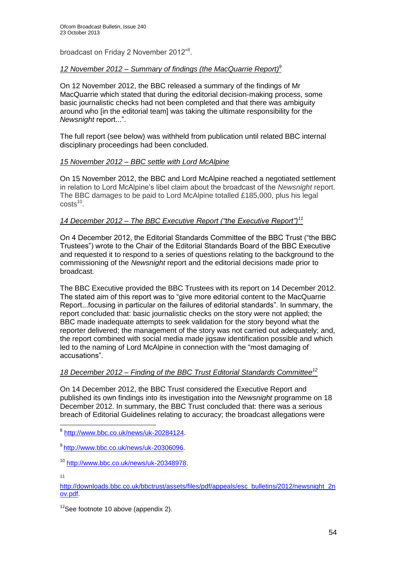broadcast on Friday 2 November 2012"<sup>8</sup>.

#### *12 November 2012 – Summary of findings (the MacQuarrie Report)<sup>9</sup>*

On 12 November 2012, the BBC released a summary of the findings of Mr MacQuarrie which stated that during the editorial decision-making process, some basic journalistic checks had not been completed and that there was ambiguity around who [in the editorial team] was taking the ultimate responsibility for the *Newsnight* report...".

The full report (see below) was withheld from publication until related BBC internal disciplinary proceedings had been concluded.

# *15 November 2012 – BBC settle with Lord McAlpine*

On 15 November 2012, the BBC and Lord McAlpine reached a negotiated settlement in relation to Lord McAlpine's libel claim about the broadcast of the *Newsnight* report. The BBC damages to be paid to Lord McAlpine totalled £185,000, plus his legal  $costs<sup>10</sup>$ .

# *14 December 2012 – The BBC Executive Report ("the Executive Report")<sup>11</sup>*

On 4 December 2012, the Editorial Standards Committee of the BBC Trust ("the BBC Trustees") wrote to the Chair of the Editorial Standards Board of the BBC Executive and requested it to respond to a series of questions relating to the background to the commissioning of the *Newsnight* report and the editorial decisions made prior to broadcast.

The BBC Executive provided the BBC Trustees with its report on 14 December 2012. The stated aim of this report was to "give more editorial content to the MacQuarrie Report...focusing in particular on the failures of editorial standards". In summary, the report concluded that: basic journalistic checks on the story were not applied; the BBC made inadequate attempts to seek validation for the story beyond what the reporter delivered; the management of the story was not carried out adequately; and, the report combined with social media made jigsaw identification possible and which led to the naming of Lord McAlpine in connection with the "most damaging of accusations".

#### *18 December 2012 – Finding of the BBC Trust Editorial Standards Committee<sup>12</sup>*

On 14 December 2012, the BBC Trust considered the Executive Report and published its own findings into its investigation into the *Newsnight* programme on 18 December 2012. In summary, the BBC Trust concluded that: there was a serious breach of Editorial Guidelines relating to accuracy; the broadcast allegations were

11

1

[http://downloads.bbc.co.uk/bbctrust/assets/files/pdf/appeals/esc\\_bulletins/2012/newsnight\\_2n](http://downloads.bbc.co.uk/bbctrust/assets/files/pdf/appeals/esc_bulletins/2012/newsnight_2nov.pdf) [ov.pdf.](http://downloads.bbc.co.uk/bbctrust/assets/files/pdf/appeals/esc_bulletins/2012/newsnight_2nov.pdf)

 $12$ See footnote 10 above (appendix 2).

<sup>8</sup> [http://www.bbc.co.uk/news/uk-20284124.](http://www.bbc.co.uk/news/uk-20284124)

<sup>9</sup> [http://www.bbc.co.uk/news/uk-20306096.](http://www.bbc.co.uk/news/uk-20306096)

<sup>10</sup> [http://www.bbc.co.uk/news/uk-20348978.](http://www.bbc.co.uk/news/uk-20348978)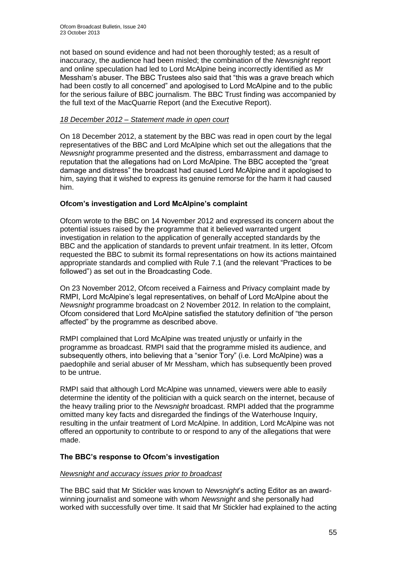not based on sound evidence and had not been thoroughly tested; as a result of inaccuracy, the audience had been misled; the combination of the *Newsnight* report and online speculation had led to Lord McAlpine being incorrectly identified as Mr Messham's abuser. The BBC Trustees also said that "this was a grave breach which had been costly to all concerned" and apologised to Lord McAlpine and to the public for the serious failure of BBC journalism. The BBC Trust finding was accompanied by the full text of the MacQuarrie Report (and the Executive Report).

# *18 December 2012 – Statement made in open court*

On 18 December 2012, a statement by the BBC was read in open court by the legal representatives of the BBC and Lord McAlpine which set out the allegations that the *Newsnight* programme presented and the distress, embarrassment and damage to reputation that the allegations had on Lord McAlpine. The BBC accepted the "great damage and distress" the broadcast had caused Lord McAlpine and it apologised to him, saying that it wished to express its genuine remorse for the harm it had caused him.

# **Ofcom's investigation and Lord McAlpine's complaint**

Ofcom wrote to the BBC on 14 November 2012 and expressed its concern about the potential issues raised by the programme that it believed warranted urgent investigation in relation to the application of generally accepted standards by the BBC and the application of standards to prevent unfair treatment. In its letter, Ofcom requested the BBC to submit its formal representations on how its actions maintained appropriate standards and complied with Rule 7.1 (and the relevant "Practices to be followed") as set out in the Broadcasting Code.

On 23 November 2012, Ofcom received a Fairness and Privacy complaint made by RMPI, Lord McAlpine's legal representatives, on behalf of Lord McAlpine about the *Newsnight* programme broadcast on 2 November 2012. In relation to the complaint, Ofcom considered that Lord McAlpine satisfied the statutory definition of "the person affected" by the programme as described above.

RMPI complained that Lord McAlpine was treated unjustly or unfairly in the programme as broadcast. RMPI said that the programme misled its audience, and subsequently others, into believing that a "senior Tory" (i.e. Lord McAlpine) was a paedophile and serial abuser of Mr Messham, which has subsequently been proved to be untrue.

RMPI said that although Lord McAlpine was unnamed, viewers were able to easily determine the identity of the politician with a quick search on the internet, because of the heavy trailing prior to the *Newsnight* broadcast. RMPI added that the programme omitted many key facts and disregarded the findings of the Waterhouse Inquiry, resulting in the unfair treatment of Lord McAlpine. In addition, Lord McAlpine was not offered an opportunity to contribute to or respond to any of the allegations that were made.

# **The BBC's response to Ofcom's investigation**

# *Newsnight and accuracy issues prior to broadcast*

The BBC said that Mr Stickler was known to *Newsnight*'s acting Editor as an awardwinning journalist and someone with whom *Newsnight* and she personally had worked with successfully over time. It said that Mr Stickler had explained to the acting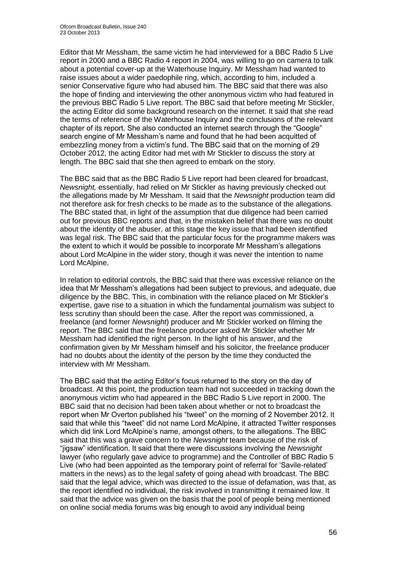Editor that Mr Messham, the same victim he had interviewed for a BBC Radio 5 Live report in 2000 and a BBC Radio 4 report in 2004, was willing to go on camera to talk about a potential cover-up at the Waterhouse Inquiry. Mr Messham had wanted to raise issues about a wider paedophile ring, which, according to him, included a senior Conservative figure who had abused him. The BBC said that there was also the hope of finding and interviewing the other anonymous victim who had featured in the previous BBC Radio 5 Live report. The BBC said that before meeting Mr Stickler, the acting Editor did some background research on the internet. It said that she read the terms of reference of the Waterhouse Inquiry and the conclusions of the relevant chapter of its report. She also conducted an internet search through the "Google" search engine of Mr Messham's name and found that he had been acquitted of embezzling money from a victim's fund. The BBC said that on the morning of 29 October 2012, the acting Editor had met with Mr Stickler to discuss the story at length. The BBC said that she then agreed to embark on the story.

The BBC said that as the BBC Radio 5 Live report had been cleared for broadcast, *Newsnight,* essentially, had relied on Mr Stickler as having previously checked out the allegations made by Mr Messham. It said that the *Newsnight* production team did not therefore ask for fresh checks to be made as to the substance of the allegations. The BBC stated that, in light of the assumption that due diligence had been carried out for previous BBC reports and that, in the mistaken belief that there was no doubt about the identity of the abuser, at this stage the key issue that had been identified was legal risk. The BBC said that the particular focus for the programme makers was the extent to which it would be possible to incorporate Mr Messham's allegations about Lord McAlpine in the wider story, though it was never the intention to name Lord McAlpine.

In relation to editorial controls, the BBC said that there was excessive reliance on the idea that Mr Messham's allegations had been subject to previous, and adequate, due diligence by the BBC. This, in combination with the reliance placed on Mr Stickler's expertise, gave rise to a situation in which the fundamental journalism was subject to less scrutiny than should been the case. After the report was commissioned, a freelance (and former *Newsnight*) producer and Mr Stickler worked on filming the report. The BBC said that the freelance producer asked Mr Stickler whether Mr Messham had identified the right person. In the light of his answer, and the confirmation given by Mr Messham himself and his solicitor, the freelance producer had no doubts about the identity of the person by the time they conducted the interview with Mr Messham.

The BBC said that the acting Editor's focus returned to the story on the day of broadcast. At this point, the production team had not succeeded in tracking down the anonymous victim who had appeared in the BBC Radio 5 Live report in 2000. The BBC said that no decision had been taken about whether or not to broadcast the report when Mr Overton published his "tweet" on the morning of 2 November 2012. It said that while this "tweet" did not name Lord McAlpine, it attracted Twitter responses which did link Lord McAlpine's name, amongst others, to the allegations. The BBC said that this was a grave concern to the *Newsnight* team because of the risk of "jigsaw" identification. It said that there were discussions involving the *Newsnight* lawyer (who regularly gave advice to programme) and the Controller of BBC Radio 5 Live (who had been appointed as the temporary point of referral for 'Savile-related' matters in the news) as to the legal safety of going ahead with broadcast. The BBC said that the legal advice, which was directed to the issue of defamation, was that, as the report identified no individual, the risk involved in transmitting it remained low. It said that the advice was given on the basis that the pool of people being mentioned on online social media forums was big enough to avoid any individual being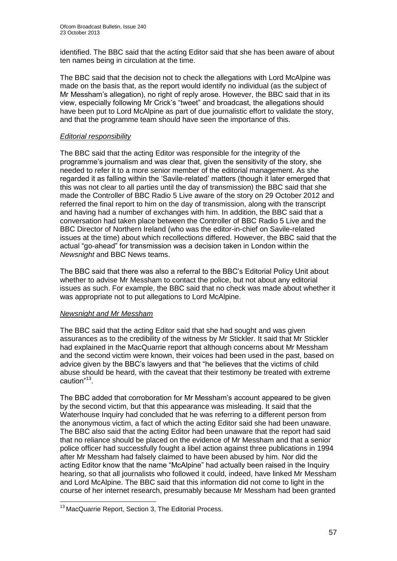identified. The BBC said that the acting Editor said that she has been aware of about ten names being in circulation at the time.

The BBC said that the decision not to check the allegations with Lord McAlpine was made on the basis that, as the report would identify no individual (as the subject of Mr Messham's allegation), no right of reply arose. However, the BBC said that in its view, especially following Mr Crick's "tweet" and broadcast, the allegations should have been put to Lord McAlpine as part of due journalistic effort to validate the story, and that the programme team should have seen the importance of this.

# *Editorial responsibility*

The BBC said that the acting Editor was responsible for the integrity of the programme's journalism and was clear that, given the sensitivity of the story, she needed to refer it to a more senior member of the editorial management. As she regarded it as falling within the 'Savile-related' matters (though it later emerged that this was not clear to all parties until the day of transmission) the BBC said that she made the Controller of BBC Radio 5 Live aware of the story on 29 October 2012 and referred the final report to him on the day of transmission, along with the transcript and having had a number of exchanges with him. In addition, the BBC said that a conversation had taken place between the Controller of BBC Radio 5 Live and the BBC Director of Northern Ireland (who was the editor-in-chief on Savile-related issues at the time) about which recollections differed. However, the BBC said that the actual "go-ahead" for transmission was a decision taken in London within the *Newsnight* and BBC News teams.

The BBC said that there was also a referral to the BBC's Editorial Policy Unit about whether to advise Mr Messham to contact the police, but not about any editorial issues as such. For example, the BBC said that no check was made about whether it was appropriate not to put allegations to Lord McAlpine.

# *Newsnight and Mr Messham*

The BBC said that the acting Editor said that she had sought and was given assurances as to the credibility of the witness by Mr Stickler. It said that Mr Stickler had explained in the MacQuarrie report that although concerns about Mr Messham and the second victim were known, their voices had been used in the past, based on advice given by the BBC's lawyers and that "he believes that the victims of child abuse should be heard, with the caveat that their testimony be treated with extreme caution"<sup>13</sup>.

The BBC added that corroboration for Mr Messham's account appeared to be given by the second victim, but that this appearance was misleading. It said that the Waterhouse Inquiry had concluded that he was referring to a different person from the anonymous victim, a fact of which the acting Editor said she had been unaware. The BBC also said that the acting Editor had been unaware that the report had said that no reliance should be placed on the evidence of Mr Messham and that a senior police officer had successfully fought a libel action against three publications in 1994 after Mr Messham had falsely claimed to have been abused by him. Nor did the acting Editor know that the name "McAlpine" had actually been raised in the Inquiry hearing, so that all journalists who followed it could, indeed, have linked Mr Messham and Lord McAlpine. The BBC said that this information did not come to light in the course of her internet research, presumably because Mr Messham had been granted

<sup>1</sup> <sup>13</sup> MacQuarrie Report, Section 3, The Editorial Process.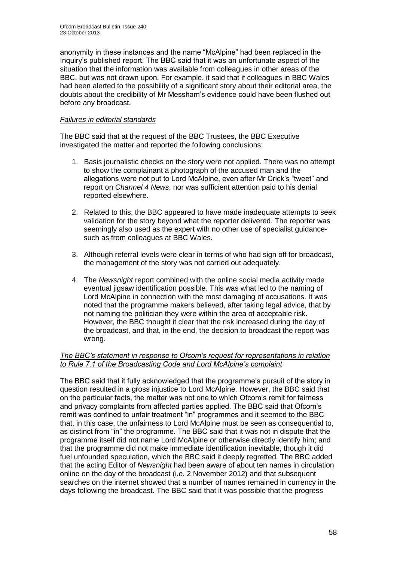anonymity in these instances and the name "McAlpine" had been replaced in the Inquiry's published report. The BBC said that it was an unfortunate aspect of the situation that the information was available from colleagues in other areas of the BBC, but was not drawn upon. For example, it said that if colleagues in BBC Wales had been alerted to the possibility of a significant story about their editorial area, the doubts about the credibility of Mr Messham's evidence could have been flushed out before any broadcast.

# *Failures in editorial standards*

The BBC said that at the request of the BBC Trustees, the BBC Executive investigated the matter and reported the following conclusions:

- 1. Basis journalistic checks on the story were not applied. There was no attempt to show the complainant a photograph of the accused man and the allegations were not put to Lord McAlpine, even after Mr Crick's "tweet" and report on *Channel 4 News*, nor was sufficient attention paid to his denial reported elsewhere.
- 2. Related to this, the BBC appeared to have made inadequate attempts to seek validation for the story beyond what the reporter delivered. The reporter was seemingly also used as the expert with no other use of specialist guidancesuch as from colleagues at BBC Wales.
- 3. Although referral levels were clear in terms of who had sign off for broadcast, the management of the story was not carried out adequately.
- 4. The *Newsnight* report combined with the online social media activity made eventual jigsaw identification possible. This was what led to the naming of Lord McAlpine in connection with the most damaging of accusations. It was noted that the programme makers believed, after taking legal advice, that by not naming the politician they were within the area of acceptable risk. However, the BBC thought it clear that the risk increased during the day of the broadcast, and that, in the end, the decision to broadcast the report was wrong.

# *The BBC's statement in response to Ofcom's request for representations in relation to Rule 7.1 of the Broadcasting Code and Lord McAlpine's complaint*

The BBC said that it fully acknowledged that the programme's pursuit of the story in question resulted in a gross injustice to Lord McAlpine. However, the BBC said that on the particular facts, the matter was not one to which Ofcom's remit for fairness and privacy complaints from affected parties applied. The BBC said that Ofcom's remit was confined to unfair treatment "in" programmes and it seemed to the BBC that, in this case, the unfairness to Lord McAlpine must be seen as consequential to, as distinct from "in" the programme. The BBC said that it was not in dispute that the programme itself did not name Lord McAlpine or otherwise directly identify him; and that the programme did not make immediate identification inevitable, though it did fuel unfounded speculation, which the BBC said it deeply regretted. The BBC added that the acting Editor of *Newsnight* had been aware of about ten names in circulation online on the day of the broadcast (i.e. 2 November 2012) and that subsequent searches on the internet showed that a number of names remained in currency in the days following the broadcast. The BBC said that it was possible that the progress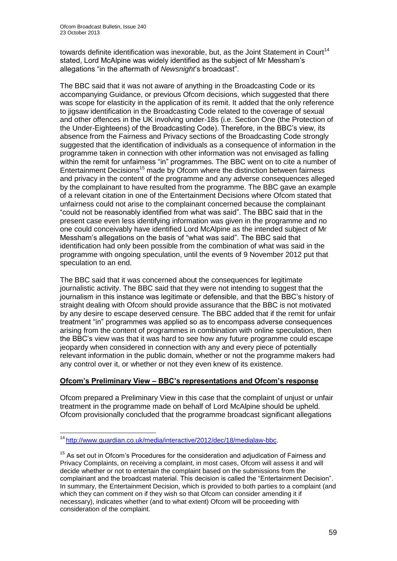towards definite identification was inexorable, but, as the Joint Statement in Court<sup>14</sup> stated, Lord McAlpine was widely identified as the subject of Mr Messham's allegations "in the aftermath of *Newsnight*'s broadcast".

The BBC said that it was not aware of anything in the Broadcasting Code or its accompanying Guidance, or previous Ofcom decisions, which suggested that there was scope for elasticity in the application of its remit. It added that the only reference to jigsaw identification in the Broadcasting Code related to the coverage of sexual and other offences in the UK involving under-18s (i.e. Section One (the Protection of the Under-Eighteens) of the Broadcasting Code). Therefore, in the BBC's view, its absence from the Fairness and Privacy sections of the Broadcasting Code strongly suggested that the identification of individuals as a consequence of information in the programme taken in connection with other information was not envisaged as falling within the remit for unfairness "in" programmes. The BBC went on to cite a number of Entertainment Decisions<sup>15</sup> made by Ofcom where the distinction between fairness and privacy in the content of the programme and any adverse consequences alleged by the complainant to have resulted from the programme. The BBC gave an example of a relevant citation in one of the Entertainment Decisions where Ofcom stated that unfairness could not arise to the complainant concerned because the complainant "could not be reasonably identified from what was said". The BBC said that in the present case even less identifying information was given in the programme and no one could conceivably have identified Lord McAlpine as the intended subject of Mr Messham's allegations on the basis of "what was said". The BBC said that identification had only been possible from the combination of what was said in the programme with ongoing speculation, until the events of 9 November 2012 put that speculation to an end.

The BBC said that it was concerned about the consequences for legitimate journalistic activity. The BBC said that they were not intending to suggest that the journalism in this instance was legitimate or defensible, and that the BBC's history of straight dealing with Ofcom should provide assurance that the BBC is not motivated by any desire to escape deserved censure. The BBC added that if the remit for unfair treatment "in" programmes was applied so as to encompass adverse consequences arising from the content of programmes in combination with online speculation, then the BBC's view was that it was hard to see how any future programme could escape jeopardy when considered in connection with any and every piece of potentially relevant information in the public domain, whether or not the programme makers had any control over it, or whether or not they even knew of its existence.

# **Ofcom's Preliminary View – BBC's representations and Ofcom's response**

Ofcom prepared a Preliminary View in this case that the complaint of unjust or unfair treatment in the programme made on behalf of Lord McAlpine should be upheld. Ofcom provisionally concluded that the programme broadcast significant allegations

1

<sup>&</sup>lt;sup>14</sup> [http://www.guardian.co.uk/media/interactive/2012/dec/18/medialaw-bbc.](http://www.guardian.co.uk/media/interactive/2012/dec/18/medialaw-bbc)

 $15$  As set out in Ofcom's Procedures for the consideration and adjudication of Fairness and Privacy Complaints, on receiving a complaint, in most cases, Ofcom will assess it and will decide whether or not to entertain the complaint based on the submissions from the complainant and the broadcast material. This decision is called the "Entertainment Decision". In summary, the Entertainment Decision, which is provided to both parties to a complaint (and which they can comment on if they wish so that Ofcom can consider amending it if necessary), indicates whether (and to what extent) Ofcom will be proceeding with consideration of the complaint.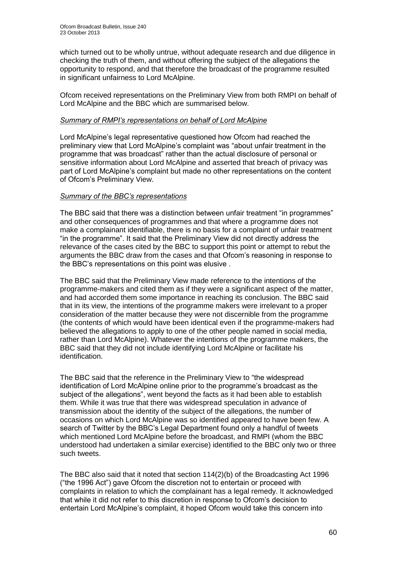which turned out to be wholly untrue, without adequate research and due diligence in checking the truth of them, and without offering the subject of the allegations the opportunity to respond, and that therefore the broadcast of the programme resulted in significant unfairness to Lord McAlpine.

Ofcom received representations on the Preliminary View from both RMPI on behalf of Lord McAlpine and the BBC which are summarised below.

#### *Summary of RMPI's representations on behalf of Lord McAlpine*

Lord McAlpine's legal representative questioned how Ofcom had reached the preliminary view that Lord McAlpine's complaint was "about unfair treatment in the programme that was broadcast" rather than the actual disclosure of personal or sensitive information about Lord McAlpine and asserted that breach of privacy was part of Lord McAlpine's complaint but made no other representations on the content of Ofcom's Preliminary View.

#### *Summary of the BBC's representations*

The BBC said that there was a distinction between unfair treatment "in programmes" and other consequences of programmes and that where a programme does not make a complainant identifiable, there is no basis for a complaint of unfair treatment "in the programme". It said that the Preliminary View did not directly address the relevance of the cases cited by the BBC to support this point or attempt to rebut the arguments the BBC draw from the cases and that Ofcom's reasoning in response to the BBC's representations on this point was elusive .

The BBC said that the Preliminary View made reference to the intentions of the programme-makers and cited them as if they were a significant aspect of the matter, and had accorded them some importance in reaching its conclusion. The BBC said that in its view, the intentions of the programme makers were irrelevant to a proper consideration of the matter because they were not discernible from the programme (the contents of which would have been identical even if the programme-makers had believed the allegations to apply to one of the other people named in social media, rather than Lord McAlpine). Whatever the intentions of the programme makers, the BBC said that they did not include identifying Lord McAlpine or facilitate his identification.

The BBC said that the reference in the Preliminary View to "the widespread identification of Lord McAlpine online prior to the programme's broadcast as the subject of the allegations", went beyond the facts as it had been able to establish them. While it was true that there was widespread speculation in advance of transmission about the identity of the subject of the allegations, the number of occasions on which Lord McAlpine was so identified appeared to have been few. A search of Twitter by the BBC's Legal Department found only a handful of tweets which mentioned Lord McAlpine before the broadcast, and RMPI (whom the BBC understood had undertaken a similar exercise) identified to the BBC only two or three such tweets.

The BBC also said that it noted that section  $114(2)(b)$  of the Broadcasting Act 1996 ("the 1996 Act") gave Ofcom the discretion not to entertain or proceed with complaints in relation to which the complainant has a legal remedy. It acknowledged that while it did not refer to this discretion in response to Ofcom's decision to entertain Lord McAlpine's complaint, it hoped Ofcom would take this concern into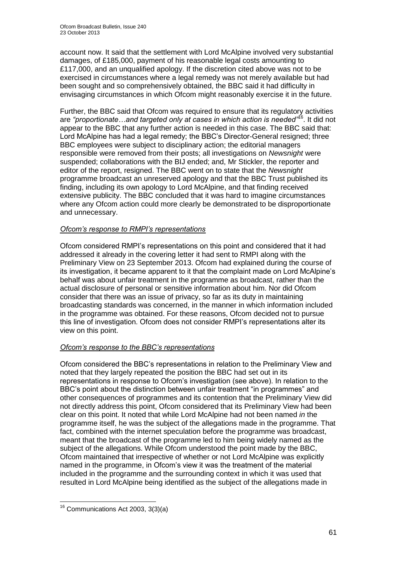account now. It said that the settlement with Lord McAlpine involved very substantial damages, of £185,000, payment of his reasonable legal costs amounting to £117,000, and an unqualified apology. If the discretion cited above was not to be exercised in circumstances where a legal remedy was not merely available but had been sought and so comprehensively obtained, the BBC said it had difficulty in envisaging circumstances in which Ofcom might reasonably exercise it in the future.

Further, the BBC said that Ofcom was required to ensure that its regulatory activities are *"proportionate…and targeted only at cases in which action is needed"*<sup>16</sup>. It did not appear to the BBC that any further action is needed in this case. The BBC said that: Lord McAlpine has had a legal remedy; the BBC's Director-General resigned; three BBC employees were subject to disciplinary action; the editorial managers responsible were removed from their posts; all investigations on *Newsnight* were suspended; collaborations with the BIJ ended; and, Mr Stickler, the reporter and editor of the report, resigned. The BBC went on to state that the *Newsnight* programme broadcast an unreserved apology and that the BBC Trust published its finding, including its own apology to Lord McAlpine, and that finding received extensive publicity. The BBC concluded that it was hard to imagine circumstances where any Ofcom action could more clearly be demonstrated to be disproportionate and unnecessary.

# *Ofcom's response to RMPI's representations*

Ofcom considered RMPI's representations on this point and considered that it had addressed it already in the covering letter it had sent to RMPI along with the Preliminary View on 23 September 2013. Ofcom had explained during the course of its investigation, it became apparent to it that the complaint made on Lord McAlpine's behalf was about unfair treatment in the programme as broadcast, rather than the actual disclosure of personal or sensitive information about him. Nor did Ofcom consider that there was an issue of privacy, so far as its duty in maintaining broadcasting standards was concerned, in the manner in which information included in the programme was obtained. For these reasons, Ofcom decided not to pursue this line of investigation. Ofcom does not consider RMPI's representations alter its view on this point.

# *Ofcom's response to the BBC's representations*

Ofcom considered the BBC's representations in relation to the Preliminary View and noted that they largely repeated the position the BBC had set out in its representations in response to Ofcom's investigation (see above). In relation to the BBC's point about the distinction between unfair treatment "in programmes" and other consequences of programmes and its contention that the Preliminary View did not directly address this point, Ofcom considered that its Preliminary View had been clear on this point. It noted that while Lord McAlpine had not been named *in* the programme itself, he was the subject of the allegations made in the programme. That fact, combined with the internet speculation before the programme was broadcast, meant that the broadcast of the programme led to him being widely named as the subject of the allegations. While Ofcom understood the point made by the BBC, Ofcom maintained that irrespective of whether or not Lord McAlpine was explicitly named in the programme, in Ofcom's view it was the treatment of the material included in the programme and the surrounding context in which it was used that resulted in Lord McAlpine being identified as the subject of the allegations made in

<sup>1</sup>  $16$  Communications Act 2003, 3(3)(a)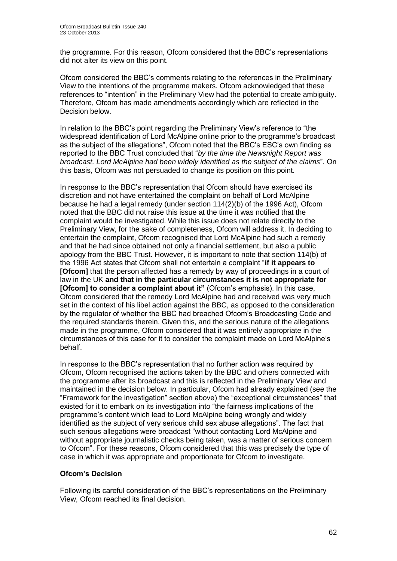the programme. For this reason, Ofcom considered that the BBC's representations did not alter its view on this point.

Ofcom considered the BBC's comments relating to the references in the Preliminary View to the intentions of the programme makers. Ofcom acknowledged that these references to "intention" in the Preliminary View had the potential to create ambiguity. Therefore, Ofcom has made amendments accordingly which are reflected in the Decision below.

In relation to the BBC's point regarding the Preliminary View's reference to "the widespread identification of Lord McAlpine online prior to the programme's broadcast as the subject of the allegations", Ofcom noted that the BBC's ESC's own finding as reported to the BBC Trust concluded that "*by the time the Newsnight Report was broadcast, Lord McAlpine had been widely identified as the subject of the claims*". On this basis, Ofcom was not persuaded to change its position on this point.

In response to the BBC's representation that Ofcom should have exercised its discretion and not have entertained the complaint on behalf of Lord McAlpine because he had a legal remedy (under section 114(2)(b) of the 1996 Act), Ofcom noted that the BBC did not raise this issue at the time it was notified that the complaint would be investigated. While this issue does not relate directly to the Preliminary View, for the sake of completeness, Ofcom will address it. In deciding to entertain the complaint, Ofcom recognised that Lord McAlpine had such a remedy and that he had since obtained not only a financial settlement, but also a public apology from the BBC Trust. However, it is important to note that section 114(b) of the 1996 Act states that Ofcom shall not entertain a complaint "**if it appears to [Ofcom]** that the person affected has a remedy by way of proceedings in a court of law in the UK **and that in the particular circumstances it is not appropriate for [Ofcom] to consider a complaint about it"** (Ofcom's emphasis). In this case, Ofcom considered that the remedy Lord McAlpine had and received was very much set in the context of his libel action against the BBC, as opposed to the consideration by the regulator of whether the BBC had breached Ofcom's Broadcasting Code and the required standards therein. Given this, and the serious nature of the allegations made in the programme, Ofcom considered that it was entirely appropriate in the circumstances of this case for it to consider the complaint made on Lord McAlpine's behalf.

In response to the BBC's representation that no further action was required by Ofcom, Ofcom recognised the actions taken by the BBC and others connected with the programme after its broadcast and this is reflected in the Preliminary View and maintained in the decision below. In particular, Ofcom had already explained (see the "Framework for the investigation" section above) the "exceptional circumstances" that existed for it to embark on its investigation into "the fairness implications of the programme's content which lead to Lord McAlpine being wrongly and widely identified as the subject of very serious child sex abuse allegations". The fact that such serious allegations were broadcast "without contacting Lord McAlpine and without appropriate journalistic checks being taken, was a matter of serious concern to Ofcom". For these reasons, Ofcom considered that this was precisely the type of case in which it was appropriate and proportionate for Ofcom to investigate.

# **Ofcom's Decision**

Following its careful consideration of the BBC's representations on the Preliminary View, Ofcom reached its final decision.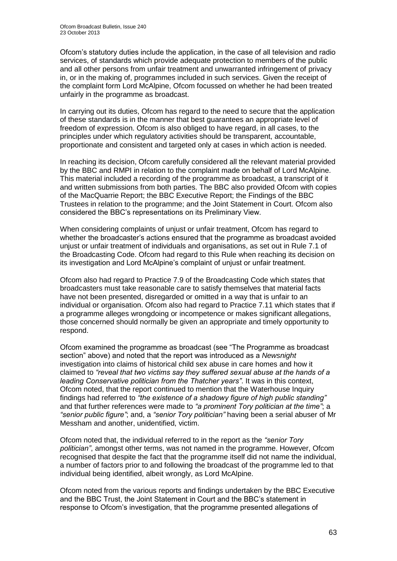Ofcom's statutory duties include the application, in the case of all television and radio services, of standards which provide adequate protection to members of the public and all other persons from unfair treatment and unwarranted infringement of privacy in, or in the making of, programmes included in such services. Given the receipt of the complaint form Lord McAlpine, Ofcom focussed on whether he had been treated unfairly in the programme as broadcast.

In carrying out its duties, Ofcom has regard to the need to secure that the application of these standards is in the manner that best guarantees an appropriate level of freedom of expression. Ofcom is also obliged to have regard, in all cases, to the principles under which regulatory activities should be transparent, accountable, proportionate and consistent and targeted only at cases in which action is needed.

In reaching its decision, Ofcom carefully considered all the relevant material provided by the BBC and RMPI in relation to the complaint made on behalf of Lord McAlpine. This material included a recording of the programme as broadcast, a transcript of it and written submissions from both parties. The BBC also provided Ofcom with copies of the MacQuarrie Report; the BBC Executive Report; the Findings of the BBC Trustees in relation to the programme; and the Joint Statement in Court. Ofcom also considered the BBC's representations on its Preliminary View.

When considering complaints of unjust or unfair treatment, Ofcom has regard to whether the broadcaster's actions ensured that the programme as broadcast avoided unjust or unfair treatment of individuals and organisations, as set out in Rule 7.1 of the Broadcasting Code. Ofcom had regard to this Rule when reaching its decision on its investigation and Lord McAlpine's complaint of unjust or unfair treatment.

Ofcom also had regard to Practice 7.9 of the Broadcasting Code which states that broadcasters must take reasonable care to satisfy themselves that material facts have not been presented, disregarded or omitted in a way that is unfair to an individual or organisation. Ofcom also had regard to Practice 7.11 which states that if a programme alleges wrongdoing or incompetence or makes significant allegations, those concerned should normally be given an appropriate and timely opportunity to respond.

Ofcom examined the programme as broadcast (see "The Programme as broadcast section" above) and noted that the report was introduced as a *Newsnight* investigation into claims of historical child sex abuse in care homes and how it claimed to *"reveal that two victims say they suffered sexual abuse at the hands of a leading Conservative politician from the Thatcher years"*. It was in this context, Ofcom noted, that the report continued to mention that the Waterhouse Inquiry findings had referred to *"the existence of a shadowy figure of high public standing"* and that further references were made to *"a prominent Tory politician at the time"*; a *"senior public figure"*; and, a *"senior Tory politician"* having been a serial abuser of Mr Messham and another, unidentified, victim.

Ofcom noted that, the individual referred to in the report as the *"senior Tory politician"*, amongst other terms, was not named in the programme. However, Ofcom recognised that despite the fact that the programme itself did not name the individual, a number of factors prior to and following the broadcast of the programme led to that individual being identified, albeit wrongly, as Lord McAlpine.

Ofcom noted from the various reports and findings undertaken by the BBC Executive and the BBC Trust, the Joint Statement in Court and the BBC's statement in response to Ofcom's investigation, that the programme presented allegations of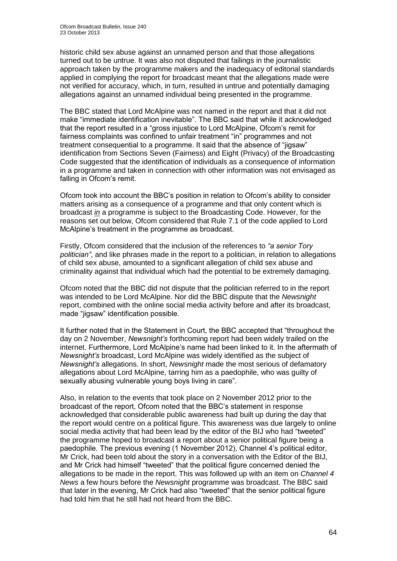historic child sex abuse against an unnamed person and that those allegations turned out to be untrue. It was also not disputed that failings in the journalistic approach taken by the programme makers and the inadequacy of editorial standards applied in complying the report for broadcast meant that the allegations made were not verified for accuracy, which, in turn, resulted in untrue and potentially damaging allegations against an unnamed individual being presented in the programme.

The BBC stated that Lord McAlpine was not named in the report and that it did not make "immediate identification inevitable". The BBC said that while it acknowledged that the report resulted in a "gross injustice to Lord McAlpine, Ofcom's remit for fairness complaints was confined to unfair treatment "in" programmes and not treatment consequential to a programme. It said that the absence of "jigsaw" identification from Sections Seven (Fairness) and Eight (Privacy) of the Broadcasting Code suggested that the identification of individuals as a consequence of information in a programme and taken in connection with other information was not envisaged as falling in Ofcom's remit.

Ofcom took into account the BBC's position in relation to Ofcom's ability to consider matters arising as a consequence of a programme and that only content which is broadcast *in* a programme is subject to the Broadcasting Code. However, for the reasons set out below, Ofcom considered that Rule 7.1 of the code applied to Lord McAlpine's treatment in the programme as broadcast.

Firstly, Ofcom considered that the inclusion of the references to *"a senior Tory politician"*, and like phrases made in the report to a politician, in relation to allegations of child sex abuse, amounted to a significant allegation of child sex abuse and criminality against that individual which had the potential to be extremely damaging.

Ofcom noted that the BBC did not dispute that the politician referred to in the report was intended to be Lord McAlpine. Nor did the BBC dispute that the *Newsnight* report, combined with the online social media activity before and after its broadcast, made "jigsaw" identification possible.

It further noted that in the Statement in Court, the BBC accepted that "throughout the day on 2 November, *Newsnight's* forthcoming report had been widely trailed on the internet. Furthermore, Lord McAlpine's name had been linked to it. In the aftermath of *Newsnight's* broadcast, Lord McAlpine was widely identified as the subject of *Newsnight's* allegations. In short, *Newsnight* made the most serious of defamatory allegations about Lord McAlpine, tarring him as a paedophile, who was guilty of sexually abusing vulnerable young boys living in care".

Also, in relation to the events that took place on 2 November 2012 prior to the broadcast of the report, Ofcom noted that the BBC's statement in response acknowledged that considerable public awareness had built up during the day that the report would centre on a political figure. This awareness was due largely to online social media activity that had been lead by the editor of the BIJ who had "tweeted" the programme hoped to broadcast a report about a senior political figure being a paedophile. The previous evening (1 November 2012), Channel 4's political editor, Mr Crick, had been told about the story in a conversation with the Editor of the BIJ, and Mr Crick had himself "tweeted" that the political figure concerned denied the allegations to be made in the report. This was followed up with an item on *Channel 4 News* a few hours before the *Newsnight* programme was broadcast. The BBC said that later in the evening, Mr Crick had also "tweeted" that the senior political figure had told him that he still had not heard from the BBC.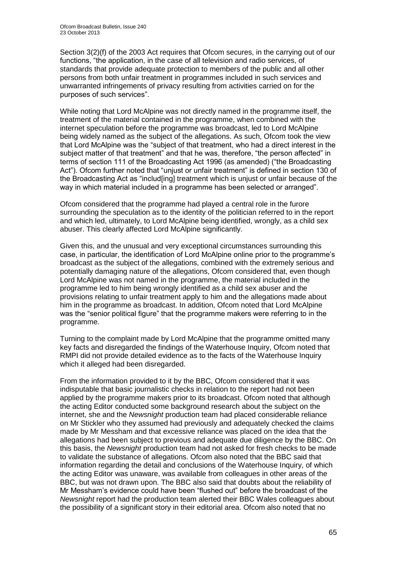Section 3(2)(f) of the 2003 Act requires that Ofcom secures, in the carrying out of our functions, "the application, in the case of all television and radio services, of standards that provide adequate protection to members of the public and all other persons from both unfair treatment in programmes included in such services and unwarranted infringements of privacy resulting from activities carried on for the purposes of such services".

While noting that Lord McAlpine was not directly named in the programme itself, the treatment of the material contained in the programme, when combined with the internet speculation before the programme was broadcast, led to Lord McAlpine being widely named as the subject of the allegations. As such, Ofcom took the view that Lord McAlpine was the "subject of that treatment, who had a direct interest in the subject matter of that treatment" and that he was, therefore, "the person affected" in terms of section 111 of the Broadcasting Act 1996 (as amended) ("the Broadcasting Act"). Ofcom further noted that "unjust or unfair treatment" is defined in section 130 of the Broadcasting Act as "includ[ing] treatment which is unjust or unfair because of the way in which material included in a programme has been selected or arranged".

Ofcom considered that the programme had played a central role in the furore surrounding the speculation as to the identity of the politician referred to in the report and which led, ultimately, to Lord McAlpine being identified, wrongly, as a child sex abuser. This clearly affected Lord McAlpine significantly.

Given this, and the unusual and very exceptional circumstances surrounding this case, in particular, the identification of Lord McAlpine online prior to the programme's broadcast as the subject of the allegations, combined with the extremely serious and potentially damaging nature of the allegations, Ofcom considered that, even though Lord McAlpine was not named in the programme, the material included in the programme led to him being wrongly identified as a child sex abuser and the provisions relating to unfair treatment apply to him and the allegations made about him in the programme as broadcast. In addition, Ofcom noted that Lord McAlpine was the "senior political figure" that the programme makers were referring to in the programme.

Turning to the complaint made by Lord McAlpine that the programme omitted many key facts and disregarded the findings of the Waterhouse Inquiry, Ofcom noted that RMPI did not provide detailed evidence as to the facts of the Waterhouse Inquiry which it alleged had been disregarded.

From the information provided to it by the BBC, Ofcom considered that it was indisputable that basic journalistic checks in relation to the report had not been applied by the programme makers prior to its broadcast. Ofcom noted that although the acting Editor conducted some background research about the subject on the internet, she and the *Newsnight* production team had placed considerable reliance on Mr Stickler who they assumed had previously and adequately checked the claims made by Mr Messham and that excessive reliance was placed on the idea that the allegations had been subject to previous and adequate due diligence by the BBC. On this basis, the *Newsnight* production team had not asked for fresh checks to be made to validate the substance of allegations. Ofcom also noted that the BBC said that information regarding the detail and conclusions of the Waterhouse Inquiry, of which the acting Editor was unaware, was available from colleagues in other areas of the BBC, but was not drawn upon. The BBC also said that doubts about the reliability of Mr Messham's evidence could have been "flushed out" before the broadcast of the *Newsnight* report had the production team alerted their BBC Wales colleagues about the possibility of a significant story in their editorial area. Ofcom also noted that no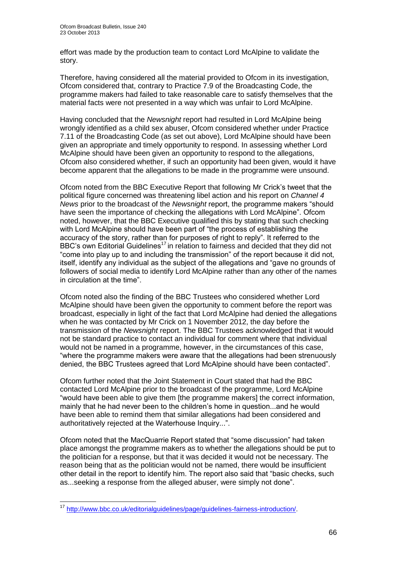effort was made by the production team to contact Lord McAlpine to validate the story.

Therefore, having considered all the material provided to Ofcom in its investigation, Ofcom considered that, contrary to Practice 7.9 of the Broadcasting Code, the programme makers had failed to take reasonable care to satisfy themselves that the material facts were not presented in a way which was unfair to Lord McAlpine.

Having concluded that the *Newsnight* report had resulted in Lord McAlpine being wrongly identified as a child sex abuser, Ofcom considered whether under Practice 7.11 of the Broadcasting Code (as set out above), Lord McAlpine should have been given an appropriate and timely opportunity to respond. In assessing whether Lord McAlpine should have been given an opportunity to respond to the allegations, Ofcom also considered whether, if such an opportunity had been given, would it have become apparent that the allegations to be made in the programme were unsound.

Ofcom noted from the BBC Executive Report that following Mr Crick's tweet that the political figure concerned was threatening libel action and his report on *Channel 4 News* prior to the broadcast of the *Newsnight* report, the programme makers "should have seen the importance of checking the allegations with Lord McAlpine". Ofcom noted, however, that the BBC Executive qualified this by stating that such checking with Lord McAlpine should have been part of "the process of establishing the accuracy of the story, rather than for purposes of right to reply". It referred to the BBC's own Editorial Guidelines<sup>17</sup> in relation to fairness and decided that they did not "come into play up to and including the transmission" of the report because it did not, itself, identify any individual as the subject of the allegations and "gave no grounds of followers of social media to identify Lord McAlpine rather than any other of the names in circulation at the time".

Ofcom noted also the finding of the BBC Trustees who considered whether Lord McAlpine should have been given the opportunity to comment before the report was broadcast, especially in light of the fact that Lord McAlpine had denied the allegations when he was contacted by Mr Crick on 1 November 2012, the day before the transmission of the *Newsnight* report. The BBC Trustees acknowledged that it would not be standard practice to contact an individual for comment where that individual would not be named in a programme, however, in the circumstances of this case, "where the programme makers were aware that the allegations had been strenuously denied, the BBC Trustees agreed that Lord McAlpine should have been contacted".

Ofcom further noted that the Joint Statement in Court stated that had the BBC contacted Lord McAlpine prior to the broadcast of the programme, Lord McAlpine "would have been able to give them [the programme makers] the correct information, mainly that he had never been to the children's home in question...and he would have been able to remind them that similar allegations had been considered and authoritatively rejected at the Waterhouse Inquiry...".

Ofcom noted that the MacQuarrie Report stated that "some discussion" had taken place amongst the programme makers as to whether the allegations should be put to the politician for a response, but that it was decided it would not be necessary. The reason being that as the politician would not be named, there would be insufficient other detail in the report to identify him. The report also said that "basic checks, such as...seeking a response from the alleged abuser, were simply not done".

1

<sup>&</sup>lt;sup>17</sup> [http://www.bbc.co.uk/editorialguidelines/page/guidelines-fairness-introduction/.](http://www.bbc.co.uk/editorialguidelines/page/guidelines-fairness-introduction/)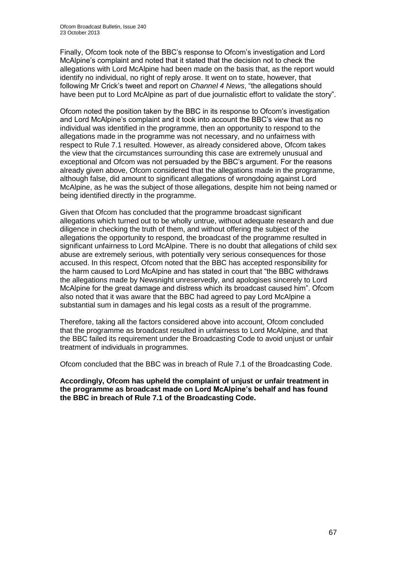Finally, Ofcom took note of the BBC's response to Ofcom's investigation and Lord McAlpine's complaint and noted that it stated that the decision not to check the allegations with Lord McAlpine had been made on the basis that, as the report would identify no individual, no right of reply arose. It went on to state, however, that following Mr Crick's tweet and report on *Channel 4 News*, "the allegations should have been put to Lord McAlpine as part of due journalistic effort to validate the story".

Ofcom noted the position taken by the BBC in its response to Ofcom's investigation and Lord McAlpine's complaint and it took into account the BBC's view that as no individual was identified in the programme, then an opportunity to respond to the allegations made in the programme was not necessary, and no unfairness with respect to Rule 7.1 resulted. However, as already considered above, Ofcom takes the view that the circumstances surrounding this case are extremely unusual and exceptional and Ofcom was not persuaded by the BBC's argument. For the reasons already given above, Ofcom considered that the allegations made in the programme, although false, did amount to significant allegations of wrongdoing against Lord McAlpine, as he was the subject of those allegations, despite him not being named or being identified directly in the programme.

Given that Ofcom has concluded that the programme broadcast significant allegations which turned out to be wholly untrue, without adequate research and due diligence in checking the truth of them, and without offering the subject of the allegations the opportunity to respond, the broadcast of the programme resulted in significant unfairness to Lord McAlpine. There is no doubt that allegations of child sex abuse are extremely serious, with potentially very serious consequences for those accused. In this respect, Ofcom noted that the BBC has accepted responsibility for the harm caused to Lord McAlpine and has stated in court that "the BBC withdraws the allegations made by Newsnight unreservedly, and apologises sincerely to Lord McAlpine for the great damage and distress which its broadcast caused him". Ofcom also noted that it was aware that the BBC had agreed to pay Lord McAlpine a substantial sum in damages and his legal costs as a result of the programme.

Therefore, taking all the factors considered above into account, Ofcom concluded that the programme as broadcast resulted in unfairness to Lord McAlpine, and that the BBC failed its requirement under the Broadcasting Code to avoid unjust or unfair treatment of individuals in programmes.

Ofcom concluded that the BBC was in breach of Rule 7.1 of the Broadcasting Code.

**Accordingly, Ofcom has upheld the complaint of unjust or unfair treatment in the programme as broadcast made on Lord McAlpine's behalf and has found the BBC in breach of Rule 7.1 of the Broadcasting Code.**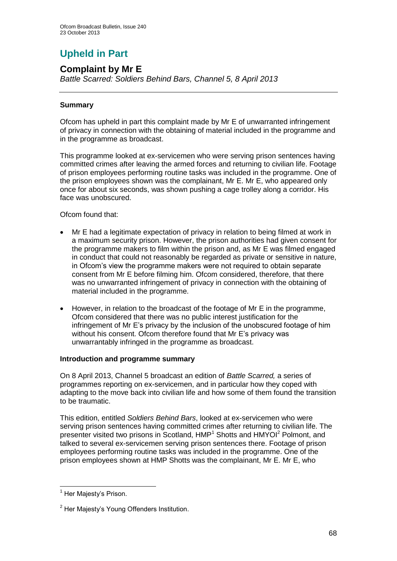# **Upheld in Part**

# **Complaint by Mr E**

*Battle Scarred: Soldiers Behind Bars, Channel 5, 8 April 2013*

# **Summary**

Ofcom has upheld in part this complaint made by Mr E of unwarranted infringement of privacy in connection with the obtaining of material included in the programme and in the programme as broadcast.

This programme looked at ex-servicemen who were serving prison sentences having committed crimes after leaving the armed forces and returning to civilian life. Footage of prison employees performing routine tasks was included in the programme. One of the prison employees shown was the complainant, Mr E. Mr E, who appeared only once for about six seconds, was shown pushing a cage trolley along a corridor. His face was unobscured.

Ofcom found that:

- Mr E had a legitimate expectation of privacy in relation to being filmed at work in a maximum security prison. However, the prison authorities had given consent for the programme makers to film within the prison and, as Mr E was filmed engaged in conduct that could not reasonably be regarded as private or sensitive in nature, in Ofcom's view the programme makers were not required to obtain separate consent from Mr E before filming him. Ofcom considered, therefore, that there was no unwarranted infringement of privacy in connection with the obtaining of material included in the programme.
- However, in relation to the broadcast of the footage of Mr E in the programme, Ofcom considered that there was no public interest justification for the infringement of Mr E's privacy by the inclusion of the unobscured footage of him without his consent. Ofcom therefore found that Mr E's privacy was unwarrantably infringed in the programme as broadcast.

# **Introduction and programme summary**

On 8 April 2013, Channel 5 broadcast an edition of *Battle Scarred,* a series of programmes reporting on ex-servicemen, and in particular how they coped with adapting to the move back into civilian life and how some of them found the transition to be traumatic.

This edition, entitled *Soldiers Behind Bars*, looked at ex-servicemen who were serving prison sentences having committed crimes after returning to civilian life. The presenter visited two prisons in Scotland, HMP<sup>1</sup> Shotts and HMYOI<sup>2</sup> Polmont, and talked to several ex-servicemen serving prison sentences there. Footage of prison employees performing routine tasks was included in the programme. One of the prison employees shown at HMP Shotts was the complainant, Mr E. Mr E, who

1

 $<sup>1</sup>$  Her Maiesty's Prison.</sup>

<sup>&</sup>lt;sup>2</sup> Her Majesty's Young Offenders Institution.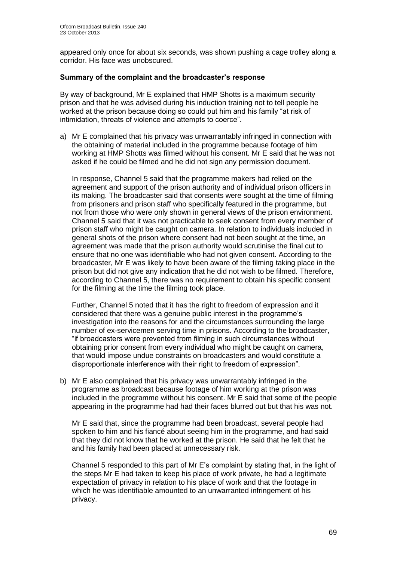appeared only once for about six seconds, was shown pushing a cage trolley along a corridor. His face was unobscured.

#### **Summary of the complaint and the broadcaster's response**

By way of background, Mr E explained that HMP Shotts is a maximum security prison and that he was advised during his induction training not to tell people he worked at the prison because doing so could put him and his family "at risk of intimidation, threats of violence and attempts to coerce".

a) Mr E complained that his privacy was unwarrantably infringed in connection with the obtaining of material included in the programme because footage of him working at HMP Shotts was filmed without his consent. Mr E said that he was not asked if he could be filmed and he did not sign any permission document.

In response, Channel 5 said that the programme makers had relied on the agreement and support of the prison authority and of individual prison officers in its making. The broadcaster said that consents were sought at the time of filming from prisoners and prison staff who specifically featured in the programme, but not from those who were only shown in general views of the prison environment. Channel 5 said that it was not practicable to seek consent from every member of prison staff who might be caught on camera. In relation to individuals included in general shots of the prison where consent had not been sought at the time, an agreement was made that the prison authority would scrutinise the final cut to ensure that no one was identifiable who had not given consent. According to the broadcaster, Mr E was likely to have been aware of the filming taking place in the prison but did not give any indication that he did not wish to be filmed. Therefore, according to Channel 5, there was no requirement to obtain his specific consent for the filming at the time the filming took place.

Further, Channel 5 noted that it has the right to freedom of expression and it considered that there was a genuine public interest in the programme's investigation into the reasons for and the circumstances surrounding the large number of ex-servicemen serving time in prisons. According to the broadcaster, "if broadcasters were prevented from filming in such circumstances without obtaining prior consent from every individual who might be caught on camera, that would impose undue constraints on broadcasters and would constitute a disproportionate interference with their right to freedom of expression".

b) Mr E also complained that his privacy was unwarrantably infringed in the programme as broadcast because footage of him working at the prison was included in the programme without his consent. Mr E said that some of the people appearing in the programme had had their faces blurred out but that his was not.

Mr E said that, since the programme had been broadcast, several people had spoken to him and his fiancé about seeing him in the programme, and had said that they did not know that he worked at the prison. He said that he felt that he and his family had been placed at unnecessary risk.

Channel 5 responded to this part of Mr E's complaint by stating that, in the light of the steps Mr E had taken to keep his place of work private, he had a legitimate expectation of privacy in relation to his place of work and that the footage in which he was identifiable amounted to an unwarranted infringement of his privacy.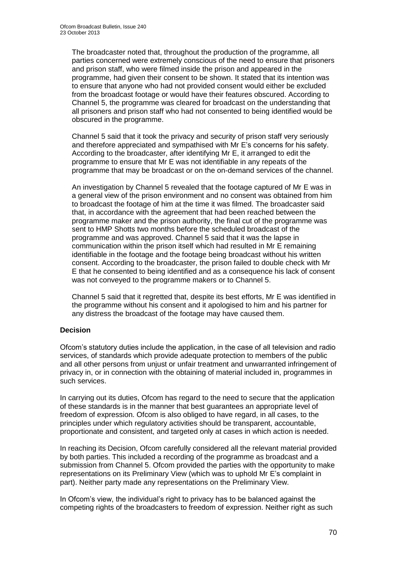The broadcaster noted that, throughout the production of the programme, all parties concerned were extremely conscious of the need to ensure that prisoners and prison staff, who were filmed inside the prison and appeared in the programme, had given their consent to be shown. It stated that its intention was to ensure that anyone who had not provided consent would either be excluded from the broadcast footage or would have their features obscured. According to Channel 5, the programme was cleared for broadcast on the understanding that all prisoners and prison staff who had not consented to being identified would be obscured in the programme.

Channel 5 said that it took the privacy and security of prison staff very seriously and therefore appreciated and sympathised with Mr E's concerns for his safety. According to the broadcaster, after identifying Mr E, it arranged to edit the programme to ensure that Mr E was not identifiable in any repeats of the programme that may be broadcast or on the on-demand services of the channel.

An investigation by Channel 5 revealed that the footage captured of Mr E was in a general view of the prison environment and no consent was obtained from him to broadcast the footage of him at the time it was filmed. The broadcaster said that, in accordance with the agreement that had been reached between the programme maker and the prison authority, the final cut of the programme was sent to HMP Shotts two months before the scheduled broadcast of the programme and was approved. Channel 5 said that it was the lapse in communication within the prison itself which had resulted in Mr E remaining identifiable in the footage and the footage being broadcast without his written consent. According to the broadcaster, the prison failed to double check with Mr E that he consented to being identified and as a consequence his lack of consent was not conveyed to the programme makers or to Channel 5.

Channel 5 said that it regretted that, despite its best efforts, Mr E was identified in the programme without his consent and it apologised to him and his partner for any distress the broadcast of the footage may have caused them.

# **Decision**

Ofcom's statutory duties include the application, in the case of all television and radio services, of standards which provide adequate protection to members of the public and all other persons from unjust or unfair treatment and unwarranted infringement of privacy in, or in connection with the obtaining of material included in, programmes in such services.

In carrying out its duties, Ofcom has regard to the need to secure that the application of these standards is in the manner that best guarantees an appropriate level of freedom of expression. Ofcom is also obliged to have regard, in all cases, to the principles under which regulatory activities should be transparent, accountable, proportionate and consistent, and targeted only at cases in which action is needed.

In reaching its Decision, Ofcom carefully considered all the relevant material provided by both parties. This included a recording of the programme as broadcast and a submission from Channel 5. Ofcom provided the parties with the opportunity to make representations on its Preliminary View (which was to uphold Mr E's complaint in part). Neither party made any representations on the Preliminary View.

In Ofcom's view, the individual's right to privacy has to be balanced against the competing rights of the broadcasters to freedom of expression. Neither right as such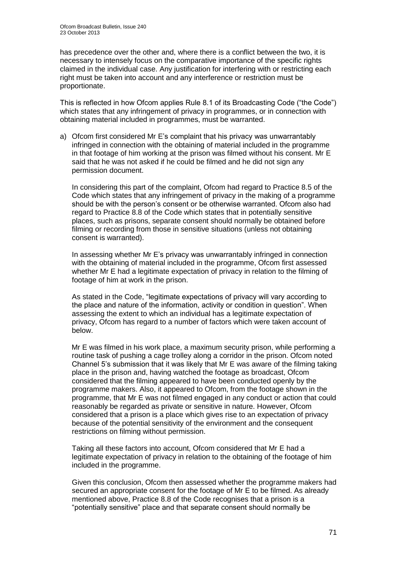has precedence over the other and, where there is a conflict between the two, it is necessary to intensely focus on the comparative importance of the specific rights claimed in the individual case. Any justification for interfering with or restricting each right must be taken into account and any interference or restriction must be proportionate.

This is reflected in how Ofcom applies Rule 8.1 of its Broadcasting Code ("the Code") which states that any infringement of privacy in programmes, or in connection with obtaining material included in programmes, must be warranted.

a) Ofcom first considered Mr E's complaint that his privacy was unwarrantably infringed in connection with the obtaining of material included in the programme in that footage of him working at the prison was filmed without his consent. Mr E said that he was not asked if he could be filmed and he did not sign any permission document.

In considering this part of the complaint, Ofcom had regard to Practice 8.5 of the Code which states that any infringement of privacy in the making of a programme should be with the person's consent or be otherwise warranted. Ofcom also had regard to Practice 8.8 of the Code which states that in potentially sensitive places, such as prisons, separate consent should normally be obtained before filming or recording from those in sensitive situations (unless not obtaining consent is warranted).

In assessing whether Mr E's privacy was unwarrantably infringed in connection with the obtaining of material included in the programme, Ofcom first assessed whether Mr E had a legitimate expectation of privacy in relation to the filming of footage of him at work in the prison.

As stated in the Code, "legitimate expectations of privacy will vary according to the place and nature of the information, activity or condition in question". When assessing the extent to which an individual has a legitimate expectation of privacy, Ofcom has regard to a number of factors which were taken account of below.

Mr E was filmed in his work place, a maximum security prison, while performing a routine task of pushing a cage trolley along a corridor in the prison. Ofcom noted Channel 5's submission that it was likely that Mr E was aware of the filming taking place in the prison and, having watched the footage as broadcast, Ofcom considered that the filming appeared to have been conducted openly by the programme makers. Also, it appeared to Ofcom, from the footage shown in the programme, that Mr E was not filmed engaged in any conduct or action that could reasonably be regarded as private or sensitive in nature. However, Ofcom considered that a prison is a place which gives rise to an expectation of privacy because of the potential sensitivity of the environment and the consequent restrictions on filming without permission.

Taking all these factors into account, Ofcom considered that Mr E had a legitimate expectation of privacy in relation to the obtaining of the footage of him included in the programme.

Given this conclusion, Ofcom then assessed whether the programme makers had secured an appropriate consent for the footage of Mr E to be filmed. As already mentioned above, Practice 8.8 of the Code recognises that a prison is a "potentially sensitive" place and that separate consent should normally be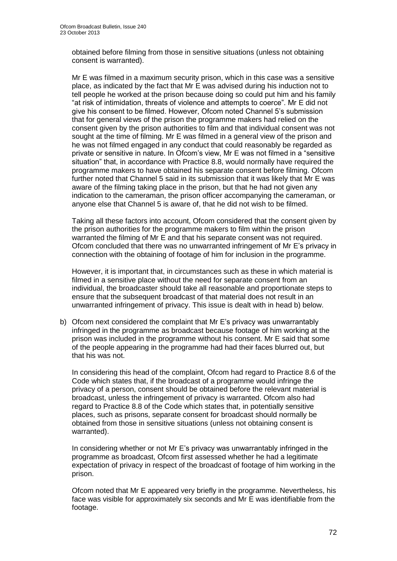obtained before filming from those in sensitive situations (unless not obtaining consent is warranted).

Mr E was filmed in a maximum security prison, which in this case was a sensitive place, as indicated by the fact that Mr E was advised during his induction not to tell people he worked at the prison because doing so could put him and his family "at risk of intimidation, threats of violence and attempts to coerce". Mr E did not give his consent to be filmed. However, Ofcom noted Channel 5's submission that for general views of the prison the programme makers had relied on the consent given by the prison authorities to film and that individual consent was not sought at the time of filming. Mr E was filmed in a general view of the prison and he was not filmed engaged in any conduct that could reasonably be regarded as private or sensitive in nature. In Ofcom's view, Mr E was not filmed in a "sensitive situation" that, in accordance with Practice 8.8, would normally have required the programme makers to have obtained his separate consent before filming. Ofcom further noted that Channel 5 said in its submission that it was likely that Mr E was aware of the filming taking place in the prison, but that he had not given any indication to the cameraman, the prison officer accompanying the cameraman, or anyone else that Channel 5 is aware of, that he did not wish to be filmed.

Taking all these factors into account, Ofcom considered that the consent given by the prison authorities for the programme makers to film within the prison warranted the filming of Mr E and that his separate consent was not required. Ofcom concluded that there was no unwarranted infringement of Mr E's privacy in connection with the obtaining of footage of him for inclusion in the programme.

However, it is important that, in circumstances such as these in which material is filmed in a sensitive place without the need for separate consent from an individual, the broadcaster should take all reasonable and proportionate steps to ensure that the subsequent broadcast of that material does not result in an unwarranted infringement of privacy. This issue is dealt with in head b) below.

b) Ofcom next considered the complaint that Mr E's privacy was unwarrantably infringed in the programme as broadcast because footage of him working at the prison was included in the programme without his consent. Mr E said that some of the people appearing in the programme had had their faces blurred out, but that his was not.

In considering this head of the complaint, Ofcom had regard to Practice 8.6 of the Code which states that, if the broadcast of a programme would infringe the privacy of a person, consent should be obtained before the relevant material is broadcast, unless the infringement of privacy is warranted. Ofcom also had regard to Practice 8.8 of the Code which states that, in potentially sensitive places, such as prisons, separate consent for broadcast should normally be obtained from those in sensitive situations (unless not obtaining consent is warranted).

In considering whether or not Mr E's privacy was unwarrantably infringed in the programme as broadcast, Ofcom first assessed whether he had a legitimate expectation of privacy in respect of the broadcast of footage of him working in the prison.

Ofcom noted that Mr E appeared very briefly in the programme. Nevertheless, his face was visible for approximately six seconds and Mr E was identifiable from the footage.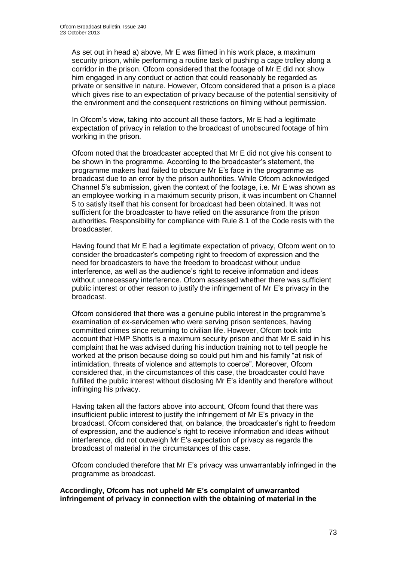As set out in head a) above, Mr E was filmed in his work place, a maximum security prison, while performing a routine task of pushing a cage trolley along a corridor in the prison. Ofcom considered that the footage of Mr E did not show him engaged in any conduct or action that could reasonably be regarded as private or sensitive in nature. However, Ofcom considered that a prison is a place which gives rise to an expectation of privacy because of the potential sensitivity of the environment and the consequent restrictions on filming without permission.

In Ofcom's view, taking into account all these factors, Mr E had a legitimate expectation of privacy in relation to the broadcast of unobscured footage of him working in the prison.

Ofcom noted that the broadcaster accepted that Mr E did not give his consent to be shown in the programme. According to the broadcaster's statement, the programme makers had failed to obscure Mr E's face in the programme as broadcast due to an error by the prison authorities. While Ofcom acknowledged Channel 5's submission, given the context of the footage, i.e. Mr E was shown as an employee working in a maximum security prison, it was incumbent on Channel 5 to satisfy itself that his consent for broadcast had been obtained. It was not sufficient for the broadcaster to have relied on the assurance from the prison authorities. Responsibility for compliance with Rule 8.1 of the Code rests with the broadcaster.

Having found that Mr E had a legitimate expectation of privacy, Ofcom went on to consider the broadcaster's competing right to freedom of expression and the need for broadcasters to have the freedom to broadcast without undue interference, as well as the audience's right to receive information and ideas without unnecessary interference. Ofcom assessed whether there was sufficient public interest or other reason to justify the infringement of Mr E's privacy in the broadcast.

Ofcom considered that there was a genuine public interest in the programme's examination of ex-servicemen who were serving prison sentences, having committed crimes since returning to civilian life. However, Ofcom took into account that HMP Shotts is a maximum security prison and that Mr E said in his complaint that he was advised during his induction training not to tell people he worked at the prison because doing so could put him and his family "at risk of intimidation, threats of violence and attempts to coerce". Moreover, Ofcom considered that, in the circumstances of this case, the broadcaster could have fulfilled the public interest without disclosing Mr E's identity and therefore without infringing his privacy.

Having taken all the factors above into account, Ofcom found that there was insufficient public interest to justify the infringement of Mr E's privacy in the broadcast. Ofcom considered that, on balance, the broadcaster's right to freedom of expression, and the audience's right to receive information and ideas without interference, did not outweigh Mr E's expectation of privacy as regards the broadcast of material in the circumstances of this case.

Ofcom concluded therefore that Mr E's privacy was unwarrantably infringed in the programme as broadcast.

**Accordingly, Ofcom has not upheld Mr E's complaint of unwarranted infringement of privacy in connection with the obtaining of material in the**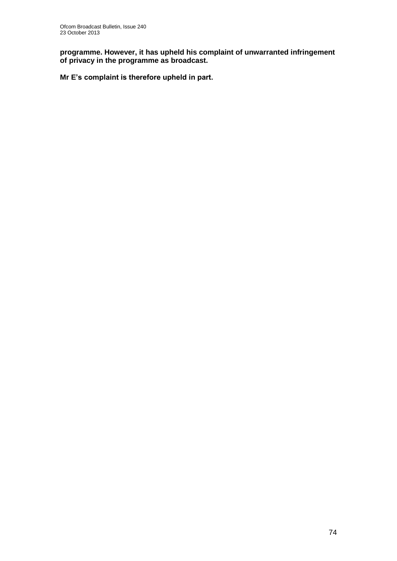**programme. However, it has upheld his complaint of unwarranted infringement of privacy in the programme as broadcast.** 

**Mr E's complaint is therefore upheld in part.**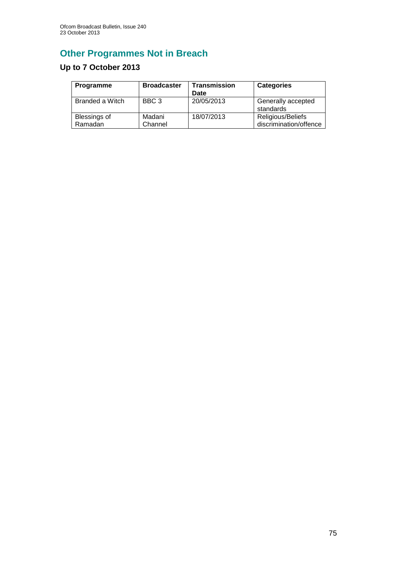# **Other Programmes Not in Breach**

# **Up to 7 October 2013**

| <b>Programme</b>               | <b>Broadcaster</b> | <b>Transmission</b><br>Date | <b>Categories</b>                           |
|--------------------------------|--------------------|-----------------------------|---------------------------------------------|
| Branded a Witch                | BBC <sub>3</sub>   | 20/05/2013                  | Generally accepted<br>standards             |
| <b>Blessings of</b><br>Ramadan | Madani<br>Channel  | 18/07/2013                  | Religious/Beliefs<br>discrimination/offence |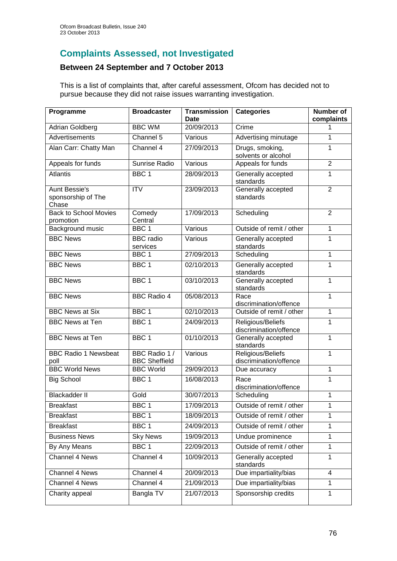# **Complaints Assessed, not Investigated**

#### **Between 24 September and 7 October 2013**

This is a list of complaints that, after careful assessment, Ofcom has decided not to pursue because they did not raise issues warranting investigation.

| Programme                                           | <b>Broadcaster</b>                    | <b>Transmission</b><br><b>Date</b> | <b>Categories</b>                           | <b>Number of</b><br>complaints |
|-----------------------------------------------------|---------------------------------------|------------------------------------|---------------------------------------------|--------------------------------|
| <b>Adrian Goldberg</b>                              | <b>BBC WM</b>                         | 20/09/2013                         | Crime                                       |                                |
| <b>Advertisements</b>                               | Channel 5                             | Various                            | Advertising minutage                        | 1                              |
| Alan Carr: Chatty Man                               | Channel 4                             | 27/09/2013                         | Drugs, smoking,<br>solvents or alcohol      | 1                              |
| Appeals for funds                                   | <b>Sunrise Radio</b>                  | Various                            | Appeals for funds                           | $\overline{2}$                 |
| <b>Atlantis</b>                                     | BBC <sub>1</sub>                      | 28/09/2013                         | Generally accepted<br>standards             | 1                              |
| <b>Aunt Bessie's</b><br>sponsorship of The<br>Chase | $\overline{IV}$                       | 23/09/2013                         | Generally accepted<br>standards             | $\overline{2}$                 |
| <b>Back to School Movies</b><br>promotion           | Comedy<br>Central                     | 17/09/2013                         | Scheduling                                  | $\overline{2}$                 |
| Background music                                    | BBC <sub>1</sub>                      | Various                            | Outside of remit / other                    | 1                              |
| <b>BBC News</b>                                     | <b>BBC</b> radio<br>services          | Various                            | Generally accepted<br>standards             | 1                              |
| <b>BBC News</b>                                     | BBC <sub>1</sub>                      | 27/09/2013                         | Scheduling                                  | 1                              |
| <b>BBC News</b>                                     | BBC 1                                 | 02/10/2013                         | Generally accepted<br>standards             | 1                              |
| <b>BBC News</b>                                     | BBC <sub>1</sub>                      | 03/10/2013                         | Generally accepted<br>standards             | 1                              |
| <b>BBC News</b>                                     | <b>BBC Radio 4</b>                    | 05/08/2013                         | Race<br>discrimination/offence              | 1                              |
| <b>BBC News at Six</b>                              | BBC <sub>1</sub>                      | 02/10/2013                         | Outside of remit / other                    | 1                              |
| <b>BBC News at Ten</b>                              | BBC <sub>1</sub>                      | 24/09/2013                         | Religious/Beliefs<br>discrimination/offence | 1                              |
| <b>BBC News at Ten</b>                              | BBC <sub>1</sub>                      | 01/10/2013                         | Generally accepted<br>standards             | 1                              |
| <b>BBC Radio 1 Newsbeat</b><br>poll                 | BBC Radio 1 /<br><b>BBC Sheffield</b> | Various                            | Religious/Beliefs<br>discrimination/offence | 1                              |
| <b>BBC World News</b>                               | <b>BBC World</b>                      | 29/09/2013                         | Due accuracy                                | 1                              |
| <b>Big School</b>                                   | BBC <sub>1</sub>                      | 16/08/2013                         | Race<br>discrimination/offence              | 1                              |
| <b>Blackadder II</b>                                | Gold                                  | 30/07/2013                         | Scheduling                                  | 1                              |
| <b>Breakfast</b>                                    | BBC 1                                 | 17/09/2013                         | Outside of remit / other                    | $\mathbf{1}$                   |
| <b>Breakfast</b>                                    | BBC <sub>1</sub>                      | 18/09/2013                         | Outside of remit / other                    | 1                              |
| <b>Breakfast</b>                                    | BBC <sub>1</sub>                      | 24/09/2013                         | Outside of remit / other                    | 1                              |
| <b>Business News</b>                                | <b>Sky News</b>                       | 19/09/2013                         | Undue prominence                            | 1                              |
| By Any Means                                        | BBC <sub>1</sub>                      | 22/09/2013                         | Outside of remit / other                    | 1                              |
| Channel 4 News                                      | Channel 4                             | 10/09/2013                         | Generally accepted<br>standards             | 1                              |
| Channel 4 News                                      | Channel 4                             | 20/09/2013                         | Due impartiality/bias                       | 4                              |
| Channel 4 News                                      | Channel 4                             | 21/09/2013                         | Due impartiality/bias                       | 1                              |
| Charity appeal                                      | Bangla TV                             | 21/07/2013                         | Sponsorship credits                         | 1                              |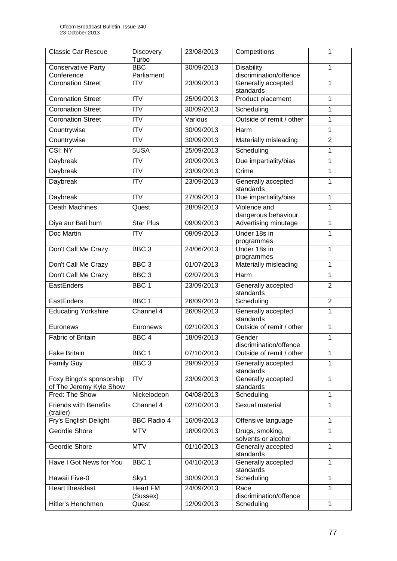| <b>Classic Car Rescue</b>                           | Discovery<br>Turbo       | 23/08/2013 | Competitions                                | 1              |
|-----------------------------------------------------|--------------------------|------------|---------------------------------------------|----------------|
| <b>Conservative Party</b><br>Conference             | <b>BBC</b><br>Parliament | 30/09/2013 | <b>Disability</b><br>discrimination/offence | 1              |
| <b>Coronation Street</b>                            | <b>ITV</b>               | 23/09/2013 | Generally accepted<br>standards             | 1              |
| <b>Coronation Street</b>                            | <b>ITV</b>               | 25/09/2013 | Product placement                           | 1              |
| <b>Coronation Street</b>                            | <b>ITV</b>               | 30/09/2013 | Scheduling                                  | $\mathbf 1$    |
| <b>Coronation Street</b>                            | <b>ITV</b>               | Various    | Outside of remit / other                    | 1              |
| Countrywise                                         | <b>ITV</b>               | 30/09/2013 | Harm                                        | 1              |
| Countrywise                                         | <b>ITV</b>               | 30/09/2013 | Materially misleading                       | $\overline{2}$ |
| CSI: NY                                             | 5USA                     | 25/09/2013 | Scheduling                                  | 1              |
| Daybreak                                            | <b>ITV</b>               | 20/09/2013 | Due impartiality/bias                       | 1              |
| <b>Daybreak</b>                                     | <b>ITV</b>               | 23/09/2013 | Crime                                       | 1              |
| Daybreak                                            | <b>ITV</b>               | 23/09/2013 | Generally accepted<br>standards             | 1              |
| Daybreak                                            | <b>ITV</b>               | 27/09/2013 | Due impartiality/bias                       | 1              |
| <b>Death Machines</b>                               | Quest                    | 28/09/2013 | Violence and<br>dangerous behaviour         | 1              |
| Diya aur Bati hum                                   | <b>Star Plus</b>         | 09/09/2013 | Advertising minutage                        | 1              |
| Doc Martin                                          | $\overline{IV}$          | 09/09/2013 | Under 18s in<br>programmes                  | 1              |
| Don't Call Me Crazy                                 | BBC <sub>3</sub>         | 24/06/2013 | Under 18s in<br>1<br>programmes             |                |
| Don't Call Me Crazy                                 | BBC <sub>3</sub>         | 01/07/2013 | Materially misleading                       | 1              |
| Don't Call Me Crazy                                 | BBC <sub>3</sub>         | 02/07/2013 | Harm                                        | 1              |
| EastEnders                                          | BBC <sub>1</sub>         | 23/09/2013 | Generally accepted<br>standards             | $\overline{2}$ |
| EastEnders                                          | BBC <sub>1</sub>         | 26/09/2013 | Scheduling                                  | $\overline{2}$ |
| <b>Educating Yorkshire</b>                          | Channel 4                | 26/09/2013 | Generally accepted<br>standards             | 1              |
| Euronews                                            | Euronews                 | 02/10/2013 | Outside of remit / other                    | 1              |
| Fabric of Britain                                   | BBC <sub>4</sub>         | 18/09/2013 | Gender<br>discrimination/offence            | 1              |
| <b>Fake Britain</b>                                 | BBC <sub>1</sub>         | 07/10/2013 | Outside of remit / other                    | 1              |
| <b>Family Guy</b>                                   | BBC <sub>3</sub>         | 29/09/2013 | Generally accepted<br>standards             | 1              |
| Foxy Bingo's sponsorship<br>of The Jeremy Kyle Show | <b>ITV</b>               | 23/09/2013 | Generally accepted<br>standards             | 1              |
| Fred: The Show                                      | Nickelodeon              | 04/08/2013 | Scheduling                                  | 1              |
| <b>Friends with Benefits</b><br>(trailer)           | Channel 4                | 02/10/2013 | Sexual material                             | 1              |
| Fry's English Delight                               | <b>BBC Radio 4</b>       | 16/09/2013 | Offensive language                          | 1              |
| Geordie Shore                                       | <b>MTV</b>               | 18/09/2013 | Drugs, smoking,<br>solvents or alcohol      | 1              |
| Geordie Shore                                       | <b>MTV</b>               | 01/10/2013 | Generally accepted<br>standards             | 1              |
| Have I Got News for You                             | BBC <sub>1</sub>         | 04/10/2013 | Generally accepted<br>standards             | 1              |
| Hawaii Five-0                                       | Sky1                     | 30/09/2013 | Scheduling                                  | 1              |
| <b>Heart Breakfast</b>                              | <b>Heart FM</b>          | 24/09/2013 | Race                                        | 1              |
| Hitler's Henchmen                                   | (Sussex)<br>Quest        | 12/09/2013 | discrimination/offence<br>Scheduling        | 1              |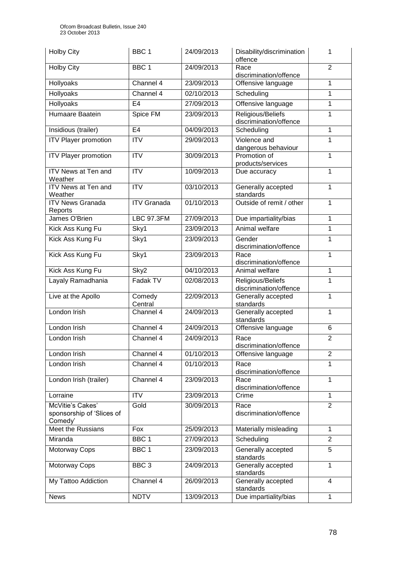| <b>Holby City</b>                                        | BBC <sub>1</sub>   | 24/09/2013 | Disability/discrimination<br>offence             | 1              |
|----------------------------------------------------------|--------------------|------------|--------------------------------------------------|----------------|
| <b>Holby City</b>                                        | BBC <sub>1</sub>   | 24/09/2013 | Race<br>discrimination/offence                   | $\overline{2}$ |
| Hollyoaks                                                | Channel 4          | 23/09/2013 | Offensive language                               | $\mathbf{1}$   |
| Hollyoaks                                                | Channel 4          | 02/10/2013 | Scheduling                                       | $\overline{1}$ |
| <b>Hollyoaks</b>                                         | E <sub>4</sub>     | 27/09/2013 | Offensive language                               | $\mathbf 1$    |
| <b>Humaare Baatein</b>                                   | Spice FM           | 23/09/2013 | Religious/Beliefs<br>discrimination/offence      | 1              |
| Insidious (trailer)                                      | E <sub>4</sub>     | 04/09/2013 | Scheduling                                       | $\mathbf 1$    |
| <b>ITV Player promotion</b>                              | $\overline{ITV}$   | 29/09/2013 | Violence and<br>1<br>dangerous behaviour         |                |
| <b>ITV Player promotion</b>                              | <b>ITV</b>         | 30/09/2013 | Promotion of<br>1<br>products/services           |                |
| ITV News at Ten and<br>Weather                           | <b>ITV</b>         | 10/09/2013 | Due accuracy                                     | $\mathbf{1}$   |
| ITV News at Ten and<br>Weather                           | <b>ITV</b>         | 03/10/2013 | Generally accepted<br>standards                  | 1              |
| <b>ITV News Granada</b><br>Reports                       | <b>ITV Granada</b> | 01/10/2013 | Outside of remit / other                         | 1              |
| James O'Brien                                            | <b>LBC 97.3FM</b>  | 27/09/2013 | Due impartiality/bias                            | $\mathbf{1}$   |
| Kick Ass Kung Fu                                         | Sky1               | 23/09/2013 | Animal welfare                                   | $\mathbf 1$    |
| Kick Ass Kung Fu                                         | Sky1               | 23/09/2013 | Gender<br>discrimination/offence                 | 1              |
| Kick Ass Kung Fu                                         | Sky1               | 23/09/2013 | Race<br>discrimination/offence                   | $\mathbf{1}$   |
| Kick Ass Kung Fu                                         | Sky2               | 04/10/2013 | Animal welfare                                   | $\mathbf{1}$   |
| Layaly Ramadhania                                        | Fadak TV           | 02/08/2013 | Religious/Beliefs<br>discrimination/offence      | 1              |
| Live at the Apollo                                       | Comedy<br>Central  | 22/09/2013 | Generally accepted<br>standards                  | $\overline{1}$ |
| London Irish                                             | Channel 4          | 24/09/2013 | Generally accepted<br>standards                  | 1              |
| London Irish                                             | Channel 4          | 24/09/2013 | Offensive language                               | 6              |
| London Irish                                             | Channel 4          | 24/09/2013 | Race<br>discrimination/offence                   | $\overline{c}$ |
| London Irish                                             | Channel 4          | 01/10/2013 | Offensive language                               | $\overline{2}$ |
| London Irish                                             | Channel 4          | 01/10/2013 | Race<br>discrimination/offence                   | $\mathbf{1}$   |
| London Irish (trailer)                                   | Channel 4          | 23/09/2013 | Race<br>discrimination/offence                   | $\mathbf{1}$   |
| Lorraine                                                 | <b>ITV</b>         | 23/09/2013 | Crime                                            | $\mathbf{1}$   |
| McVitie's Cakes'<br>sponsorship of 'Slices of<br>Comedy' | Gold               | 30/09/2013 | $\overline{2}$<br>Race<br>discrimination/offence |                |
| Meet the Russians                                        | Fox                | 25/09/2013 | Materially misleading                            | $\mathbf{1}$   |
| Miranda                                                  | BBC <sub>1</sub>   | 27/09/2013 | Scheduling                                       | $\overline{2}$ |
| Motorway Cops                                            | BBC <sub>1</sub>   | 23/09/2013 | Generally accepted<br>standards                  | 5              |
| Motorway Cops                                            | BBC <sub>3</sub>   | 24/09/2013 | Generally accepted<br>$\mathbf{1}$<br>standards  |                |
| My Tattoo Addiction                                      | Channel 4          | 26/09/2013 | Generally accepted<br>standards                  | $\overline{4}$ |
| <b>News</b>                                              | <b>NDTV</b>        | 13/09/2013 | Due impartiality/bias                            | $\mathbf{1}$   |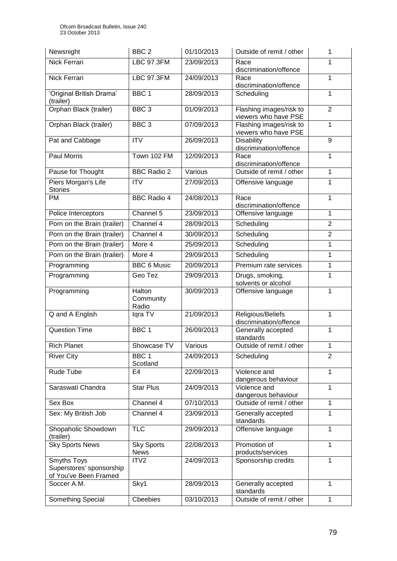| Newsnight                                                        | BBC <sub>2</sub>                 | 01/10/2013 | Outside of remit / other                        | 1              |
|------------------------------------------------------------------|----------------------------------|------------|-------------------------------------------------|----------------|
| Nick Ferrari                                                     | <b>LBC 97.3FM</b>                | 23/09/2013 | Race<br>discrimination/offence                  | 1              |
| Nick Ferrari                                                     | <b>LBC 97.3FM</b>                | 24/09/2013 | Race<br>discrimination/offence                  | 1              |
| 'Original British Drama'<br>(trailer)                            | BBC <sub>1</sub>                 | 28/09/2013 | Scheduling                                      | 1              |
| Orphan Black (trailer)                                           | BBC <sub>3</sub>                 | 01/09/2013 | Flashing images/risk to<br>viewers who have PSE | $\overline{2}$ |
| Orphan Black (trailer)                                           | BBC <sub>3</sub>                 | 07/09/2013 | Flashing images/risk to<br>viewers who have PSE | $\mathbf{1}$   |
| Pat and Cabbage                                                  | <b>ITV</b>                       | 26/09/2013 | <b>Disability</b><br>discrimination/offence     | 9              |
| <b>Paul Morris</b>                                               | Town 102 FM                      | 12/09/2013 | Race<br>discrimination/offence                  | $\mathbf{1}$   |
| Pause for Thought                                                | <b>BBC Radio 2</b>               | Various    | Outside of remit / other                        | $\mathbf{1}$   |
| Piers Morgan's Life<br><b>Stories</b>                            | <b>ITV</b>                       | 27/09/2013 | Offensive language                              | 1              |
| PM                                                               | <b>BBC Radio 4</b>               | 24/08/2013 | Race<br>discrimination/offence                  | 1              |
| Police Interceptors                                              | Channel 5                        | 23/09/2013 | Offensive language                              | $\overline{1}$ |
| Porn on the Brain (trailer)                                      | Channel 4                        | 28/09/2013 | Scheduling                                      | $\overline{2}$ |
| Porn on the Brain (trailer)                                      | Channel 4                        | 30/09/2013 | Scheduling                                      | $\overline{2}$ |
| Porn on the Brain (trailer)                                      | More 4                           | 25/09/2013 | Scheduling                                      | 1              |
| Porn on the Brain (trailer)                                      | More 4                           | 29/09/2013 | Scheduling                                      | 1              |
| Programming                                                      | <b>BBC 6 Music</b>               | 20/09/2013 | Premium rate services                           | $\mathbf{1}$   |
| Programming                                                      | Geo Tez                          | 29/09/2013 | Drugs, smoking,<br>solvents or alcohol          | $\mathbf{1}$   |
| Programming                                                      | Halton<br>Community<br>Radio     | 30/09/2013 | Offensive language                              | 1              |
| Q and A English                                                  | Iqra TV                          | 21/09/2013 | Religious/Beliefs<br>discrimination/offence     | $\mathbf{1}$   |
| <b>Question Time</b>                                             | BBC <sub>1</sub>                 | 26/09/2013 | Generally accepted<br>standards                 | $\mathbf 1$    |
| <b>Rich Planet</b>                                               | Showcase TV                      | Various    | Outside of remit / other                        | 1              |
| <b>River City</b>                                                | BBC <sub>1</sub><br>Scotland     | 24/09/2013 | Scheduling                                      | $\overline{2}$ |
| Rude Tube                                                        | E4                               | 22/09/2013 | Violence and<br>dangerous behaviour             | $\mathbf{1}$   |
| Saraswati Chandra                                                | <b>Star Plus</b>                 | 24/09/2013 | Violence and<br>dangerous behaviour             | $\mathbf{1}$   |
| Sex Box                                                          | Channel 4                        | 07/10/2013 | Outside of remit / other                        | $\mathbf{1}$   |
| Sex: My British Job                                              | Channel 4                        | 23/09/2013 | Generally accepted<br>standards                 | 1              |
| Shopaholic Showdown<br>(trailer)                                 | <b>TLC</b>                       | 29/09/2013 | Offensive language                              | $\mathbf{1}$   |
| <b>Sky Sports News</b>                                           | <b>Sky Sports</b><br><b>News</b> | 22/08/2013 | Promotion of<br>products/services               | 1              |
| Smyths Toys<br>Superstores' sponsorship<br>of You've Been Framed | ITV2                             | 24/09/2013 | Sponsorship credits                             | 1              |
| Soccer A.M.                                                      | Sky1                             | 28/09/2013 | Generally accepted<br>standards                 | $\mathbf{1}$   |
| Something Special                                                | Cbeebies                         | 03/10/2013 | Outside of remit / other                        | $\mathbf{1}$   |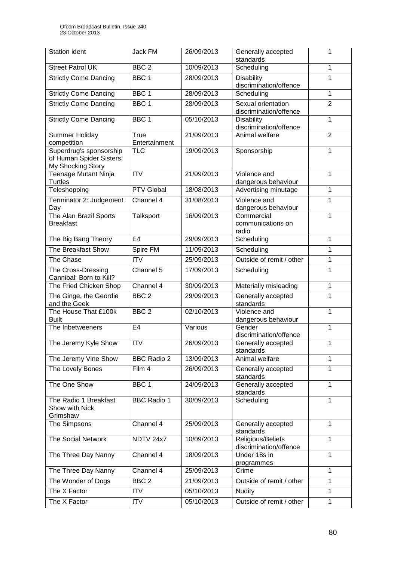| <b>Station ident</b>                                                     | Jack FM               | 26/09/2013 | Generally accepted<br>1<br>standards         |                |
|--------------------------------------------------------------------------|-----------------------|------------|----------------------------------------------|----------------|
| <b>Street Patrol UK</b>                                                  | BBC <sub>2</sub>      | 10/09/2013 | Scheduling                                   | $\mathbf{1}$   |
| <b>Strictly Come Dancing</b>                                             | BBC <sub>1</sub>      | 28/09/2013 | <b>Disability</b><br>discrimination/offence  | 1              |
| <b>Strictly Come Dancing</b>                                             | BBC <sub>1</sub>      | 28/09/2013 | Scheduling                                   | $\mathbf{1}$   |
| <b>Strictly Come Dancing</b>                                             | BBC <sub>1</sub>      | 28/09/2013 | Sexual orientation<br>discrimination/offence | $\overline{2}$ |
| <b>Strictly Come Dancing</b>                                             | BBC <sub>1</sub>      | 05/10/2013 | <b>Disability</b><br>discrimination/offence  | $\mathbf{1}$   |
| Summer Holiday<br>competition                                            | True<br>Entertainment | 21/09/2013 | Animal welfare                               | $\overline{2}$ |
| Superdrug's sponsorship<br>of Human Spider Sisters:<br>My Shocking Story | <b>TLC</b>            | 19/09/2013 | Sponsorship                                  | 1              |
| Teenage Mutant Ninja<br><b>Turtles</b>                                   | $\overline{ITV}$      | 21/09/2013 | Violence and<br>dangerous behaviour          | $\mathbf 1$    |
| Teleshopping                                                             | <b>PTV Global</b>     | 18/08/2013 | Advertising minutage                         | $\mathbf{1}$   |
| Terminator 2: Judgement<br>Day                                           | Channel 4             | 31/08/2013 | Violence and<br>dangerous behaviour          | 1              |
| The Alan Brazil Sports<br><b>Breakfast</b>                               | Talksport             | 16/09/2013 | Commercial<br>communications on<br>radio     | $\mathbf{1}$   |
| The Big Bang Theory                                                      | E <sub>4</sub>        | 29/09/2013 | Scheduling                                   | $\mathbf{1}$   |
| The Breakfast Show                                                       | Spire FM              | 11/09/2013 | Scheduling                                   | $\mathbf 1$    |
| The Chase                                                                | <b>ITV</b>            | 25/09/2013 | Outside of remit / other                     | $\mathbf{1}$   |
| The Cross-Dressing<br>Cannibal: Born to Kill?                            | Channel 5             | 17/09/2013 | Scheduling                                   | $\mathbf 1$    |
| The Fried Chicken Shop                                                   | Channel 4             | 30/09/2013 | Materially misleading                        | $\mathbf{1}$   |
| The Ginge, the Geordie<br>and the Geek                                   | BBC <sub>2</sub>      | 29/09/2013 | Generally accepted<br>standards              | $\mathbf{1}$   |
| The House That £100k<br><b>Built</b>                                     | BBC <sub>2</sub>      | 02/10/2013 | Violence and<br>dangerous behaviour          | $\mathbf{1}$   |
| The Inbetweeners                                                         | E <sub>4</sub>        | Various    | Gender<br>discrimination/offence             | $\mathbf{1}$   |
| The Jeremy Kyle Show                                                     | <b>ITV</b>            | 26/09/2013 | Generally accepted<br>standards              | 1              |
| The Jeremy Vine Show                                                     | <b>BBC Radio 2</b>    | 13/09/2013 | Animal welfare                               | 1              |
| The Lovely Bones                                                         | Film 4                | 26/09/2013 | Generally accepted<br>standards              | 1              |
| The One Show                                                             | BBC <sub>1</sub>      | 24/09/2013 | Generally accepted<br>standards              | 1              |
| The Radio 1 Breakfast<br>Show with Nick<br>Grimshaw                      | <b>BBC Radio 1</b>    | 30/09/2013 | Scheduling                                   | $\mathbf{1}$   |
| The Simpsons                                                             | Channel 4             | 25/09/2013 | Generally accepted<br>standards              | 1              |
| <b>The Social Network</b>                                                | NDTV 24x7             | 10/09/2013 | Religious/Beliefs<br>discrimination/offence  | $\mathbf{1}$   |
| The Three Day Nanny                                                      | Channel 4             | 18/09/2013 | Under 18s in<br>programmes                   | 1              |
| The Three Day Nanny                                                      | Channel 4             | 25/09/2013 | Crime                                        | $\mathbf{1}$   |
| The Wonder of Dogs                                                       | BBC <sub>2</sub>      | 21/09/2013 | Outside of remit / other                     | $\mathbf{1}$   |
| The X Factor                                                             | <b>ITV</b>            | 05/10/2013 | <b>Nudity</b>                                | $\mathbf{1}$   |
| The X Factor                                                             | <b>ITV</b>            | 05/10/2013 | Outside of remit / other                     | $\mathbf{1}$   |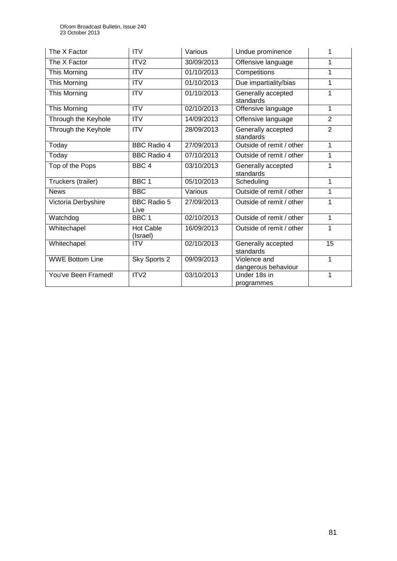| The X Factor           | <b>ITV</b>                   | Various    | Undue prominence                    | 1              |
|------------------------|------------------------------|------------|-------------------------------------|----------------|
| The X Factor           | ITV <sub>2</sub>             | 30/09/2013 | Offensive language                  | 1              |
| This Morning           | <b>ITV</b>                   | 01/10/2013 | Competitions                        | 1              |
| This Morning           | <b>ITV</b>                   | 01/10/2013 | Due impartiality/bias               | 1              |
| This Morning           | <b>ITV</b>                   | 01/10/2013 | Generally accepted<br>standards     | 1              |
| This Morning           | <b>ITV</b>                   | 02/10/2013 | Offensive language                  | 1              |
| Through the Keyhole    | <b>ITV</b>                   | 14/09/2013 | Offensive language                  | $\overline{2}$ |
| Through the Keyhole    | <b>ITV</b>                   | 28/09/2013 | Generally accepted<br>standards     | $\overline{2}$ |
| Today                  | <b>BBC Radio 4</b>           | 27/09/2013 | Outside of remit / other            | $\mathbf{1}$   |
| Today                  | <b>BBC Radio 4</b>           | 07/10/2013 | Outside of remit / other            | 1              |
| Top of the Pops        | BBC <sub>4</sub>             | 03/10/2013 | Generally accepted<br>standards     | 1              |
| Truckers (trailer)     | BBC <sub>1</sub>             | 05/10/2013 | Scheduling                          | 1              |
| <b>News</b>            | <b>BBC</b>                   | Various    | Outside of remit / other            | 1              |
| Victoria Derbyshire    | <b>BBC Radio 5</b><br>Live   | 27/09/2013 | Outside of remit / other            | 1              |
| Watchdog               | BBC <sub>1</sub>             | 02/10/2013 | Outside of remit / other            | 1              |
| Whitechapel            | <b>Hot Cable</b><br>(Israel) | 16/09/2013 | Outside of remit / other            | 1              |
| Whitechapel            | <b>ITV</b>                   | 02/10/2013 | Generally accepted<br>standards     | 15             |
| <b>WWE Bottom Line</b> | Sky Sports 2                 | 09/09/2013 | Violence and<br>dangerous behaviour | 1              |
| You've Been Framed!    | ITV <sub>2</sub>             | 03/10/2013 | Under 18s in<br>programmes          | 1              |